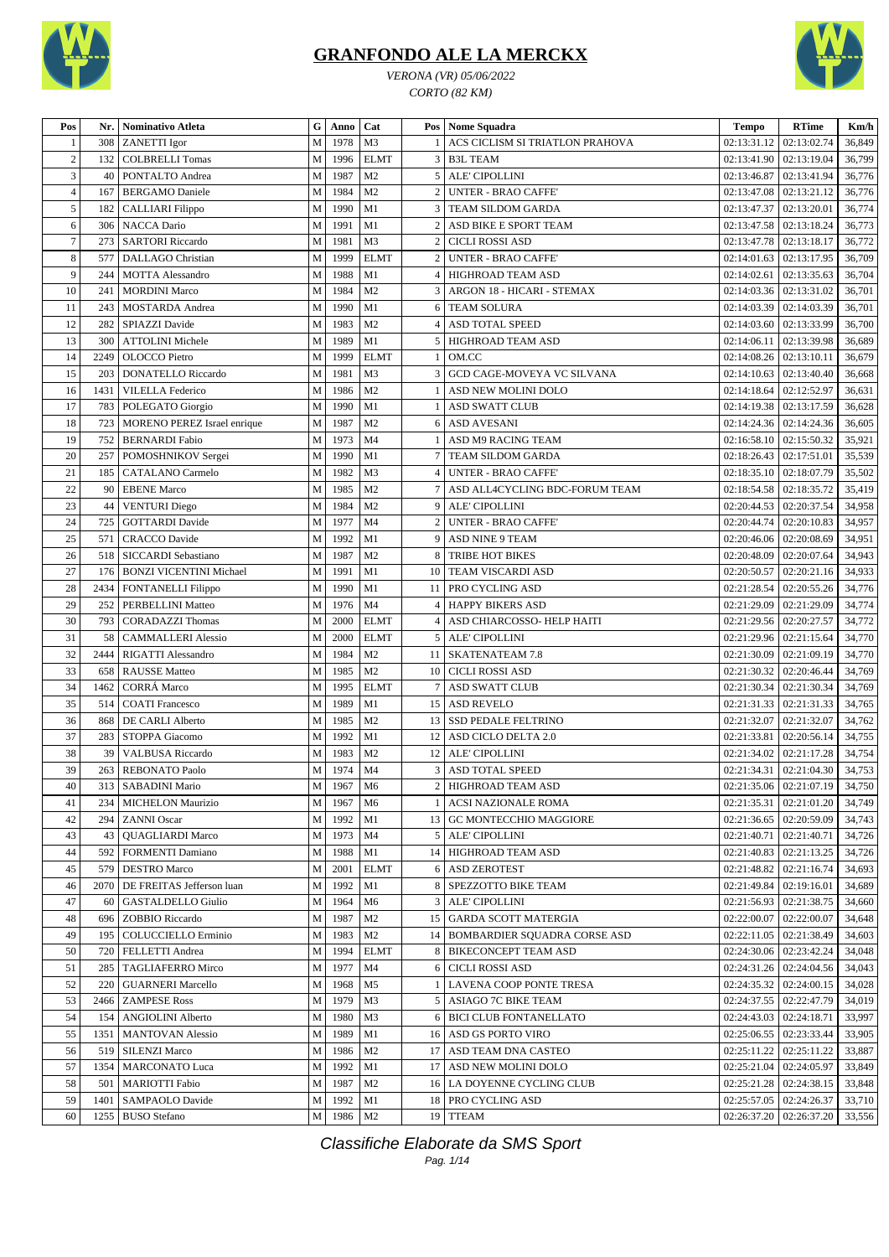

*VERONA (VR) 05/06/2022 CORTO (82 KM)*



| Pos            | Nr.  | <b>Nominativo Atleta</b>         | G      | Anno      | Cat            |                | Pos Nome Squadra                | <b>Tempo</b>                  | <b>RTime</b>                     | Km/h   |
|----------------|------|----------------------------------|--------|-----------|----------------|----------------|---------------------------------|-------------------------------|----------------------------------|--------|
|                | 308  | <b>ZANETTI</b> Igor              | M      | 1978      | M <sub>3</sub> |                | ACS CICLISM SI TRIATLON PRAHOVA | 02:13:31.12 02:13:02.74       |                                  | 36,849 |
| $\overline{2}$ | 132  | <b>COLBRELLI Tomas</b>           | M      | 1996      | <b>ELMT</b>    | 3              | <b>B3L TEAM</b>                 |                               | 02:13:41.90   02:13:19.04        | 36,799 |
| 3              | 40   | PONTALTO Andrea                  | M      | 1987      | M <sub>2</sub> | 5              | ALE' CIPOLLINI                  | 02:13:46.87                   | 02:13:41.94                      | 36,776 |
| $\overline{4}$ | 167  | <b>BERGAMO</b> Daniele           | M      | 1984      | M <sub>2</sub> |                | <b>UNTER - BRAO CAFFE'</b>      | 02:13:47.08                   | 02:13:21.12                      | 36,776 |
| 5              | 182  | CALLIARI Filippo                 | M      | 1990      | M1             |                | TEAM SILDOM GARDA               | 02:13:47.37                   | 02:13:20.01                      | 36,774 |
| 6              | 306  | NACCA Dario                      | M      | 1991      | M1             | $\overline{2}$ | ASD BIKE E SPORT TEAM           | 02:13:47.58                   | 02:13:18.24                      | 36,773 |
| $\tau$         | 273  | <b>SARTORI</b> Riccardo          | M      | 1981      | M <sub>3</sub> | $\overline{2}$ | <b>CICLI ROSSI ASD</b>          | 02:13:47.78                   | 02:13:18.17                      | 36,772 |
| 8              | 577  | <b>DALLAGO</b> Christian         | M      | 1999      | <b>ELMT</b>    | $\overline{2}$ | <b>UNTER - BRAO CAFFE'</b>      | 02:14:01.63                   | 02:13:17.95                      | 36,709 |
| 9              | 244  | <b>MOTTA Alessandro</b>          | M      | 1988      | M1             | $\overline{4}$ | HIGHROAD TEAM ASD               | 02:14:02.61                   | 02:13:35.63                      | 36,704 |
| 10             | 241  | <b>MORDINI Marco</b>             | M      | 1984      | M <sub>2</sub> | 3              | ARGON 18 - HICARI - STEMAX      | 02:14:03.36                   | 02:13:31.02                      | 36,701 |
| 11             | 243  | MOSTARDA Andrea                  | M      | 1990      | M1             | 6              | <b>TEAM SOLURA</b>              | 02:14:03.39                   | 02:14:03.39                      | 36,701 |
| 12             | 282  | SPIAZZI Davide                   | M      | 1983      | M <sub>2</sub> |                | ASD TOTAL SPEED                 | 02:14:03.60                   | 02:13:33.99                      | 36,700 |
| 13             | 300  | <b>ATTOLINI</b> Michele          | M      | 1989      | M1             | 5              | HIGHROAD TEAM ASD               | 02:14:06.11                   | 02:13:39.98                      | 36,689 |
| 14             | 2249 | <b>OLOCCO</b> Pietro             | M      | 1999      | <b>ELMT</b>    | -1             | OM.CC                           | $02:14:08.26$   $02:13:10.11$ |                                  | 36,679 |
| 15             | 203  | <b>DONATELLO Riccardo</b>        | M      | 1981      | M <sub>3</sub> | 3              | GCD CAGE-MOVEYA VC SILVANA      | 02:14:10.63                   | 02:13:40.40                      | 36,668 |
| 16             | 1431 | <b>VILELLA Federico</b>          | M      | 1986      | M <sub>2</sub> |                | ASD NEW MOLINI DOLO             | 02:14:18.64                   | 02:12:52.97                      | 36,631 |
| 17             | 783  | POLEGATO Giorgio                 | M      | 1990      | M1             |                | <b>ASD SWATT CLUB</b>           | 02:14:19.38                   | 02:13:17.59                      | 36,628 |
| 18             | 723  | MORENO PEREZ Israel enrique      | M      | 1987      | M <sub>2</sub> | 6              | <b>ASD AVESANI</b>              | 02:14:24.36                   | 02:14:24.36                      | 36,605 |
| 19             | 752  | <b>BERNARDI</b> Fabio            | M      | 1973      | M <sub>4</sub> |                | <b>ASD M9 RACING TEAM</b>       |                               | 02:16:58.10   02:15:50.32        | 35,921 |
| 20             | 257  | POMOSHNIKOV Sergei               |        | 1990      | M <sub>1</sub> |                | TEAM SILDOM GARDA               | $02:18:26.43$   $02:17:51.01$ |                                  | 35,539 |
| 21             | 185  | <b>CATALANO Carmelo</b>          | M<br>M | 1982      | M <sub>3</sub> | $\overline{4}$ | <b>UNTER - BRAO CAFFE'</b>      |                               | 02:18:35.10   02:18:07.79        | 35,502 |
| 22             | 90   |                                  | M      | 1985      | M <sub>2</sub> |                | ASD ALL4CYCLING BDC-FORUM TEAM  | 02:18:54.58                   | 02:18:35.72                      | 35,419 |
| 23             |      | <b>EBENE Marco</b>               | M      | 1984      | M <sub>2</sub> | 9              | ALE' CIPOLLINI                  | 02:20:44.53                   | 02:20:37.54                      |        |
|                | 44   | <b>VENTURI</b> Diego             |        |           |                |                |                                 |                               |                                  | 34,958 |
| 24             | 725  | <b>GOTTARDI</b> Davide           | M      | 1977      | M <sub>4</sub> |                | <b>UNTER - BRAO CAFFE'</b>      | 02:20:44.74                   | 02:20:10.83                      | 34,957 |
| 25             | 571  | <b>CRACCO</b> Davide             | M      | 1992      | M1             |                | ASD NINE 9 TEAM                 | 02:20:46.06                   | 02:20:08.69                      | 34,951 |
| 26             | 518  | SICCARDI Sebastiano              | M      | 1987      | M <sub>2</sub> | 8              | TRIBE HOT BIKES                 | 02:20:48.09                   | 02:20:07.64                      | 34,943 |
| 27             | 176  | <b>BONZI VICENTINI Michael</b>   | M      | 1991      | M1             | 10             | TEAM VISCARDI ASD               | 02:20:50.57                   | 02:20:21.16                      | 34,933 |
| 28             | 2434 | FONTANELLI Filippo               | M      | 1990      | M1             | 11             | PRO CYCLING ASD                 | 02:21:28.54                   | 02:20:55.26                      | 34,776 |
| 29             | 252  | PERBELLINI Matteo                | M      | 1976      | M <sub>4</sub> | $\overline{4}$ | <b>HAPPY BIKERS ASD</b>         | 02:21:29.09                   | 02:21:29.09                      | 34,774 |
| 30             | 793  | <b>CORADAZZI Thomas</b>          | M      | 2000      | <b>ELMT</b>    | $\overline{4}$ | ASD CHIARCOSSO- HELP HAITI      | 02:21:29.56                   | 02:20:27.57                      | 34,772 |
| 31             | 58   | <b>CAMMALLERI Alessio</b>        | M      | 2000      | <b>ELMT</b>    | 5              | ALE' CIPOLLINI                  | 02:21:29.96                   | 02:21:15.64                      | 34,770 |
| 32             | 2444 | RIGATTI Alessandro               | M      | 1984      | M <sub>2</sub> | 11             | <b>SKATENATEAM 7.8</b>          | 02:21:30.09                   | 02:21:09.19                      | 34,770 |
| 33             | 658  | <b>RAUSSE</b> Matteo             | M      | 1985      | M <sub>2</sub> | 10             | <b>CICLI ROSSI ASD</b>          | 02:21:30.32                   | 02:20:46.44                      | 34,769 |
| 34             | 1462 | <b>CORRÁ Marco</b>               | M      | 1995      | <b>ELMT</b>    |                | ASD SWATT CLUB                  | 02:21:30.34                   | 02:21:30.34                      | 34,769 |
| 35             | 514  | <b>COATI</b> Francesco           | M      | 1989      | M1             | 15             | <b>ASD REVELO</b>               | 02:21:31.33                   | 02:21:31.33                      | 34,765 |
| 36             | 868  | DE CARLI Alberto                 | M      | 1985      | M <sub>2</sub> | 13             | <b>SSD PEDALE FELTRINO</b>      | 02:21:32.07                   | 02:21:32.07                      | 34,762 |
| 37             | 283  | STOPPA Giacomo                   | M      | 1992      | M1             | 12             | ASD CICLO DELTA 2.0             | 02:21:33.81                   | 02:20:56.14                      | 34,755 |
| 38             | 39   | <b>VALBUSA Riccardo</b>          | M      | 1983      | M <sub>2</sub> | 12             | ALE' CIPOLLINI                  |                               | 02:21:34.02   02:21:17.28        | 34,754 |
| 39             | 263  | <b>REBONATO Paolo</b>            | M      | 1974      | M <sub>4</sub> | 3              | <b>ASD TOTAL SPEED</b>          |                               | $02:21:34.31$   $02:21:04.30$    | 34,753 |
| $40\,$         |      | 313 SABADINI Mario               |        | M 1967 M6 |                |                | 2 HIGHROAD TEAM ASD             |                               | $02:21:35.06$ 02:21:07.19 34,750 |        |
| 41             |      | 234   MICHELON Maurizio          | M      | 1967      | M <sub>6</sub> |                | <b>ACSI NAZIONALE ROMA</b>      |                               | 02:21:35.31   02:21:01.20        | 34,749 |
| 42             | 294  | <b>ZANNI</b> Oscar               | M      | 1992      | M1             |                | 13 GC MONTECCHIO MAGGIORE       |                               | 02:21:36.65   02:20:59.09        | 34,743 |
| 43             | 43   | <b>QUAGLIARDI Marco</b>          | M      | 1973      | M4             | 5              | ALE' CIPOLLINI                  | 02:21:40.71                   | 02:21:40.71                      | 34,726 |
| 44             | 592  | <b>FORMENTI Damiano</b>          | M      | 1988      | M <sub>1</sub> | 14             | HIGHROAD TEAM ASD               |                               | 02:21:40.83   02:21:13.25        | 34,726 |
| 45             | 579  | <b>DESTRO Marco</b>              | M      | 2001      | <b>ELMT</b>    | 6              | <b>ASD ZEROTEST</b>             |                               | 02:21:48.82   02:21:16.74        | 34,693 |
| 46             |      | 2070   DE FREITAS Jefferson luan | M      | 1992      | M1             | 8              | <b>SPEZZOTTO BIKE TEAM</b>      | 02:21:49.84   02:19:16.01     |                                  | 34,689 |
| 47             | 60   | <b>GASTALDELLO Giulio</b>        | M      | 1964      | M <sub>6</sub> | 3              | <b>ALE' CIPOLLINI</b>           |                               | 02:21:56.93   02:21:38.75        | 34,660 |
| 48             | 696  | ZOBBIO Riccardo                  | M      | 1987      | M <sub>2</sub> |                | 15 GARDA SCOTT MATERGIA         | 02:22:00.07                   | 02:22:00.07                      | 34,648 |
| 49             | 195  | COLUCCIELLO Erminio              | M      | 1983      | M <sub>2</sub> |                | 14 BOMBARDIER SQUADRA CORSE ASD |                               | 02:22:11.05   02:21:38.49        | 34,603 |
| 50             | 720  | FELLETTI Andrea                  | M      | 1994      | <b>ELMT</b>    |                | <b>BIKECONCEPT TEAM ASD</b>     |                               | 02:24:30.06   02:23:42.24        | 34,048 |
| 51             | 285  | <b>TAGLIAFERRO Mirco</b>         | М      | 1977      | M4             | 6              | <b>CICLI ROSSI ASD</b>          |                               | 02:24:31.26   02:24:04.56        | 34,043 |
| 52             | 220  | <b>GUARNERI Marcello</b>         | М      | 1968      | M5             |                | LAVENA COOP PONTE TRESA         |                               | 02:24:35.32   02:24:00.15        | 34,028 |
| 53             | 2466 | <b>ZAMPESE Ross</b>              | M      | 1979      | M3             | 5              | <b>ASIAGO 7C BIKE TEAM</b>      |                               | 02:24:37.55   02:22:47.79        | 34,019 |
| 54             | 154  | <b>ANGIOLINI</b> Alberto         | M      | 1980      | M3             | 6              | <b>BICI CLUB FONTANELLATO</b>   |                               | 02:24:43.03   02:24:18.71        | 33,997 |
| 55             | 1351 | <b>MANTOVAN Alessio</b>          | M      | 1989      | M1             |                | 16 ASD GS PORTO VIRO            | 02:25:06.55                   | 02:23:33.44                      | 33,905 |
| 56             | 519  | <b>SILENZI Marco</b>             | M      | 1986      | M <sub>2</sub> | 17             | ASD TEAM DNA CASTEO             | 02:25:11.22                   | 02:25:11.22                      | 33,887 |
| 57             | 1354 | <b>MARCONATO Luca</b>            | M      | 1992      | M1             | 17             | ASD NEW MOLINI DOLO             |                               | 02:25:21.04   02:24:05.97        | 33,849 |
| 58             | 501  | <b>MARIOTTI Fabio</b>            | М      | 1987      | M <sub>2</sub> |                | 16 LA DOYENNE CYCLING CLUB      |                               | 02:25:21.28   02:24:38.15        | 33,848 |
| 59             | 1401 | SAMPAOLO Davide                  | M      | 1992      | M1             |                | 18 PRO CYCLING ASD              |                               | 02:25:57.05   02:24:26.37        | 33,710 |
| 60             | 1255 | <b>BUSO</b> Stefano              | М      | 1986      | M <sub>2</sub> |                | 19 TTEAM                        |                               | 02:26:37.20   02:26:37.20        | 33,556 |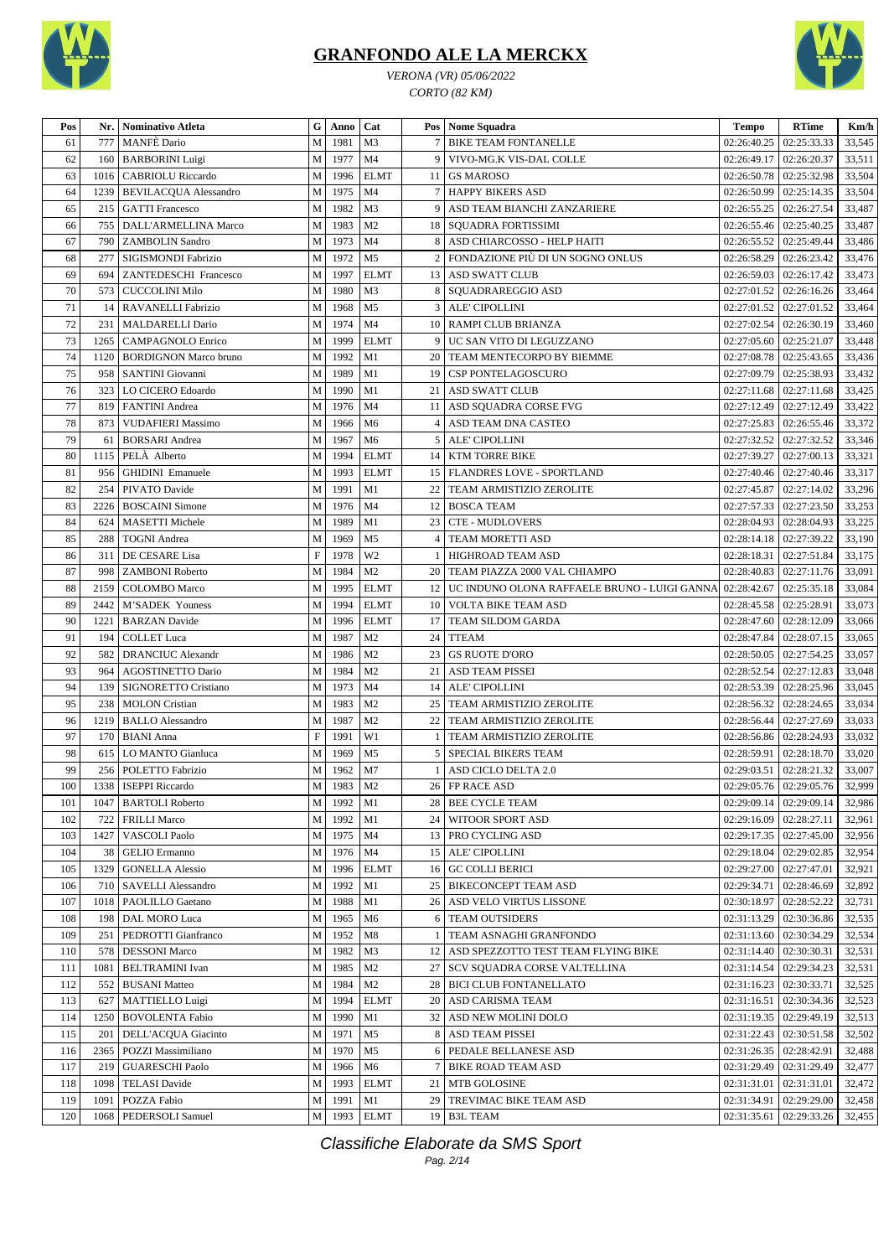



*VERONA (VR) 05/06/2022 CORTO (82 KM)*

| Pos      |      | Nr.   Nominativo Atleta      | G                         | Anno   | Cat                  |                 | Pos   Nome Squadra                                            | <b>Tempo</b> | <b>RTime</b>              | Km/h   |
|----------|------|------------------------------|---------------------------|--------|----------------------|-----------------|---------------------------------------------------------------|--------------|---------------------------|--------|
| 61       | 777  | <b>MANFE</b> Dario           | M                         | 1981   | M <sub>3</sub>       |                 | <b>BIKE TEAM FONTANELLE</b>                                   | 02:26:40.25  | 02:25:33.33               | 33,545 |
| 62       | 160  | <b>BARBORINI</b> Luigi       | M                         | 1977   | M <sub>4</sub>       | 9               | VIVO-MG.K VIS-DAL COLLE                                       | 02:26:49.17  | 02:26:20.37               | 33,511 |
| 63       | 1016 | <b>CABRIOLU</b> Riccardo     | M                         | 1996   | <b>ELMT</b>          | 11              | <b>GS MAROSO</b>                                              | 02:26:50.78  | 02:25:32.98               | 33,504 |
| 64       | 1239 | <b>BEVILACQUA Alessandro</b> | M                         | 1975   | M <sub>4</sub>       | $\tau$          | <b>HAPPY BIKERS ASD</b>                                       | 02:26:50.99  | 02:25:14.35               | 33,504 |
| 65       | 215  | <b>GATTI</b> Francesco       | M                         | 1982   | M <sub>3</sub>       | 9               | ASD TEAM BIANCHI ZANZARIERE                                   | 02:26:55.25  | 02:26:27.54               | 33,487 |
| 66       | 755  | DALL'ARMELLINA Marco         | M                         | 1983   | M <sub>2</sub>       |                 | 18   SQUADRA FORTISSIMI                                       | 02:26:55.46  | 02:25:40.25               | 33,487 |
| 67       | 790  | <b>ZAMBOLIN</b> Sandro       | M                         | 1973   | M <sub>4</sub>       | 8               | ASD CHIARCOSSO - HELP HAITI                                   | 02:26:55.52  | 02:25:49.44               | 33,486 |
| 68       | 277  | SIGISMONDI Fabrizio          | M                         | 1972   | M <sub>5</sub>       | $\overline{c}$  | FONDAZIONE PIÙ DI UN SOGNO ONLUS                              | 02:26:58.29  | 02:26:23.42               | 33,476 |
| 69       | 694  | ZANTEDESCHI Francesco        | M                         | 1997   | <b>ELMT</b>          | 13 <sup>1</sup> | <b>ASD SWATT CLUB</b>                                         | 02:26:59.03  | 02:26:17.42               | 33,473 |
| 70       | 573  | <b>CUCCOLINI Milo</b>        | M                         | 1980   | M <sub>3</sub>       | 8               | SQUADRAREGGIO ASD                                             | 02:27:01.52  | 02:26:16.26               | 33,464 |
| 71       | 14   | <b>RAVANELLI Fabrizio</b>    | M                         | 1968   | M <sub>5</sub>       | 3               | ALE' CIPOLLINI                                                | 02:27:01.52  | 02:27:01.52               | 33,464 |
| 72       | 231  | MALDARELLI Dario             | M                         | 1974   | M <sub>4</sub>       |                 | 10 RAMPI CLUB BRIANZA                                         | 02:27:02.54  | 02:26:30.19               | 33,460 |
| 73       | 1265 | <b>CAMPAGNOLO Enrico</b>     | М                         | 1999   | <b>ELMT</b>          | 9               | UC SAN VITO DI LEGUZZANO                                      | 02:27:05.60  | 02:25:21.07               | 33,448 |
| 74       | 1120 | <b>BORDIGNON Marco bruno</b> | M                         | 1992   | M1                   | 20              | TEAM MENTECORPO BY BIEMME                                     | 02:27:08.78  | 02:25:43.65               | 33,436 |
|          |      |                              |                           | 1989   |                      |                 |                                                               |              |                           |        |
| 75       | 958  | SANTINI Giovanni             | M                         |        | M1                   | 19              | CSP PONTELAGOSCURO                                            | 02:27:09.79  | 02:25:38.93               | 33,432 |
| 76<br>77 | 323  | LO CICERO Edoardo            | M                         | 1990   | M1<br>M <sub>4</sub> | 21              | <b>ASD SWATT CLUB</b>                                         | 02:27:11.68  | 02:27:11.68               | 33,425 |
|          | 819  | <b>FANTINI</b> Andrea        | M                         | 1976   |                      |                 | 11 ASD SQUADRA CORSE FVG                                      | 02:27:12.49  | 02:27:12.49               | 33,422 |
| 78       | 873  | <b>VUDAFIERI Massimo</b>     | M                         | 1966   | M <sub>6</sub>       | $\overline{4}$  | ASD TEAM DNA CASTEO                                           | 02:27:25.83  | 02:26:55.46               | 33,372 |
| 79       | 61   | <b>BORSARI</b> Andrea        | M                         | 1967   | M <sub>6</sub>       | 5               | ALE' CIPOLLINI                                                | 02:27:32.52  | 02:27:32.52               | 33,346 |
| 80       | 1115 | PELÀ Alberto                 | M                         | 1994   | <b>ELMT</b>          | 14              | <b>KTM TORRE BIKE</b>                                         | 02:27:39.27  | 02:27:00.13               | 33,321 |
| 81       | 956  | <b>GHIDINI</b> Emanuele      | M                         | 1993   | <b>ELMT</b>          |                 | 15   FLANDRES LOVE - SPORTLAND                                | 02:27:40.46  | 02:27:40.46               | 33,317 |
| 82       | 254  | PIVATO Davide                | M                         | 1991   | M1                   | 22              | TEAM ARMISTIZIO ZEROLITE                                      | 02:27:45.87  | 02:27:14.02               | 33,296 |
| 83       | 2226 | <b>BOSCAINI</b> Simone       | M                         | 1976   | M <sub>4</sub>       | 12 <sup>1</sup> | <b>BOSCA TEAM</b>                                             | 02:27:57.33  | 02:27:23.50               | 33,253 |
| 84       | 624  | <b>MASETTI Michele</b>       | M                         | 1989   | M1                   | 23              | <b>CTE - MUDLOVERS</b>                                        | 02:28:04.93  | 02:28:04.93               | 33,225 |
| 85       | 288  | <b>TOGNI</b> Andrea          | M                         | 1969   | M <sub>5</sub>       | 4               | TEAM MORETTI ASD                                              | 02:28:14.18  | 02:27:39.22               | 33,190 |
| 86       | 311  | <b>DE CESARE Lisa</b>        | $\boldsymbol{\mathrm{F}}$ | 1978   | W <sub>2</sub>       |                 | HIGHROAD TEAM ASD                                             | 02:28:18.31  | 02:27:51.84               | 33,175 |
| 87       | 998  | <b>ZAMBONI Roberto</b>       | M                         | 1984   | M <sub>2</sub>       | 20              | TEAM PIAZZA 2000 VAL CHIAMPO                                  | 02:28:40.83  | 02:27:11.76               | 33,091 |
| 88       | 2159 | <b>COLOMBO</b> Marco         | $\mathbf M$               | 1995   | <b>ELMT</b>          |                 | 12   UC INDUNO OLONA RAFFAELE BRUNO - LUIGI GANNA 02:28:42.67 |              | 02:25:35.18               | 33,084 |
| 89       | 2442 | M'SADEK Youness              | M                         | 1994   | <b>ELMT</b>          |                 | 10 VOLTA BIKE TEAM ASD                                        | 02:28:45.58  | 02:25:28.91               | 33,073 |
| 90       | 1221 | <b>BARZAN</b> Davide         | M                         | 1996   | <b>ELMT</b>          | 17              | <b>TEAM SILDOM GARDA</b>                                      | 02:28:47.60  | 02:28:12.09               | 33,066 |
| 91       | 194  | <b>COLLET</b> Luca           | M                         | 1987   | M <sub>2</sub>       | 24              | <b>TTEAM</b>                                                  | 02:28:47.84  | 02:28:07.15               | 33,065 |
| 92       | 582  | <b>DRANCIUC Alexandr</b>     | М                         | 1986   | M <sub>2</sub>       | 23              | <b>GS RUOTE D'ORO</b>                                         | 02:28:50.05  | 02:27:54.25               | 33,057 |
| 93       | 964  | AGOSTINETTO Dario            | M                         | 1984   | M <sub>2</sub>       | 21              | ASD TEAM PISSEI                                               | 02:28:52.54  | 02:27:12.83               | 33,048 |
| 94       | 139  | SIGNORETTO Cristiano         | M                         | 1973   | M <sub>4</sub>       | 14              | ALE' CIPOLLINI                                                | 02:28:53.39  | 02:28:25.96               | 33,045 |
| 95       | 238  | <b>MOLON</b> Cristian        | M                         | 1983   | M <sub>2</sub>       | 25              | TEAM ARMISTIZIO ZEROLITE                                      | 02:28:56.32  | 02:28:24.65               | 33,034 |
| 96       | 1219 | <b>BALLO</b> Alessandro      | M                         | 1987   | M <sub>2</sub>       | 22              | TEAM ARMISTIZIO ZEROLITE                                      | 02:28:56.44  | 02:27:27.69               | 33,033 |
| 97       | 170  | <b>BIANI</b> Anna            | $\boldsymbol{\mathrm{F}}$ | 1991   | W1                   | -1              | TEAM ARMISTIZIO ZEROLITE                                      | 02:28:56.86  | 02:28:24.93               | 33,032 |
| 98       | 615  | LO MANTO Gianluca            | M                         | 1969   | M <sub>5</sub>       | 5 <sup>1</sup>  | SPECIAL BIKERS TEAM                                           | 02:28:59.91  | 02:28:18.70               | 33,020 |
| 99       |      | 256   POLETTO Fabrizio       | M                         | 1962   | M <sub>7</sub>       | $\frac{1}{2}$   | ASD CICLO DELTA 2.0                                           |              | $02:29:03.51$ 02:28:21.32 | 33,007 |
| 100      |      | 1338   ISEPPI Riccardo       | M                         | 1983   | M <sub>2</sub>       |                 | 26 FP RACE ASD                                                |              | 02:29:05.76 02:29:05.76   | 32,999 |
| 101      | 1047 | <b>BARTOLI</b> Roberto       | M                         | 1992   | M1                   |                 | 28   BEE CYCLE TEAM                                           | 02:29:09.14  | 02:29:09.14               | 32,986 |
| 102      |      |                              |                           |        |                      |                 |                                                               |              |                           |        |
|          | 722  | <b>FRILLI Marco</b>          | M                         | 1992   | M1                   | 24 <sup>1</sup> | <b>WITOOR SPORT ASD</b>                                       | 02:29:16.09  | 02:28:27.11               | 32,961 |
| 103      | 1427 | <b>VASCOLI Paolo</b>         | M                         | 1975   | M4                   |                 | 13   PRO CYCLING ASD                                          | 02:29:17.35  | 02:27:45.00               | 32,956 |
| 104      | 38   | <b>GELIO</b> Ermanno         | M                         | 1976   | M4                   |                 | 15   ALE' CIPOLLINI                                           | 02:29:18.04  | 02:29:02.85               | 32,954 |
| 105      | 1329 | <b>GONELLA Alessio</b>       | M                         | 1996   | <b>ELMT</b>          |                 | 16 GC COLLI BERICI                                            | 02:29:27.00  | 02:27:47.01               | 32,921 |
| 106      | 710  | SAVELLI Alessandro           | M                         | 1992   | M1                   |                 | 25 BIKECONCEPT TEAM ASD                                       | 02:29:34.71  | 02:28:46.69               | 32,892 |
| 107      | 1018 | PAOLILLO Gaetano             | M                         | 1988   | M1                   |                 | 26   ASD VELO VIRTUS LISSONE                                  | 02:30:18.97  | 02:28:52.22               | 32,731 |
| 108      | 198  | <b>DAL MORO Luca</b>         | М                         | 1965   | M6                   | 6               | <b>TEAM OUTSIDERS</b>                                         | 02:31:13.29  | 02:30:36.86               | 32,535 |
| 109      | 251  | PEDROTTI Gianfranco          | M                         | 1952   | M8                   |                 | TEAM ASNAGHI GRANFONDO                                        | 02:31:13.60  | 02:30:34.29               | 32,534 |
| 110      | 578  | <b>DESSONI Marco</b>         | M                         | 1982   | M <sub>3</sub>       |                 | 12 ASD SPEZZOTTO TEST TEAM FLYING BIKE                        | 02:31:14.40  | 02:30:30.31               | 32,531 |
| 111      | 1081 | <b>BELTRAMINI</b> Ivan       | M                         | 1985   | M <sub>2</sub>       |                 | 27   SCV SOUADRA CORSE VALTELLINA                             | 02:31:14.54  | 02:29:34.23               | 32,531 |
| 112      | 552  | <b>BUSANI</b> Matteo         | M                         | 1984   | M <sub>2</sub>       |                 | 28 BICI CLUB FONTANELLATO                                     | 02:31:16.23  | 02:30:33.71               | 32,525 |
| 113      | 627  | MATTIELLO Luigi              | М                         | 1994   | <b>ELMT</b>          |                 | 20   ASD CARISMA TEAM                                         | 02:31:16.51  | 02:30:34.36               | 32,523 |
| 114      | 1250 | <b>BOVOLENTA Fabio</b>       | M                         | 1990   | M1                   | 32              | ASD NEW MOLINI DOLO                                           | 02:31:19.35  | 02:29:49.19               | 32,513 |
| 115      | 201  | DELL'ACQUA Giacinto          | M                         | 1971   | M <sub>5</sub>       | 8               | ASD TEAM PISSEI                                               | 02:31:22.43  | 02:30:51.58               | 32,502 |
| 116      | 2365 | POZZI Massimiliano           | M                         | 1970   | M <sub>5</sub>       | 6               | PEDALE BELLANESE ASD                                          | 02:31:26.35  | 02:28:42.91               | 32,488 |
| 117      | 219  | <b>GUARESCHI Paolo</b>       | М                         | 1966   | M <sub>6</sub>       | $7\phantom{.0}$ | <b>BIKE ROAD TEAM ASD</b>                                     | 02:31:29.49  | 02:31:29.49               | 32,477 |
| 118      | 1098 | <b>TELASI</b> Davide         | M                         | 1993   | <b>ELMT</b>          |                 | 21   MTB GOLOSINE                                             | 02:31:31.01  | 02:31:31.01               | 32,472 |
| 119      | 1091 | POZZA Fabio                  | M                         | 1991   | M1                   | 29              | TREVIMAC BIKE TEAM ASD                                        | 02:31:34.91  | 02:29:29.00               | 32,458 |
| 120      |      | 1068   PEDERSOLI Samuel      |                           | M 1993 | <b>ELMT</b>          |                 | 19 B3L TEAM                                                   | 02:31:35.61  | 02:29:33.26               | 32,455 |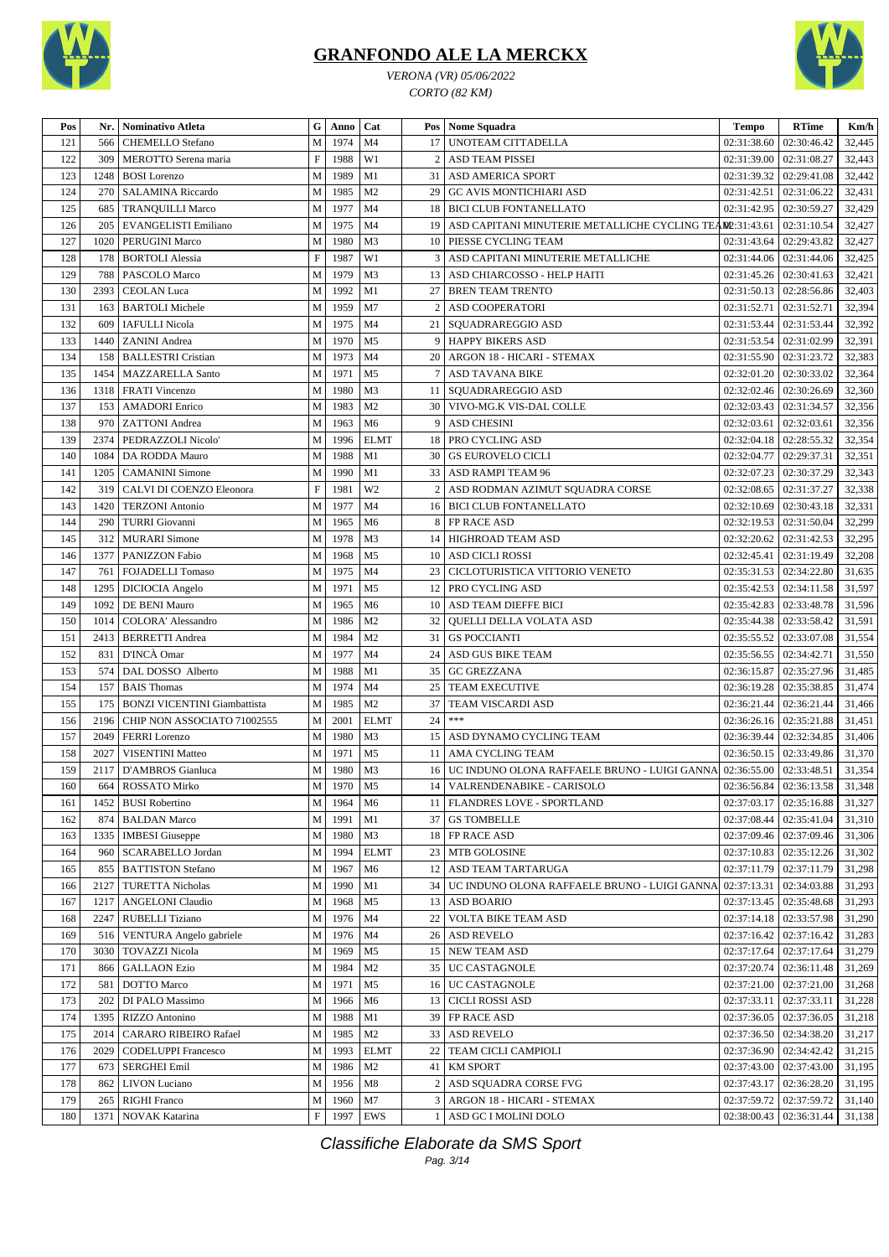

*VERONA (VR) 05/06/2022 CORTO (82 KM)*



| Pos        |              | Nr.   Nominativo Atleta                         | G                         | Anno             | Cat                           |                | Pos   Nome Squadra                                                   | <b>Tempo</b>                  | <b>RTime</b>               | Km/h             |
|------------|--------------|-------------------------------------------------|---------------------------|------------------|-------------------------------|----------------|----------------------------------------------------------------------|-------------------------------|----------------------------|------------------|
| 121        | 566          | <b>CHEMELLO</b> Stefano                         | M                         | 1974             | M <sub>4</sub>                | 17             | UNOTEAM CITTADELLA                                                   | 02:31:38.60                   | 02:30:46.42                | 32,445           |
| 122        | 309          | MEROTTO Serena maria                            | $\boldsymbol{\mathrm{F}}$ | 1988             | W1                            | $\overline{2}$ | <b>ASD TEAM PISSEI</b>                                               | 02:31:39.00                   | 02:31:08.27                | 32,443           |
| 123        | 1248         | <b>BOSI</b> Lorenzo                             | M                         | 1989             | M1                            | 31             | <b>ASD AMERICA SPORT</b>                                             | 02:31:39.32                   | 02:29:41.08                | 32,442           |
| 124        | 270          | <b>SALAMINA Riccardo</b>                        | M                         | 1985             | M <sub>2</sub>                | 29             | <b>GC AVIS MONTICHIARI ASD</b>                                       | 02:31:42.51                   | 02:31:06.22                | 32,431           |
| 125        | 685          | <b>TRANQUILLI Marco</b>                         | M                         | 1977             | M <sub>4</sub>                | 18             | <b>BICI CLUB FONTANELLATO</b>                                        | 02:31:42.95                   | 02:30:59.27                | 32,429           |
| 126        | 205          | EVANGELISTI Emiliano                            | M                         | 1975             | M <sub>4</sub>                | 19             | ASD CAPITANI MINUTERIE METALLICHE CYCLING TEA                        | DD:31:43.61                   | 02:31:10.54                | 32,427           |
| 127        | 1020         | PERUGINI Marco                                  | M                         | 1980             | M <sub>3</sub>                | 10             | PIESSE CYCLING TEAM                                                  | 02:31:43.64                   | 02:29:43.82                | 32,427           |
| 128        | 178          | <b>BORTOLI</b> Alessia                          | $\mathbf F$               | 1987             | W1                            | 3              | ASD CAPITANI MINUTERIE METALLICHE                                    | 02:31:44.06                   | 02:31:44.06                | 32,425           |
| 129        | 788          | <b>PASCOLO Marco</b>                            | M                         | 1979             | M <sub>3</sub>                | 13             | ASD CHIARCOSSO - HELP HAITI                                          | 02:31:45.26                   | 02:30:41.63                | 32,421           |
| 130        | 2393         | <b>CEOLAN</b> Luca                              | M                         | 1992             | M1                            | 27             | <b>BREN TEAM TRENTO</b>                                              | 02:31:50.13                   | 02:28:56.86                | 32,403           |
| 131        | 163          | <b>BARTOLI</b> Michele                          | M                         | 1959             | M <sub>7</sub>                | 2              | <b>ASD COOPERATORI</b>                                               | 02:31:52.71                   | 02:31:52.71                | 32,394           |
| 132        | 609          | <b>IAFULLI</b> Nicola                           | M                         | 1975             | M4                            | 21             | SQUADRAREGGIO ASD                                                    | 02:31:53.44                   | 02:31:53.44                | 32,392           |
| 133        | 1440         | <b>ZANINI</b> Andrea                            | M                         | 1970             | M <sub>5</sub>                | 9              | <b>HAPPY BIKERS ASD</b>                                              | 02:31:53.54                   | 02:31:02.99                | 32,391           |
| 134        | 158          | <b>BALLESTRI Cristian</b>                       | M                         | 1973             | M <sub>4</sub>                | 20             | ARGON 18 - HICARI - STEMAX                                           | 02:31:55.90                   | 02:31:23.72                | 32,383           |
| 135        | 1454         | <b>MAZZARELLA Santo</b>                         | M                         | 1971             | M <sub>5</sub>                | 7              | ASD TAVANA BIKE                                                      | 02:32:01.20                   | 02:30:33.02                | 32,364           |
| 136        |              | 1318   FRATI Vincenzo                           | M                         | 1980             | M <sub>3</sub>                | 11             | SOUADRAREGGIO ASD                                                    | 02:32:02.46                   | 02:30:26.69                | 32,360           |
| 137        | 153          | <b>AMADORI</b> Enrico                           | M                         | 1983             | M <sub>2</sub>                | 30             | VIVO-MG.K VIS-DAL COLLE                                              | 02:32:03.43                   | 02:31:34.57                | 32,356           |
| 138        | 970          | <b>ZATTONI</b> Andrea                           | M                         | 1963             | M <sub>6</sub>                | 9              | <b>ASD CHESINI</b>                                                   | 02:32:03.61                   | 02:32:03.61                | 32,356           |
| 139        | 2374         | PEDRAZZOLI Nicolo'                              | M                         | 1996             | <b>ELMT</b>                   | 18             | PRO CYCLING ASD                                                      | 02:32:04.18                   | 02:28:55.32                | 32,354           |
| 140        | 1084         | DA RODDA Mauro                                  | M                         | 1988             | M1                            | 30             | <b>GS EUROVELO CICLI</b>                                             | 02:32:04.77                   | 02:29:37.31                | 32,351           |
| 141        | 1205         | <b>CAMANINI</b> Simone                          | M                         | 1990             | M1                            | 33             | ASD RAMPI TEAM 96                                                    | 02:32:07.23                   | 02:30:37.29                | 32,343           |
| 142        | 319          | CALVI DI COENZO Eleonora                        | $\boldsymbol{\mathrm{F}}$ | 1981             | W <sub>2</sub>                | 2              | ASD RODMAN AZIMUT SQUADRA CORSE                                      | 02:32:08.65                   | 02:31:37.27                | 32,338           |
| 143        | 1420         | <b>TERZONI</b> Antonio                          | M                         | 1977             | M <sub>4</sub>                | 16             | <b>BICI CLUB FONTANELLATO</b>                                        | 02:32:10.69                   | 02:30:43.18                | 32,331           |
| 144        | 290          | <b>TURRI</b> Giovanni                           | M                         | 1965             | M <sub>6</sub>                | 8              | FP RACE ASD                                                          | 02:32:19.53                   | 02:31:50.04                | 32,299           |
| 145        | 312          | <b>MURARI</b> Simone                            | M                         | 1978             | M <sub>3</sub>                | 14             | HIGHROAD TEAM ASD                                                    | 02:32:20.62                   | 02:31:42.53                | 32,295           |
| 146        | 1377         | PANIZZON Fabio                                  | M                         | 1968             | M <sub>5</sub>                | 10             | <b>ASD CICLI ROSSI</b>                                               | 02:32:45.41                   | 02:31:19.49                | 32,208           |
| 147        | 761          | <b>FOJADELLI</b> Tomaso                         | M                         | 1975             | M <sub>4</sub>                | 23             | CICLOTURISTICA VITTORIO VENETO                                       | 02:35:31.53   02:34:22.80     |                            | 31,635           |
| 148        | 1295         | DICIOCIA Angelo                                 | M                         | 1971             | M <sub>5</sub>                | 12             | PRO CYCLING ASD                                                      | 02:35:42.53   02:34:11.58     |                            | 31,597           |
| 149        | 1092         | DE BENI Mauro                                   | M                         | 1965             | M <sub>6</sub>                | 10             | ASD TEAM DIEFFE BICI                                                 | 02:35:42.83                   | 02:33:48.78                | 31,596           |
| 150        | 1014         | COLORA' Alessandro                              | M                         | 1986             | M <sub>2</sub>                | 32             | QUELLI DELLA VOLATA ASD                                              | 02:35:44.38                   | 02:33:58.42                | 31,591           |
| 151        | 2413         | <b>BERRETTI Andrea</b>                          | M                         | 1984             | M <sub>2</sub>                | 31             | <b>GS POCCIANTI</b>                                                  | 02:35:55.52                   | 02:33:07.08                | 31,554           |
| 152        | 831          | D'INCÀ Omar                                     | M                         | 1977             | M <sub>4</sub>                | 24             | <b>ASD GUS BIKE TEAM</b>                                             | 02:35:56.55                   | 02:34:42.71                | 31,550           |
| 153        | 574          | DAL DOSSO Alberto                               | M                         | 1988             | M1                            | 35             | <b>GC GREZZANA</b>                                                   | 02:36:15.87                   | 02:35:27.96                | 31,485           |
| 154        | 157          | <b>BAIS</b> Thomas                              | M                         | 1974             | M <sub>4</sub>                | 25             | TEAM EXECUTIVE                                                       | 02:36:19.28                   | 02:35:38.85                | 31,474           |
| 155        | 175          | <b>BONZI VICENTINI Giambattista</b>             | M                         | 1985             | M <sub>2</sub>                | 37             | TEAM VISCARDI ASD<br>$***$                                           | 02:36:21.44                   | 02:36:21.44                | 31,466           |
| 156<br>157 | 2196<br>2049 | CHIP NON ASSOCIATO 71002555                     | M<br>M                    | 2001             | <b>ELMT</b><br>M <sub>3</sub> | 24<br>15       |                                                                      | 02:36:26.16<br>02:36:39.44    | 02:35:21.88<br>02:32:34.85 | 31,451           |
| 158        | 2027         | <b>FERRI</b> Lorenzo<br><b>VISENTINI Matteo</b> | M                         | 1980<br>1971     | M <sub>5</sub>                | 11             | ASD DYNAMO CYCLING TEAM<br>AMA CYCLING TEAM                          | 02:36:50.15                   | 02:33:49.86                | 31,406<br>31,370 |
| 159        | 2117         | D'AMBROS Gianluca                               | M                         | 1980             | M <sub>3</sub>                | 16             | UC INDUNO OLONA RAFFAELE BRUNO - LUIGI GANNA 02:36:55.00 02:33:48.51 |                               |                            | 31,354           |
|            |              | 664 ROSSATO Mirko                               |                           |                  |                               |                | 14 VALRENDENABIKE - CARISOLO                                         | 02:36:56.84 02:36:13.58       |                            | 31,348           |
| 160<br>161 | 1452         | <b>BUSI</b> Robertino                           | M                         | M   1970<br>1964 | M5<br>M <sub>6</sub>          |                | 11   FLANDRES LOVE - SPORTLAND                                       | $02:37:03.17$   $02:35:16.88$ |                            | 31,327           |
| 162        | 874          | <b>BALDAN</b> Marco                             | M                         | 1991             | M1                            | 37             | <b>GS TOMBELLE</b>                                                   | 02:37:08.44                   | 02:35:41.04                | 31,310           |
| 163        | 1335         | <b>IMBESI</b> Giuseppe                          | M                         | 1980             | M <sub>3</sub>                | 18             | FP RACE ASD                                                          | 02:37:09.46                   | 02:37:09.46                | 31,306           |
| 164        | 960          | SCARABELLO Jordan                               | M                         | 1994             | <b>ELMT</b>                   | 23             | MTB GOLOSINE                                                         | 02:37:10.83                   | 02:35:12.26                | 31,302           |
| 165        | 855          | <b>BATTISTON Stefano</b>                        | M                         | 1967             | M <sub>6</sub>                | 12             | ASD TEAM TARTARUGA                                                   | 02:37:11.79                   | 02:37:11.79                | 31,298           |
| 166        | 2127         | <b>TURETTA Nicholas</b>                         | $\mathbf M$               | 1990             | M1                            | 34             | UC INDUNO OLONA RAFFAELE BRUNO - LUIGI GANNA                         | 02:37:13.31   02:34:03.88     |                            | 31,293           |
| 167        | 1217         | <b>ANGELONI Claudio</b>                         | M                         | 1968             | M <sub>5</sub>                | 13             | <b>ASD BOARIO</b>                                                    | 02:37:13.45   02:35:48.68     |                            | 31,293           |
| 168        | 2247         | <b>RUBELLI</b> Tiziano                          | M                         | 1976             | M <sub>4</sub>                | 22             | <b>VOLTA BIKE TEAM ASD</b>                                           | 02:37:14.18   02:33:57.98     |                            | 31,290           |
| 169        | 516          | VENTURA Angelo gabriele                         | M                         | 1976             | M4                            |                | 26 ASD REVELO                                                        | 02:37:16.42                   | 02:37:16.42                | 31,283           |
| 170        | 3030         | <b>TOVAZZI Nicola</b>                           | M                         | 1969             | M <sub>5</sub>                |                | 15 NEW TEAM ASD                                                      | 02:37:17.64                   | 02:37:17.64                | 31,279           |
| 171        | 866          | <b>GALLAON Ezio</b>                             | M                         | 1984             | M <sub>2</sub>                | 35             | UC CASTAGNOLE                                                        | 02:37:20.74                   | 02:36:11.48                | 31,269           |
| 172        | 581          | <b>DOTTO</b> Marco                              | M                         | 1971             | M <sub>5</sub>                | 16             | UC CASTAGNOLE                                                        | 02:37:21.00                   | 02:37:21.00                | 31,268           |
| 173        | 202          | DI PALO Massimo                                 | M                         | 1966             | M <sub>6</sub>                | 13             | <b>CICLI ROSSI ASD</b>                                               | 02:37:33.11                   | 02:37:33.11                | 31,228           |
| 174        | 1395         | RIZZO Antonino                                  | M                         | 1988             | M1                            | 39             | FP RACE ASD                                                          | 02:37:36.05                   | 02:37:36.05                | 31,218           |
| 175        | 2014         | <b>CARARO RIBEIRO Rafael</b>                    | M                         | 1985             | M <sub>2</sub>                | 33             | <b>ASD REVELO</b>                                                    | 02:37:36.50                   | 02:34:38.20                | 31,217           |
| 176        | 2029         | <b>CODELUPPI Francesco</b>                      | M                         | 1993             | <b>ELMT</b>                   | 22             | TEAM CICLI CAMPIOLI                                                  | 02:37:36.90                   | 02:34:42.42                | 31,215           |
| 177        | 673          | <b>SERGHEI Emil</b>                             | $\mathbf M$               | 1986             | M <sub>2</sub>                | 41             | <b>KM SPORT</b>                                                      | 02:37:43.00                   | 02:37:43.00                | 31,195           |
| 178        | 862          | <b>LIVON</b> Luciano                            | M                         | 1956             | M8                            | 2              | ASD SQUADRA CORSE FVG                                                | 02:37:43.17                   | 02:36:28.20                | 31,195           |
| 179        | 265          | <b>RIGHI Franco</b>                             | M                         | 1960             | M7                            |                | 3 ARGON 18 - HICARI - STEMAX                                         | 02:37:59.72                   | 02:37:59.72                | 31,140           |
| 180        | 1371         | NOVAK Katarina                                  | $\mathbf F$               | 1997             | EWS                           | 1              | ASD GC I MOLINI DOLO                                                 | 02:38:00.43   02:36:31.44     |                            | 31,138           |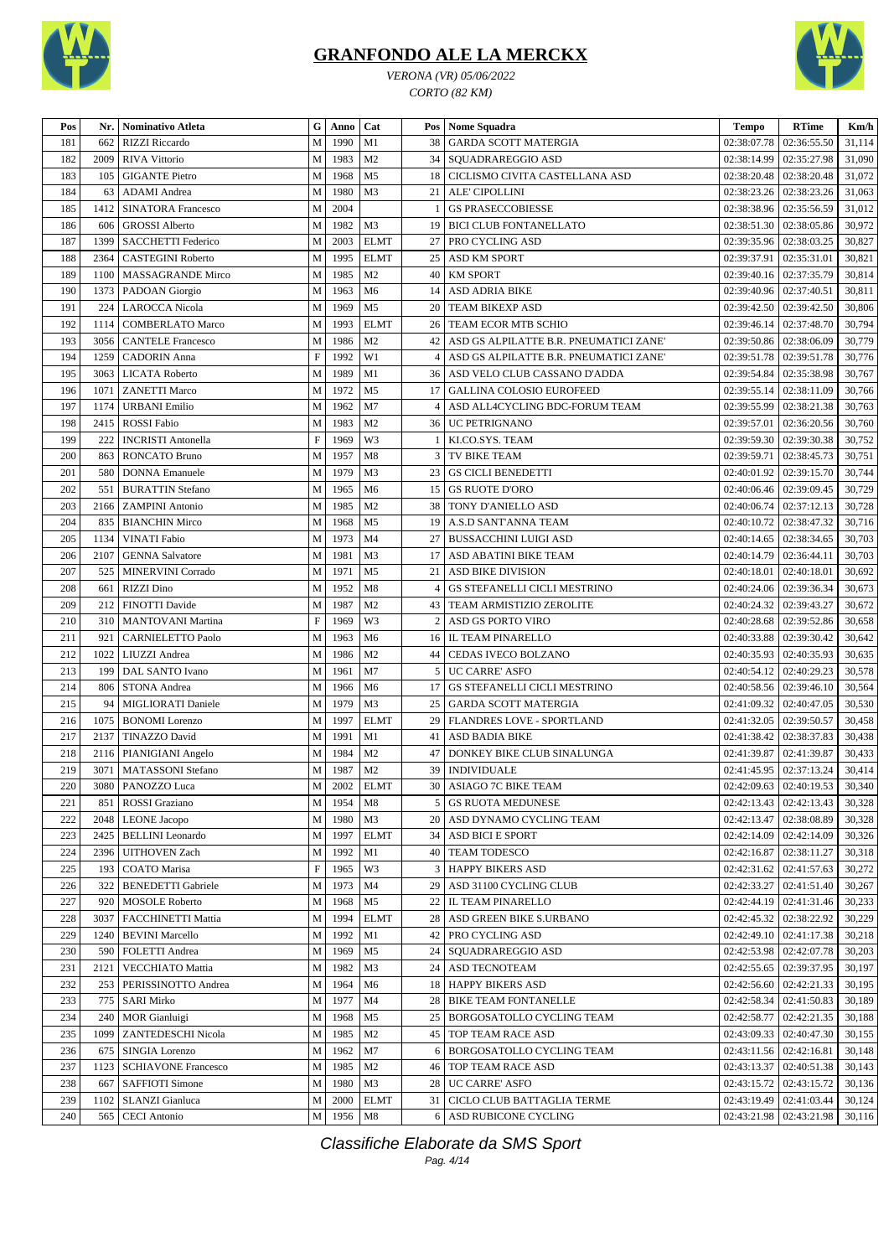

*VERONA (VR) 05/06/2022 CORTO (82 KM)*



| Pos        | Nr.  | <b>Nominativo Atleta</b>   | ${\bf G}$                 | Anno         | Cat            |                | Pos   Nome Squadra                        | $\bf Tempo$                   | <b>RTime</b>              | Km/h   |
|------------|------|----------------------------|---------------------------|--------------|----------------|----------------|-------------------------------------------|-------------------------------|---------------------------|--------|
| 181        | 662  | <b>RIZZI Riccardo</b>      | M                         | 1990         | M1             | 38             | <b>GARDA SCOTT MATERGIA</b>               | 02:38:07.78                   | 02:36:55.50               | 31,114 |
| 182        | 2009 | RIVA Vittorio              | M                         | 1983         | M <sub>2</sub> | 34             | SOUADRAREGGIO ASD                         | 02:38:14.99                   | 02:35:27.98               | 31,090 |
| 183        | 105  | <b>GIGANTE Pietro</b>      | M                         | 1968         | M <sub>5</sub> | 18             | CICLISMO CIVITA CASTELLANA ASD            | 02:38:20.48                   | 02:38:20.48               | 31,072 |
| 184        | 63   | <b>ADAMI</b> Andrea        | ${\bf M}$                 | 1980         | M <sub>3</sub> | 21             | ALE' CIPOLLINI                            | 02:38:23.26                   | 02:38:23.26               | 31,063 |
| 185        | 1412 | <b>SINATORA Francesco</b>  | M                         | 2004         |                |                | <b>GS PRASECCOBIESSE</b>                  | 02:38:38.96                   | 02:35:56.59               | 31,012 |
| 186        | 606  | <b>GROSSI</b> Alberto      | M                         | 1982         | M <sub>3</sub> | 19             | <b>BICI CLUB FONTANELLATO</b>             | 02:38:51.30                   | 02:38:05.86               | 30,972 |
| 187        | 1399 | <b>SACCHETTI Federico</b>  | M                         | 2003         | <b>ELMT</b>    | 27             | PRO CYCLING ASD                           | 02:39:35.96                   | 02:38:03.25               | 30,827 |
| 188        | 2364 | <b>CASTEGINI Roberto</b>   | $\mathbf M$               | 1995         | <b>ELMT</b>    | 25             | <b>ASD KM SPORT</b>                       | 02:39:37.91                   | 02:35:31.01               | 30,821 |
| 189        | 1100 | MASSAGRANDE Mirco          | M                         | 1985         | M <sub>2</sub> | 40             | <b>KM SPORT</b>                           | 02:39:40.16                   | 02:37:35.79               | 30,814 |
| 190        | 1373 | PADOAN Giorgio             | ${\bf M}$                 | 1963         | M6             | 14             | <b>ASD ADRIA BIKE</b>                     | 02:39:40.96                   | 02:37:40.51               | 30,811 |
| 191        | 224  | <b>LAROCCA</b> Nicola      | M                         | 1969         | M <sub>5</sub> | 20             | <b>TEAM BIKEXP ASD</b>                    | 02:39:42.50                   | 02:39:42.50               | 30,806 |
| 192        | 1114 | <b>COMBERLATO Marco</b>    | M                         | 1993         | <b>ELMT</b>    | 26             | TEAM ECOR MTB SCHIO                       | 02:39:46.14                   | 02:37:48.70               | 30,794 |
| 193        | 3056 | <b>CANTELE Francesco</b>   | M                         | 1986         | M <sub>2</sub> | 42             | ASD GS ALPILATTE B.R. PNEUMATICI ZANE'    | 02:39:50.86                   | 02:38:06.09               | 30,779 |
| 194        | 1259 | <b>CADORIN</b> Anna        | $\boldsymbol{\mathrm{F}}$ | 1992         | W1             | 4              | ASD GS ALPILATTE B.R. PNEUMATICI ZANE'    | 02:39:51.78   02:39:51.78     |                           | 30,776 |
| 195        | 3063 | <b>LICATA Roberto</b>      | M                         | 1989         | M1             | 36             | ASD VELO CLUB CASSANO D'ADDA              | 02:39:54.84                   | 02:35:38.98               | 30,767 |
| 196        | 1071 | <b>ZANETTI Marco</b>       | ${\bf M}$                 | 1972         | M <sub>5</sub> | 17             | <b>GALLINA COLOSIO EUROFEED</b>           | 02:39:55.14                   | 02:38:11.09               | 30,766 |
| 197        | 1174 | <b>URBANI</b> Emilio       | M                         | 1962         | M7             | $\overline{4}$ | ASD ALL4CYCLING BDC-FORUM TEAM            | 02:39:55.99                   | 02:38:21.38               | 30,763 |
| 198        | 2415 | <b>ROSSI</b> Fabio         | M                         | 1983         | M <sub>2</sub> | 36             | <b>UC PETRIGNANO</b>                      | 02:39:57.01                   | 02:36:20.56               | 30,760 |
| 199        | 222  | <b>INCRISTI Antonella</b>  | $\boldsymbol{\mathrm{F}}$ | 1969         | W3             |                | KI.CO.SYS. TEAM                           | 02:39:59.30                   | 02:39:30.38               | 30,752 |
|            |      | <b>RONCATO Bruno</b>       | ${\bf M}$                 |              | M8             |                |                                           |                               |                           |        |
| 200<br>201 | 863  |                            | M                         | 1957<br>1979 | M <sub>3</sub> | 3              | TV BIKE TEAM<br><b>GS CICLI BENEDETTI</b> | 02:39:59.71                   | 02:38:45.73               | 30,751 |
|            | 580  | <b>DONNA</b> Emanuele      |                           |              |                | 23             |                                           | 02:40:01.92                   | 02:39:15.70               | 30,744 |
| 202        | 551  | <b>BURATTIN Stefano</b>    | M                         | 1965         | M <sub>6</sub> | 15             | <b>GS RUOTE D'ORO</b>                     | 02:40:06.46                   | 02:39:09.45               | 30,729 |
| 203        | 2166 | <b>ZAMPINI</b> Antonio     | ${\bf M}$                 | 1985         | M <sub>2</sub> | 38             | TONY D'ANIELLO ASD                        | 02:40:06.74                   | 02:37:12.13               | 30,728 |
| 204        | 835  | <b>BIANCHIN Mirco</b>      | M                         | 1968         | M <sub>5</sub> | 19             | A.S.D SANT'ANNA TEAM                      | 02:40:10.72                   | 02:38:47.32               | 30,716 |
| 205        | 1134 | <b>VINATI</b> Fabio        | M                         | 1973         | M <sub>4</sub> | 27             | <b>BUSSACCHINI LUIGI ASD</b>              | 02:40:14.65                   | 02:38:34.65               | 30,703 |
| 206        | 2107 | <b>GENNA Salvatore</b>     | ${\bf M}$                 | 1981         | M <sub>3</sub> | 17             | ASD ABATINI BIKE TEAM                     | 02:40:14.79                   | 02:36:44.11               | 30,703 |
| 207        | 525  | MINERVINI Corrado          | M                         | 1971         | M <sub>5</sub> | 21             | ASD BIKE DIVISION                         | 02:40:18.01                   | 02:40:18.01               | 30,692 |
| 208        | 661  | <b>RIZZI</b> Dino          | M                         | 1952         | M8             | 4              | GS STEFANELLI CICLI MESTRINO              | 02:40:24.06                   | 02:39:36.34               | 30,673 |
| 209        | 212  | FINOTTI Davide             | M                         | 1987         | M <sub>2</sub> | 43             | TEAM ARMISTIZIO ZEROLITE                  | 02:40:24.32                   | 02:39:43.27               | 30,672 |
| 210        | 310  | <b>MANTOVANI</b> Martina   | $\boldsymbol{\mathrm{F}}$ | 1969         | W3             |                | ASD GS PORTO VIRO                         | 02:40:28.68                   | 02:39:52.86               | 30,658 |
| 211        | 921  | <b>CARNIELETTO Paolo</b>   | M                         | 1963         | M <sub>6</sub> | 16             | <b>IL TEAM PINARELLO</b>                  | 02:40:33.88                   | 02:39:30.42               | 30,642 |
| 212        | 1022 | LIUZZI Andrea              | M                         | 1986         | M <sub>2</sub> | 44             | CEDAS IVECO BOLZANO                       | 02:40:35.93                   | 02:40:35.93               | 30,635 |
| 213        | 199  | DAL SANTO Ivano            | M                         | 1961         | M7             | 5              | <b>UC CARRE' ASFO</b>                     | 02:40:54.12                   | 02:40:29.23               | 30,578 |
| 214        | 806  | STONA Andrea               | M                         | 1966         | M <sub>6</sub> | 17             | GS STEFANELLI CICLI MESTRINO              | 02:40:58.56                   | 02:39:46.10               | 30,564 |
| 215        | 94   | MIGLIORATI Daniele         | ${\bf M}$                 | 1979         | M <sub>3</sub> | 25             | <b>GARDA SCOTT MATERGIA</b>               | 02:41:09.32                   | 02:40:47.05               | 30,530 |
| 216        | 1075 | <b>BONOMI</b> Lorenzo      | ${\bf M}$                 | 1997         | <b>ELMT</b>    | 29             | FLANDRES LOVE - SPORTLAND                 | 02:41:32.05                   | 02:39:50.57               | 30,458 |
| 217        | 2137 | <b>TINAZZO</b> David       | M                         | 1991         | M1             | 41             | ASD BADIA BIKE                            | 02:41:38.42                   | 02:38:37.83               | 30,438 |
| 218        | 2116 | PIANIGIANI Angelo          | M                         | 1984         | M <sub>2</sub> | 47             | DONKEY BIKE CLUB SINALUNGA                | 02:41:39.87                   | 02:41:39.87               | 30,433 |
| 219        | 3071 | <b>MATASSONI</b> Stefano   | M                         | 1987         | M <sub>2</sub> | 39             | <b>INDIVIDUALE</b>                        | 02:41:45.95   02:37:13.24     |                           | 30,414 |
| 220        |      | 3080 PANOZZO Luca          |                           |              | M 2002 ELMT    |                | 30 ASIAGO 7C BIKE TEAM                    |                               | $02:42:09.63$ 02:40:19.53 | 30,340 |
| 221        | 851  | ROSSI Graziano             | M                         | 1954         | M8             | 5              | <b>GS RUOTA MEDUNESE</b>                  | 02:42:13.43   02:42:13.43     |                           | 30,328 |
| 222        | 2048 | <b>LEONE</b> Jacopo        | M                         | 1980         | M3             | 20             | ASD DYNAMO CYCLING TEAM                   | 02:42:13.47                   | 02:38:08.89               | 30,328 |
| 223        | 2425 | <b>BELLINI</b> Leonardo    | M                         | 1997         | <b>ELMT</b>    |                | 34 ASD BICI E SPORT                       | 02:42:14.09                   | 02:42:14.09               | 30,326 |
| 224        | 2396 | <b>UITHOVEN Zach</b>       | M                         | 1992         | M1             | 40             | <b>TEAM TODESCO</b>                       | 02:42:16.87                   | 02:38:11.27               | 30,318 |
| 225        | 193  | COATO Marisa               | $\boldsymbol{\mathrm{F}}$ | 1965         | W3             | 3              | <b>HAPPY BIKERS ASD</b>                   | 02:42:31.62   02:41:57.63     |                           | 30,272 |
| 226        | 322  | <b>BENEDETTI Gabriele</b>  | M                         | 1973         | M <sub>4</sub> | 29             | ASD 31100 CYCLING CLUB                    | 02:42:33.27   02:41:51.40     |                           | 30,267 |
| 227        | 920  | <b>MOSOLE</b> Roberto      | M                         | 1968         | M <sub>5</sub> | 22             | <b>IL TEAM PINARELLO</b>                  | 02:42:44.19                   | 02:41:31.46               | 30,233 |
| 228        | 3037 | FACCHINETTI Mattia         | ${\bf M}$                 | 1994         | <b>ELMT</b>    | 28             | <b>ASD GREEN BIKE S.URBANO</b>            | 02:42:45.32                   | 02:38:22.92               | 30,229 |
| 229        | 1240 | <b>BEVINI Marcello</b>     | M                         | 1992         | M1             | 42             | <b>PRO CYCLING ASD</b>                    | 02:42:49.10                   | 02:41:17.38               | 30,218 |
| 230        | 590  | FOLETTI Andrea             | M                         | 1969         | M <sub>5</sub> | 24             | <b>SQUADRAREGGIO ASD</b>                  | 02:42:53.98                   | 02:42:07.78               | 30,203 |
| 231        | 2121 | VECCHIATO Mattia           | ${\bf M}$                 | 1982         | M <sub>3</sub> | 24             | <b>ASD TECNOTEAM</b>                      | 02:42:55.65   02:39:37.95     |                           | 30,197 |
| 232        | 253  | PERISSINOTTO Andrea        | M                         | 1964         | M <sub>6</sub> | 18             | <b>HAPPY BIKERS ASD</b>                   | 02:42:56.60                   | 02:42:21.33               | 30,195 |
| 233        | 775  | <b>SARI Mirko</b>          | M                         | 1977         | M4             | 28             | <b>BIKE TEAM FONTANELLE</b>               | 02:42:58.34                   | 02:41:50.83               | 30,189 |
| 234        | 240  | <b>MOR</b> Gianluigi       | M                         | 1968         | M <sub>5</sub> | 25             | <b>BORGOSATOLLO CYCLING TEAM</b>          | 02:42:58.77                   | 02:42:21.35               | 30,188 |
| 235        | 1099 | ZANTEDESCHI Nicola         | M                         | 1985         | M <sub>2</sub> | 45             | <b>TOP TEAM RACE ASD</b>                  | 02:43:09.33   02:40:47.30     |                           | 30,155 |
| 236        | 675  | SINGIA Lorenzo             | M                         | 1962         | M7             | 6              | BORGOSATOLLO CYCLING TEAM                 | $02:43:11.56$   $02:42:16.81$ |                           | 30,148 |
| 237        | 1123 | <b>SCHIAVONE Francesco</b> | M                         | 1985         | M <sub>2</sub> | 46             | TOP TEAM RACE ASD                         | 02:43:13.37   02:40:51.38     |                           | 30,143 |
| 238        | 667  | <b>SAFFIOTI Simone</b>     | M                         | 1980         | M <sub>3</sub> | 28             | <b>UC CARRE' ASFO</b>                     | 02:43:15.72   02:43:15.72     |                           | 30,136 |
| 239        | 1102 | <b>SLANZI</b> Gianluca     | M                         | 2000         | <b>ELMT</b>    | 31             | <b>CICLO CLUB BATTAGLIA TERME</b>         | 02:43:19.49   02:41:03.44     |                           | 30,124 |
| 240        | 565  | <b>CECI</b> Antonio        | M                         | 1956         | M8             | 6              | <b>ASD RUBICONE CYCLING</b>               | 02:43:21.98   02:43:21.98     |                           | 30,116 |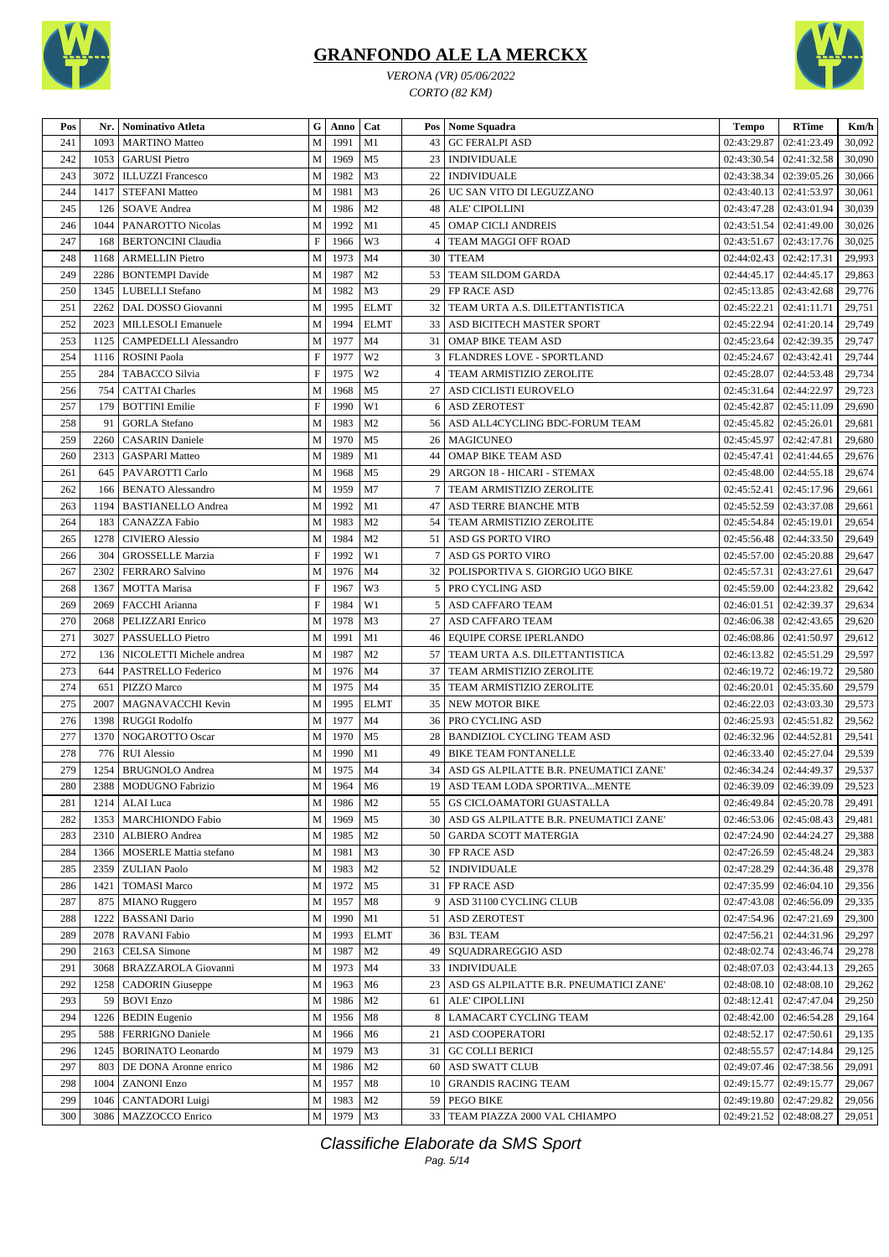

*VERONA (VR) 05/06/2022 CORTO (82 KM)*



| Pos | Nr.  | Nominativo Atleta             |                           | G   Anno | Cat            |                 | Pos   Nome Squadra                        | Tempo                     | <b>RTime</b>              | Km/h   |
|-----|------|-------------------------------|---------------------------|----------|----------------|-----------------|-------------------------------------------|---------------------------|---------------------------|--------|
| 241 | 1093 | <b>MARTINO Matteo</b>         | M                         | 1991     | M1             |                 | 43 GC FERALPI ASD                         | 02:43:29.87               | 02:41:23.49               | 30,092 |
| 242 | 1053 | <b>GARUSI</b> Pietro          | M                         | 1969     | M <sub>5</sub> |                 | 23   INDIVIDUALE                          | 02:43:30.54               | 02:41:32.58               | 30,090 |
| 243 | 3072 | <b>ILLUZZI Francesco</b>      | M                         | 1982     | M <sub>3</sub> | 22              | <b>INDIVIDUALE</b>                        | 02:43:38.34               | 02:39:05.26               | 30,066 |
| 244 | 1417 | <b>STEFANI Matteo</b>         | M                         | 1981     | M <sub>3</sub> |                 | 26 UC SAN VITO DI LEGUZZANO               | 02:43:40.13               | 02:41:53.97               | 30,061 |
| 245 | 126  | <b>SOAVE Andrea</b>           | M                         | 1986     | M <sub>2</sub> |                 | 48   ALE' CIPOLLINI                       | 02:43:47.28               | 02:43:01.94               | 30,039 |
| 246 | 1044 | PANAROTTO Nicolas             | M                         | 1992     | M1             |                 | 45   OMAP CICLI ANDREIS                   | 02:43:51.54               | 02:41:49.00               | 30,026 |
| 247 | 168  | <b>BERTONCINI Claudia</b>     | $\boldsymbol{\mathrm{F}}$ | 1966     | W3             | 4               | TEAM MAGGI OFF ROAD                       | 02:43:51.67               | 02:43:17.76               | 30,025 |
| 248 | 1168 | <b>ARMELLIN Pietro</b>        | M                         | 1973     | M <sub>4</sub> |                 | 30 TTEAM                                  | 02:44:02.43               | 02:42:17.31               | 29,993 |
| 249 | 2286 | <b>BONTEMPI</b> Davide        | M                         | 1987     | M <sub>2</sub> |                 | 53 TEAM SILDOM GARDA                      | 02:44:45.17               | 02:44:45.17               | 29,863 |
| 250 | 1345 | LUBELLI Stefano               | M                         | 1982     | M <sub>3</sub> |                 | 29 FP RACE ASD                            | 02:45:13.85               | 02:43:42.68               | 29,776 |
| 251 | 2262 | DAL DOSSO Giovanni            | M                         | 1995     | <b>ELMT</b>    |                 | 32   TEAM URTA A.S. DILETTANTISTICA       | 02:45:22.21               | 02:41:11.71               | 29,751 |
| 252 | 2023 | MILLESOLI Emanuele            | M                         | 1994     | <b>ELMT</b>    |                 | 33   ASD BICITECH MASTER SPORT            | 02:45:22.94               | 02:41:20.14               | 29,749 |
| 253 | 1125 | <b>CAMPEDELLI Alessandro</b>  | M                         | 1977     | M <sub>4</sub> | 31              | OMAP BIKE TEAM ASD                        | 02:45:23.64               | 02:42:39.35               | 29,747 |
| 254 | 1116 | <b>ROSINI Paola</b>           | $\boldsymbol{\mathrm{F}}$ | 1977     | W <sub>2</sub> | 3               | <b>FLANDRES LOVE - SPORTLAND</b>          | 02:45:24.67               | 02:43:42.41               | 29,744 |
| 255 | 284  | TABACCO Silvia                | $\boldsymbol{\mathrm{F}}$ | 1975     | W <sub>2</sub> | $\overline{4}$  | TEAM ARMISTIZIO ZEROLITE                  | 02:45:28.07               | 02:44:53.48               | 29,734 |
| 256 | 754  | <b>CATTAI</b> Charles         | M                         | 1968     | M <sub>5</sub> | 27 <sup>1</sup> | ASD CICLISTI EUROVELO                     | 02:45:31.64               | 02:44:22.97               | 29,723 |
| 257 | 179  | <b>BOTTINI</b> Emilie         | $\boldsymbol{\mathrm{F}}$ | 1990     | W1             |                 | 6 ASD ZEROTEST                            | 02:45:42.87               | 02:45:11.09               | 29,690 |
| 258 | 91   | <b>GORLA Stefano</b>          | M                         | 1983     | M <sub>2</sub> |                 | 56 ASD ALL4CYCLING BDC-FORUM TEAM         | 02:45:45.82               | 02:45:26.01               | 29,681 |
| 259 | 2260 | <b>CASARIN</b> Daniele        | M                         | 1970     | M <sub>5</sub> | 26 <sub>1</sub> | <b>MAGICUNEO</b>                          | 02:45:45.97               | 02:42:47.81               | 29,680 |
| 260 | 2313 | <b>GASPARI Matteo</b>         | M                         | 1989     | M1             | 44              | <b>OMAP BIKE TEAM ASD</b>                 | 02:45:47.41               | 02:41:44.65               | 29,676 |
| 261 | 645  | PAVAROTTI Carlo               | M                         | 1968     | M <sub>5</sub> | 29              | ARGON 18 - HICARI - STEMAX                | 02:45:48.00               | 02:44:55.18               | 29,674 |
| 262 | 166  | <b>BENATO Alessandro</b>      | M                         | 1959     | M7             | $\overline{7}$  | TEAM ARMISTIZIO ZEROLITE                  | 02:45:52.41               | 02:45:17.96               | 29,661 |
| 263 | 1194 | <b>BASTIANELLO Andrea</b>     | M                         | 1992     | M1             | 47              | ASD TERRE BIANCHE MTB                     | 02:45:52.59               | 02:43:37.08               | 29,661 |
| 264 | 183  | <b>CANAZZA Fabio</b>          | M                         | 1983     | M <sub>2</sub> | 54              | TEAM ARMISTIZIO ZEROLITE                  | 02:45:54.84               | 02:45:19.01               | 29,654 |
| 265 | 1278 | <b>CIVIERO</b> Alessio        | M                         | 1984     | M <sub>2</sub> | 51 I            | ASD GS PORTO VIRO                         | 02:45:56.48               | 02:44:33.50               | 29,649 |
| 266 | 304  | <b>GROSSELLE Marzia</b>       | $\mathbf F$               | 1992     | W1             | 7               | ASD GS PORTO VIRO                         | 02:45:57.00               | 02:45:20.88               | 29,647 |
| 267 | 2302 | <b>FERRARO Salvino</b>        | M                         | 1976     | M <sub>4</sub> | 32 <sub>1</sub> | POLISPORTIVA S. GIORGIO UGO BIKE          | 02:45:57.31               | 02:43:27.61               | 29,647 |
| 268 | 1367 | <b>MOTTA Marisa</b>           | $\boldsymbol{\mathrm{F}}$ | 1967     | W3             | 5 <sub>1</sub>  | PRO CYCLING ASD                           | 02:45:59.00               | 02:44:23.82               | 29,642 |
| 269 | 2069 | FACCHI Arianna                | $\boldsymbol{\mathrm{F}}$ | 1984     | W1             | 5 <sub>1</sub>  | ASD CAFFARO TEAM                          | 02:46:01.51               | 02:42:39.37               | 29,634 |
| 270 | 2068 | PELIZZARI Enrico              | M                         | 1978     | M <sub>3</sub> |                 | 27   ASD CAFFARO TEAM                     | 02:46:06.38               | 02:42:43.65               | 29,620 |
| 271 | 3027 | PASSUELLO Pietro              | M                         | 1991     | M1             |                 | 46   EQUIPE CORSE IPERLANDO               | 02:46:08.86               | 02:41:50.97               | 29,612 |
| 272 | 136  | NICOLETTI Michele andrea      | M                         | 1987     | M <sub>2</sub> |                 | 57   TEAM URTA A.S. DILETTANTISTICA       | 02:46:13.82               | 02:45:51.29               | 29,597 |
| 273 | 644  | PASTRELLO Federico            | M                         | 1976     | M <sub>4</sub> |                 | 37   TEAM ARMISTIZIO ZEROLITE             | 02:46:19.72               | 02:46:19.72               | 29,580 |
| 274 | 651  | PIZZO Marco                   | M                         | 1975     | M <sub>4</sub> |                 | 35   TEAM ARMISTIZIO ZEROLITE             | 02:46:20.01               | 02:45:35.60               | 29,579 |
| 275 | 2007 | MAGNAVACCHI Kevin             | M                         | 1995     | <b>ELMT</b>    |                 | 35 NEW MOTOR BIKE                         | 02:46:22.03               | 02:43:03.30               | 29,573 |
| 276 | 1398 | <b>RUGGI Rodolfo</b>          | M                         | 1977     | M <sub>4</sub> |                 | 36   PRO CYCLING ASD                      | 02:46:25.93               | 02:45:51.82               | 29,562 |
| 277 | 1370 | NOGAROTTO Oscar               | M                         | 1970     | M <sub>5</sub> |                 | 28   BANDIZIOL CYCLING TEAM ASD           | 02:46:32.96               | 02:44:52.81               | 29,541 |
| 278 | 776  | <b>RUI</b> Alessio            | M                         | 1990     | M1             | 49              | <b>BIKE TEAM FONTANELLE</b>               | 02:46:33.40               | 02:45:27.04               | 29,539 |
| 279 | 1254 | <b>BRUGNOLO</b> Andrea        | M                         | 1975     | M <sub>4</sub> | 34              | ASD GS ALPILATTE B.R. PNEUMATICI ZANE'    | 02:46:34.24               | 02:44:49.37               | 29,537 |
| 280 |      | 2388   MODUGNO Fabrizio       | M                         | 1964     | M6             |                 | 19   ASD TEAM LODA SPORTIVAMENTE          |                           | 02:46:39.09   02:46:39.09 | 29,523 |
| 281 | 1214 | ALAI Luca                     | M                         | 1986     | M <sub>2</sub> |                 | 55   GS CICLOAMATORI GUASTALLA            | 02:46:49.84               | 02:45:20.78               | 29,491 |
| 282 | 1353 | <b>MARCHIONDO Fabio</b>       | M                         | 1969     | M <sub>5</sub> | 30 <sup>1</sup> | ASD GS ALPILATTE B.R. PNEUMATICI ZANE'    | 02:46:53.06               | 02:45:08.43               | 29,481 |
| 283 | 2310 | ALBIERO Andrea                | M                         | 1985     | M <sub>2</sub> |                 | 50 GARDA SCOTT MATERGIA                   | 02:47:24.90               | 02:44:24.27               | 29,388 |
| 284 | 1366 | <b>MOSERLE Mattia stefano</b> | M                         | 1981     | M3             | 30 <sup>1</sup> | FP RACE ASD                               | 02:47:26.59               | 02:45:48.24               | 29,383 |
| 285 | 2359 | <b>ZULIAN Paolo</b>           | M                         | 1983     | M <sub>2</sub> | 52              | <b>INDIVIDUALE</b>                        | 02:47:28.29               | 02:44:36.48               | 29,378 |
| 286 | 1421 | <b>TOMASI Marco</b>           | M                         | 1972     | M <sub>5</sub> |                 | 31 FP RACE ASD                            | 02:47:35.99               | 02:46:04.10               | 29,356 |
| 287 | 875  | <b>MIANO</b> Ruggero          | M                         | 1957     | M8             | 9               | ASD 31100 CYCLING CLUB                    | 02:47:43.08               | 02:46:56.09               | 29,335 |
| 288 | 1222 | <b>BASSANI</b> Dario          | M                         | 1990     | M1             |                 | 51   ASD ZEROTEST                         | 02:47:54.96               | 02:47:21.69               | 29,300 |
| 289 | 2078 | RAVANI Fabio                  | M                         | 1993     | <b>ELMT</b>    |                 | 36 B3L TEAM                               | 02:47:56.21               | 02:44:31.96               | 29,297 |
| 290 | 2163 | CELSA Simone                  | M                         | 1987     | M <sub>2</sub> |                 | 49   SQUADRAREGGIO ASD                    | 02:48:02.74               | 02:43:46.74               | 29,278 |
| 291 | 3068 | BRAZZAROLA Giovanni           | M                         | 1973     | M <sub>4</sub> |                 | 33   INDIVIDUALE                          | 02:48:07.03               | 02:43:44.13               | 29,265 |
| 292 | 1258 | <b>CADORIN</b> Giuseppe       | M                         | 1963     | M <sub>6</sub> |                 | 23 ASD GS ALPILATTE B.R. PNEUMATICI ZANE' | 02:48:08.10               | 02:48:08.10               | 29,262 |
| 293 | 59   | <b>BOVI Enzo</b>              | $\mathbf M$               | 1986     | M <sub>2</sub> | 61              | <b>ALE' CIPOLLINI</b>                     | 02:48:12.41               | 02:47:47.04               | 29,250 |
| 294 | 1226 | <b>BEDIN</b> Eugenio          | M                         | 1956     | M8             |                 | 8 LAMACART CYCLING TEAM                   | 02:48:42.00               | 02:46:54.28               | 29,164 |
| 295 | 588  | <b>FERRIGNO Daniele</b>       | M                         | 1966     | M <sub>6</sub> | 21              | ASD COOPERATORI                           | 02:48:52.17               | 02:47:50.61               | 29,135 |
| 296 | 1245 | <b>BORINATO</b> Leonardo      | M                         | 1979     | M <sub>3</sub> |                 | 31 GC COLLI BERICI                        | 02:48:55.57               | 02:47:14.84               | 29,125 |
| 297 | 803  | DE DONA Aronne enrico         | M                         | 1986     | M <sub>2</sub> | 60              | <b>ASD SWATT CLUB</b>                     | 02:49:07.46               | 02:47:38.56               | 29,091 |
| 298 | 1004 | <b>ZANONI Enzo</b>            | M                         | 1957     | M8             | 10              | <b>GRANDIS RACING TEAM</b>                | 02:49:15.77               | 02:49:15.77               | 29,067 |
| 299 | 1046 | <b>CANTADORI</b> Luigi        | M                         | 1983     | M <sub>2</sub> |                 | 59 PEGO BIKE                              | 02:49:19.80               | 02:47:29.82               | 29,056 |
| 300 | 3086 | MAZZOCCO Enrico               | M                         | 1979     | M3             |                 | 33   TEAM PIAZZA 2000 VAL CHIAMPO         | 02:49:21.52   02:48:08.27 |                           | 29,051 |
|     |      |                               |                           |          |                |                 |                                           |                           |                           |        |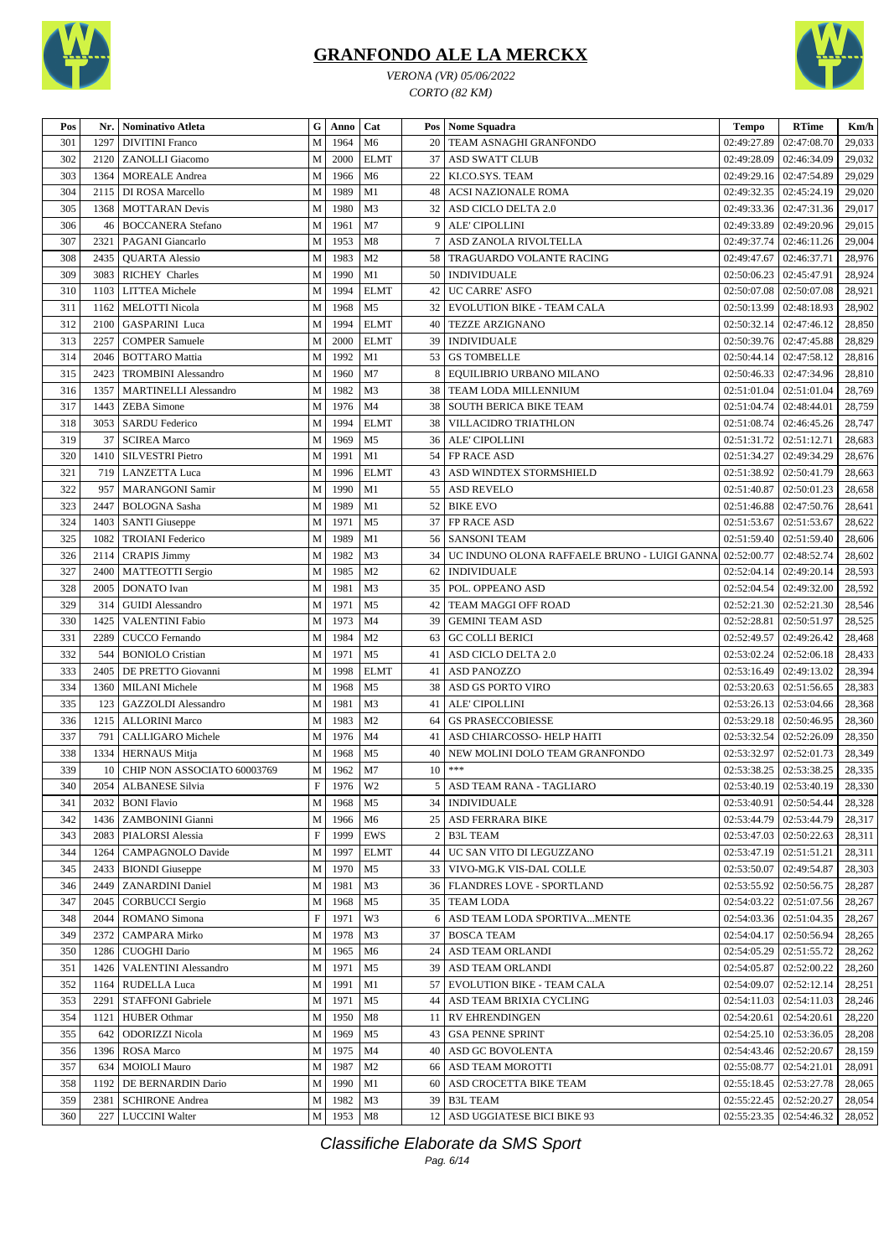





| Pos | Nr.  | <b>Nominativo Atleta</b>     | G | Anno | Cat            | Pos  | <b>Nome Squadra</b>                          | <b>Tempo</b>                  | <b>RTime</b> | Km/h   |
|-----|------|------------------------------|---|------|----------------|------|----------------------------------------------|-------------------------------|--------------|--------|
|     |      |                              |   |      |                |      |                                              |                               |              |        |
| 301 | 1297 | <b>DIVITINI Franco</b>       | M | 1964 | M <sub>6</sub> | 20   | TEAM ASNAGHI GRANFONDO                       | 02:49:27.89                   | 02:47:08.70  | 29,033 |
| 302 | 2120 | <b>ZANOLLI</b> Giacomo       | M | 2000 | <b>ELMT</b>    | 37   | <b>ASD SWATT CLUB</b>                        | 02:49:28.09                   | 02:46:34.09  | 29,032 |
| 303 | 1364 | <b>MOREALE</b> Andrea        | M | 1966 | M <sub>6</sub> | 22   | KI.CO.SYS. TEAM                              | 02:49:29.16   02:47:54.89     |              | 29,029 |
| 304 | 2115 | DI ROSA Marcello             | M | 1989 | M1             | 48   | <b>ACSI NAZIONALE ROMA</b>                   | 02:49:32.35   02:45:24.19     |              | 29,020 |
| 305 | 1368 | <b>MOTTARAN</b> Devis        | M | 1980 | M3             | 32   | ASD CICLO DELTA 2.0                          | 02:49:33.36                   | 02:47:31.36  | 29,017 |
| 306 | 46   | <b>BOCCANERA</b> Stefano     | M | 1961 | M7             | 9    | <b>ALE' CIPOLLINI</b>                        | 02:49:33.89                   | 02:49:20.96  | 29,015 |
| 307 | 2321 | PAGANI Giancarlo             | M | 1953 | M8             | 7    | ASD ZANOLA RIVOLTELLA                        | 02:49:37.74                   | 02:46:11.26  | 29,004 |
| 308 | 2435 | <b>QUARTA Alessio</b>        | M | 1983 | M <sub>2</sub> | 58   | TRAGUARDO VOLANTE RACING                     | 02:49:47.67                   | 02:46:37.71  | 28,976 |
| 309 | 3083 | <b>RICHEY Charles</b>        | M | 1990 | M1             | 50   | <b>INDIVIDUALE</b>                           | 02:50:06.23                   | 02:45:47.91  | 28,924 |
| 310 | 1103 | <b>LITTEA</b> Michele        | M | 1994 | <b>ELMT</b>    | 42   | <b>UC CARRE' ASFO</b>                        | 02:50:07.08                   | 02:50:07.08  | 28,921 |
| 311 | 1162 | <b>MELOTTI Nicola</b>        | M | 1968 | M <sub>5</sub> | 32   | EVOLUTION BIKE - TEAM CALA                   | 02:50:13.99                   | 02:48:18.93  | 28,902 |
| 312 | 2100 | GASPARINI Luca               | M | 1994 | <b>ELMT</b>    | 40   | <b>TEZZE ARZIGNANO</b>                       | 02:50:32.14                   | 02:47:46.12  | 28,850 |
| 313 | 2257 | <b>COMPER Samuele</b>        | M | 2000 | <b>ELMT</b>    | 39   | <b>INDIVIDUALE</b>                           | 02:50:39.76                   | 02:47:45.88  | 28,829 |
| 314 | 2046 | <b>BOTTARO</b> Mattia        | M | 1992 | M1             | 53   | <b>GS TOMBELLE</b>                           | 02:50:44.14                   | 02:47:58.12  | 28,816 |
| 315 | 2423 | <b>TROMBINI</b> Alessandro   | M | 1960 | M7             | 8    | EQUILIBRIO URBANO MILANO                     | 02:50:46.33   02:47:34.96     |              | 28,810 |
| 316 | 1357 | <b>MARTINELLI Alessandro</b> | M | 1982 | M3             | 38   | TEAM LODA MILLENNIUM                         | 02:51:01.04                   | 02:51:01.04  | 28,769 |
| 317 | 1443 | <b>ZEBA</b> Simone           | M | 1976 | M <sub>4</sub> | 38   | <b>SOUTH BERICA BIKE TEAM</b>                | 02:51:04.74                   | 02:48:44.01  | 28,759 |
| 318 | 3053 | <b>SARDU Federico</b>        | M | 1994 | <b>ELMT</b>    | 38   | VILLACIDRO TRIATHLON                         | 02:51:08.74                   | 02:46:45.26  | 28,747 |
| 319 | 37   | <b>SCIREA Marco</b>          | M | 1969 | M <sub>5</sub> | 36   | ALE' CIPOLLINI                               | 02:51:31.72                   | 02:51:12.71  | 28,683 |
| 320 | 1410 | <b>SILVESTRI Pietro</b>      | M | 1991 | M1             | 54   | FP RACE ASD                                  | 02:51:34.27                   | 02:49:34.29  | 28,676 |
| 321 | 719  | <b>LANZETTA Luca</b>         |   | 1996 | <b>ELMT</b>    | 43   | ASD WINDTEX STORMSHIELD                      |                               |              | 28,663 |
|     |      |                              | M |      |                |      |                                              | 02:51:38.92                   | 02:50:41.79  |        |
| 322 | 957  | <b>MARANGONI Samir</b>       | M | 1990 | M1             | 55   | <b>ASD REVELO</b>                            | 02:51:40.87                   | 02:50:01.23  | 28,658 |
| 323 | 2447 | <b>BOLOGNA</b> Sasha         | M | 1989 | M1             | 52   | <b>BIKE EVO</b>                              | 02:51:46.88                   | 02:47:50.76  | 28,641 |
| 324 | 1403 | <b>SANTI Giuseppe</b>        | M | 1971 | M <sub>5</sub> | 37   | FP RACE ASD                                  | 02:51:53.67                   | 02:51:53.67  | 28,622 |
| 325 | 1082 | <b>TROIANI</b> Federico      | M | 1989 | M1             | 56   | <b>SANSONI TEAM</b>                          | 02:51:59.40                   | 02:51:59.40  | 28,606 |
| 326 | 2114 | <b>CRAPIS Jimmy</b>          | M | 1982 | M3             | 34   | UC INDUNO OLONA RAFFAELE BRUNO - LUIGI GANNA | 02:52:00.77                   | 02:48:52.74  | 28,602 |
| 327 | 2400 | <b>MATTEOTTI</b> Sergio      | M | 1985 | M <sub>2</sub> | 62   | <b>INDIVIDUALE</b>                           | 02:52:04.14                   | 02:49:20.14  | 28,593 |
| 328 | 2005 | DONATO Ivan                  | M | 1981 | M3             | 35   | POL. OPPEANO ASD                             | 02:52:04.54   02:49:32.00     |              | 28,592 |
| 329 | 314  | <b>GUIDI</b> Alessandro      | M | 1971 | M <sub>5</sub> | 42   | TEAM MAGGI OFF ROAD                          | 02:52:21.30                   | 02:52:21.30  | 28,546 |
| 330 | 1425 | <b>VALENTINI Fabio</b>       | M | 1973 | M <sub>4</sub> | 39   | <b>GEMINI TEAM ASD</b>                       | 02:52:28.81                   | 02:50:51.97  | 28,525 |
| 331 | 2289 | CUCCO Fernando               | M | 1984 | M <sub>2</sub> | 63   | <b>GC COLLI BERICI</b>                       | 02:52:49.57                   | 02:49:26.42  | 28,468 |
| 332 | 544  | <b>BONIOLO</b> Cristian      | M | 1971 | M <sub>5</sub> | 41   | ASD CICLO DELTA 2.0                          | 02:53:02.24                   | 02:52:06.18  | 28,433 |
| 333 | 2405 | DE PRETTO Giovanni           | M | 1998 | <b>ELMT</b>    | 41   | <b>ASD PANOZZO</b>                           | 02:53:16.49                   | 02:49:13.02  | 28,394 |
| 334 | 1360 | <b>MILANI</b> Michele        | M | 1968 | M <sub>5</sub> | 38   | ASD GS PORTO VIRO                            | 02:53:20.63                   | 02:51:56.65  | 28,383 |
| 335 | 123  | <b>GAZZOLDI</b> Alessandro   | M | 1981 | M3             | 41   | <b>ALE' CIPOLLINI</b>                        | 02:53:26.13                   | 02:53:04.66  | 28,368 |
| 336 | 1215 | <b>ALLORINI Marco</b>        | M | 1983 | M <sub>2</sub> | 64   | <b>GS PRASECCOBIESSE</b>                     | 02:53:29.18                   | 02:50:46.95  | 28,360 |
| 337 | 791  | CALLIGARO Michele            | M | 1976 | M4             | 41   | ASD CHIARCOSSO- HELP HAITI                   | 02:53:32.54                   | 02:52:26.09  | 28,350 |
| 338 | 1334 | <b>HERNAUS</b> Mitja         | M | 1968 | M <sub>5</sub> | 40   | NEW MOLINI DOLO TEAM GRANFONDO               | 02:53:32.97                   | 02:52:01.73  | 28,349 |
| 339 | 10   | CHIP NON ASSOCIATO 60003769  | M | 1962 | M <sub>7</sub> | 10   | ***                                          | 02:53:38.25                   | 02:53:38.25  | 28,335 |
| 340 |      | 2054 ALBANESE Silvia         | F | 1976 | W2             |      | 5   ASD TEAM RANA - TAGLIARO                 | 02:53:40.19   02:53:40.19     |              | 28,330 |
| 341 | 2032 | <b>BONI Flavio</b>           | M | 1968 | M5             |      | 34   INDIVIDUALE                             | 02:53:40.91                   | 02:50:54.44  | 28,328 |
| 342 | 1436 | ZAMBONINI Gianni             | M | 1966 | M6             |      | 25   ASD FERRARA BIKE                        | 02:53:44.79                   | 02:53:44.79  | 28,317 |
| 343 | 2083 | PIALORSI Alessia             | F | 1999 | EWS            | 2    | <b>B3L TEAM</b>                              | $02:53:47.03$   $02:50:22.63$ |              | 28,311 |
|     |      |                              |   | 1997 |                |      | UC SAN VITO DI LEGUZZANO                     | 02:53:47.19                   |              |        |
| 344 | 1264 | CAMPAGNOLO Davide            | M |      | <b>ELMT</b>    | 44   |                                              |                               | 02:51:51.21  | 28,311 |
| 345 | 2433 | <b>BIONDI</b> Giuseppe       | M | 1970 | M <sub>5</sub> | 33   | VIVO-MG.K VIS-DAL COLLE                      | 02:53:50.07                   | 02:49:54.87  | 28,303 |
| 346 | 2449 | <b>ZANARDINI Daniel</b>      | M | 1981 | M3             |      | 36   FLANDRES LOVE - SPORTLAND               | 02:53:55.92                   | 02:50:56.75  | 28,287 |
| 347 | 2045 | <b>CORBUCCI</b> Sergio       | M | 1968 | M5             |      | 35 TEAM LODA                                 | 02:54:03.22                   | 02:51:07.56  | 28,267 |
| 348 | 2044 | ROMANO Simona                | F | 1971 | W3             | 6    | ASD TEAM LODA SPORTIVA MENTE                 | 02:54:03.36                   | 02:51:04.35  | 28,267 |
| 349 | 2372 | <b>CAMPARA Mirko</b>         | M | 1978 | M3             | 37   | <b>BOSCA TEAM</b>                            | 02:54:04.17                   | 02:50:56.94  | 28,265 |
| 350 | 1286 | CUOGHI Dario                 | M | 1965 | M6             | 24   | ASD TEAM ORLANDI                             | 02:54:05.29                   | 02:51:55.72  | 28,262 |
| 351 | 1426 | <b>VALENTINI Alessandro</b>  | M | 1971 | M <sub>5</sub> | 39   | ASD TEAM ORLANDI                             | 02:54:05.87                   | 02:52:00.22  | 28,260 |
| 352 | 1164 | <b>RUDELLA Luca</b>          | M | 1991 | M1             | 57   | EVOLUTION BIKE - TEAM CALA                   | 02:54:09.07                   | 02:52:12.14  | 28,251 |
| 353 | 2291 | STAFFONI Gabriele            | M | 1971 | M <sub>5</sub> | 44   | ASD TEAM BRIXIA CYCLING                      | $02:54:11.03$   $02:54:11.03$ |              | 28,246 |
| 354 | 1121 | <b>HUBER Othmar</b>          | M | 1950 | M8             | 11 I | <b>RV EHRENDINGEN</b>                        | $02:54:20.61$   $02:54:20.61$ |              | 28,220 |
| 355 | 642  | <b>ODORIZZI Nicola</b>       | M | 1969 | M5             | 43   | <b>GSA PENNE SPRINT</b>                      | 02:54:25.10   02:53:36.05     |              | 28,208 |
| 356 | 1396 | <b>ROSA</b> Marco            | M | 1975 | M4             | 40   | ASD GC BOVOLENTA                             | 02:54:43.46                   | 02:52:20.67  | 28,159 |
| 357 | 634  | <b>MOIOLI Mauro</b>          | M | 1987 | M <sub>2</sub> | 66   | ASD TEAM MOROTTI                             | 02:55:08.77                   | 02:54:21.01  | 28,091 |
| 358 | 1192 | DE BERNARDIN Dario           | M | 1990 | M1             | 60   | ASD CROCETTA BIKE TEAM                       | 02:55:18.45                   | 02:53:27.78  | 28,065 |
| 359 | 2381 | <b>SCHIRONE Andrea</b>       | М | 1982 | M3             | 39   | <b>B3L TEAM</b>                              | 02:55:22.45   02:52:20.27     |              | 28,054 |
| 360 | 227  | <b>LUCCINI Walter</b>        | M | 1953 | M8             |      | 12 ASD UGGIATESE BICI BIKE 93                | 02:55:23.35   02:54:46.32     |              | 28,052 |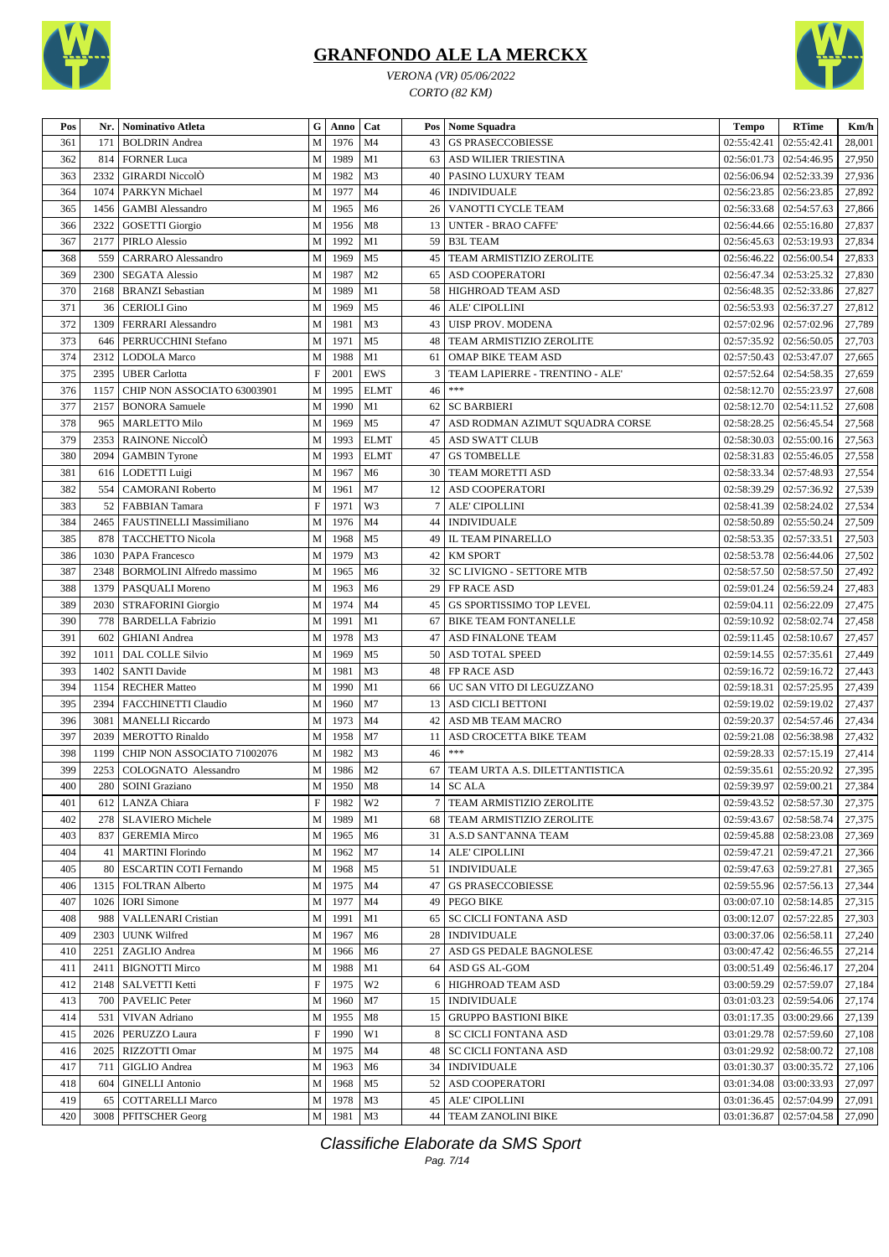

*VERONA (VR) 05/06/2022 CORTO (82 KM)*



| 1976<br>361<br>171<br><b>BOLDRIN</b> Andrea<br>M<br>M <sub>4</sub><br>43<br><b>GS PRASECCOBIESSE</b><br>02:55:42.41<br>02:55:42.41<br>28,001<br>362<br>1989<br>27,950<br>814<br><b>FORNER Luca</b><br>M<br>M1<br>63<br>ASD WILIER TRIESTINA<br>02:56:01.73<br>02:54:46.95<br>M <sub>3</sub><br>363<br>2332<br><b>GIRARDI NiccolÒ</b><br>M<br>1982<br>PASINO LUXURY TEAM<br>02:56:06.94<br>02:52:33.39<br>27,936<br>40<br>364<br>1074<br>M<br>1977<br>M <sub>4</sub><br><b>INDIVIDUALE</b><br>02:56:23.85<br>02:56:23.85<br>27,892<br>PARKYN Michael<br>46<br>M<br>1965<br>VANOTTI CYCLE TEAM<br>02:54:57.63<br>27,866<br>365<br>M <sub>6</sub><br>02:56:33.68<br>1456<br><b>GAMBI</b> Alessandro<br>26<br>2322<br>M<br>1956<br>M8<br>02:55:16.80<br>27,837<br>366<br><b>GOSETTI</b> Giorgio<br>13<br><b>UNTER - BRAO CAFFE</b><br>02:56:44.66<br>367<br>2177<br>M<br>1992<br>M1<br><b>B3L TEAM</b><br>02:53:19.93<br>27,834<br>PIRLO Alessio<br>59<br>02:56:45.63<br>368<br>M<br>1969<br>M <sub>5</sub><br>27,833<br>559<br>45<br>TEAM ARMISTIZIO ZEROLITE<br>02:56:00.54<br><b>CARRARO</b> Alessandro<br>02:56:46.22<br>M <sub>2</sub><br>27,830<br>369<br>2300<br><b>SEGATA Alessio</b><br>M<br>1987<br><b>ASD COOPERATORI</b><br>02:56:47.34<br>02:53:25.32<br>65<br>370<br>1989<br>M1<br>27,827<br>2168<br><b>BRANZI</b> Sebastian<br>M<br>58<br>HIGHROAD TEAM ASD<br>02:56:48.35<br>02:52:33.86<br>371<br>M<br>1969<br>M <sub>5</sub><br>02:56:37.27<br>27,812<br>36<br><b>CERIOLI Gino</b><br>46<br>ALE' CIPOLLINI<br>02:56:53.93<br>372<br>1309<br>FERRARI Alessandro<br>M<br>1981<br>M <sub>3</sub><br><b>UISP PROV. MODENA</b><br>02:57:02.96<br>02:57:02.96<br>27,789<br>43<br>373<br>1971<br>27,703<br>PERRUCCHINI Stefano<br>M<br>M <sub>5</sub><br>TEAM ARMISTIZIO ZEROLITE<br>02:57:35.92<br>02:56:50.05<br>48<br>646<br>M<br>374<br>2312<br>1988<br>M1<br>OMAP BIKE TEAM ASD<br>02:53:47.07<br>27,665<br><b>LODOLA</b> Marco<br>61<br>02:57:50.43<br>EWS<br>375<br>2395<br>F<br>2001<br>TEAM LAPIERRE - TRENTINO - ALE'<br>02:57:52.64   02:54:58.35<br>27,659<br><b>UBER Carlotta</b><br>3<br>$***$<br>376<br>1995<br><b>ELMT</b><br>02:58:12.70   02:55:23.97<br>27,608<br>CHIP NON ASSOCIATO 63003901<br>M<br>46<br>1157<br>M<br>1990<br>02:58:12.70   02:54:11.52<br>377<br>2157<br>M1<br>62<br><b>SC BARBIERI</b><br>27,608<br><b>BONORA</b> Samuele<br>${\bf M}$<br>02:56:45.54<br>27,568<br>378<br>965<br><b>MARLETTO Milo</b><br>1969<br>M <sub>5</sub><br>ASD RODMAN AZIMUT SQUADRA CORSE<br>02:58:28.25<br>47<br>379<br>RAINONE NiccolÒ<br>1993<br><b>ELMT</b><br><b>ASD SWATT CLUB</b><br>02:55:00.16<br>27,563<br>2353<br>M<br>02:58:30.03<br>45<br>M<br>380<br>2094<br>1993<br><b>ELMT</b><br><b>GS TOMBELLE</b><br>02:58:31.83<br>02:55:46.05<br>27,558<br><b>GAMBIN</b> Tyrone<br>47<br>381<br>1967<br>M <sub>6</sub><br>27,554<br>M<br>30<br>TEAM MORETTI ASD<br>02:58:33.34<br>02:57:48.93<br>616<br>LODETTI Luigi<br>382<br>M7<br>27,539<br>554<br>M<br>1961<br>ASD COOPERATORI<br>02:58:39.29<br>02:57:36.92<br><b>CAMORANI Roberto</b><br>12<br>$\boldsymbol{\mathrm{F}}$<br>W3<br>383<br>1971<br>ALE' CIPOLLINI<br>02:58:41.39<br>02:58:24.02<br>27,534<br>52<br><b>FABBIAN</b> Tamara<br>384<br>M<br>1976<br>M <sub>4</sub><br>02:55:50.24<br>27,509<br>2465<br>FAUSTINELLI Massimiliano<br><b>INDIVIDUALE</b><br>02:58:50.89<br>44<br>385<br>02:57:33.51<br>27,503<br>878<br><b>TACCHETTO Nicola</b><br>M<br>1968<br>M <sub>5</sub><br>49<br>IL TEAM PINARELLO<br>02:58:53.35<br>1979<br>386<br>M<br>M <sub>3</sub><br><b>KM SPORT</b><br>02:56:44.06<br>27,502<br>1030<br><b>PAPA Francesco</b><br>42<br>02:58:53.78<br>387<br>1965<br>32<br>2348<br>M<br>M <sub>6</sub><br><b>SC LIVIGNO - SETTORE MTB</b><br>02:58:57.50<br>02:58:57.50<br>27,492<br><b>BORMOLINI</b> Alfredo massimo<br>388<br>1379<br>1963<br>M <sub>6</sub><br>29<br>FP RACE ASD<br>02:59:01.24   02:56:59.24<br>27,483<br>PASQUALI Moreno<br>M<br>389<br>1974<br>27,475<br>2030<br>M<br>M <sub>4</sub><br>45<br><b>GS SPORTISSIMO TOP LEVEL</b><br>02:59:04.11<br>02:56:22.09<br><b>STRAFORINI Giorgio</b><br>M<br>1991<br>02:58:02.74<br>390<br>778<br><b>BARDELLA Fabrizio</b><br>M1<br><b>BIKE TEAM FONTANELLE</b><br>02:59:10.92<br>27,458<br>67<br>02:58:10.67<br>391<br>M<br>1978<br>M <sub>3</sub><br>ASD FINALONE TEAM<br>02:59:11.45<br>27,457<br>602<br><b>GHIANI</b> Andrea<br>47<br>392<br>1969<br>02:57:35.61<br>27,449<br>1011<br><b>DAL COLLE Silvio</b><br>M<br>M <sub>5</sub><br>50<br><b>ASD TOTAL SPEED</b><br>02:59:14.55<br>393<br>M<br>1981<br>1402<br>M <sub>3</sub><br>02:59:16.72<br>02:59:16.72<br>27,443<br><b>SANTI Davide</b><br>48<br><b>FP RACE ASD</b><br>394<br>M<br>1990<br>M1<br>UC SAN VITO DI LEGUZZANO<br>02:57:25.95<br>27,439<br>1154<br><b>RECHER Matteo</b><br>66<br>02:59:18.31<br>M <sub>7</sub><br>02:59:19.02<br>27,437<br>395<br>2394<br>FACCHINETTI Claudio<br>1960<br><b>ASD CICLI BETTONI</b><br>02:59:19.02<br>M<br>13<br>3081<br>M<br>1973<br>M <sub>4</sub><br>ASD MB TEAM MACRO<br>02:59:20.37<br>02:54:57.46<br>27,434<br>396<br><b>MANELLI</b> Riccardo<br>42<br>27,432<br>397<br>2039<br><b>MEROTTO Rinaldo</b><br>M<br>1958<br>M7<br>ASD CROCETTA BIKE TEAM<br>02:59:21.08<br>02:56:38.98<br>11<br>$***$<br>398<br>1199<br>CHIP NON ASSOCIATO 71002076<br>M<br>1982<br>M <sub>3</sub><br>46<br>02:59:28.33<br>02:57:15.19<br>27,414<br>M<br>399<br>2253<br>COLOGNATO Alessandro<br>1986<br>M <sub>2</sub><br>TEAM URTA A.S. DILETTANTISTICA<br>02:59:35.61   02:55:20.92<br>27,395<br>67<br>400<br>280 SOINI Graziano<br>M 1950<br>02:59:39.97 02:59:00.21<br>14 SC ALA<br>27,384<br>  M8<br>401<br>F<br>W <sub>2</sub><br>TEAM ARMISTIZIO ZEROLITE<br>02:59:43.52   02:58:57.30<br>27,375<br>612   LANZA Chiara<br>1982<br>7<br>402<br><b>SLAVIERO</b> Michele<br>M<br>68<br>02:59:43.67<br>02:58:58.74<br>27,375<br>278<br>1989<br>M1<br>TEAM ARMISTIZIO ZEROLITE<br>403<br><b>GEREMIA Mirco</b><br>M<br>02:59:45.88   02:58:23.08<br>27,369<br>837<br>1965<br>M6<br>31   A.S.D SANT'ANNA TEAM<br>404<br><b>MARTINI Florindo</b><br>M<br>ALE' CIPOLLINI<br>02:59:47.21<br>02:59:47.21<br>27,366<br>1962<br>M7<br>14<br>41<br>405<br><b>ESCARTIN COTI Fernando</b><br>M<br>1968<br><b>INDIVIDUALE</b><br>02:59:47.63<br>02:59:27.81<br>27,365<br>80<br>M5<br>51<br>M<br>1975<br>02:59:55.96   02:57:56.13<br>27,344<br>406<br>1315<br>FOLTRAN Alberto<br>M4<br>47<br><b>GS PRASECCOBIESSE</b><br>407<br>1977<br><b>PEGO BIKE</b><br>03:00:07.10   02:58:14.85<br>27,315<br>1026<br><b>IORI</b> Simone<br>M<br>M4<br>49<br>M1<br>03:00:12.07 02:57:22.85<br>27,303<br>408<br>988<br><b>VALLENARI Cristian</b><br>M<br>1991<br><b>SC CICLI FONTANA ASD</b><br>65<br>${\bf M}$<br>2303<br><b>UUNK Wilfred</b><br>1967<br>28   INDIVIDUALE<br>03:00:37.06   02:56:58.11<br>27,240<br>409<br>M6<br>02:56:46.55<br>2251<br>ZAGLIO Andrea<br>M<br>ASD GS PEDALE BAGNOLESE<br>03:00:47.42<br>27,214<br>410<br>1966<br>M6<br>27<br>411<br><b>BIGNOTTI Mirco</b><br>1988<br>M1<br>64 ASD GS AL-GOM<br>03:00:51.49   02:56:46.17<br>27,204<br>2411<br>M<br>$\mathbf F$<br>412<br>SALVETTI Ketti<br>1975<br>W <sub>2</sub><br>HIGHROAD TEAM ASD<br>03:00:59.29   02:57:59.07<br>27,184<br>2148<br>6<br>413<br><b>PAVELIC Peter</b><br>M<br>M7<br><b>INDIVIDUALE</b><br>03:01:03.23   02:59:54.06<br>27,174<br>700<br>1960<br>15<br>414<br>15   GRUPPO BASTIONI BIKE<br>03:01:17.35   03:00:29.66<br>27,139<br>531<br>VIVAN Adriano<br>M<br>1955<br>M8<br>$\boldsymbol{\mathrm{F}}$<br>1990<br>W1<br><b>SC CICLI FONTANA ASD</b><br>03:01:29.78   02:57:59.60<br>27,108<br>415<br>2026<br>PERUZZO Laura<br>8<br>2025<br>RIZZOTTI Omar<br>М<br>1975<br><b>SC CICLI FONTANA ASD</b><br>03:01:29.92<br>02:58:00.72<br>27,108<br>416<br>M4<br>48<br>417<br>M<br>34   INDIVIDUALE<br>03:01:30.37<br>03:00:35.72<br>27,106<br>711<br>GIGLIO Andrea<br>1963<br>M6<br>M<br>52   ASD COOPERATORI<br>03:00:33.93<br>27,097<br>418<br><b>GINELLI Antonio</b><br>1968<br>M5<br>03:01:34.08<br>604<br>419<br>1978<br><b>ALE' CIPOLLINI</b><br>03:01:36.45   02:57:04.99<br>27,091<br>65<br><b>COTTARELLI Marco</b><br>М<br>M3<br>45<br>420<br>3008<br>M<br>M <sub>3</sub><br>44   TEAM ZANOLINI BIKE<br>03:01:36.87   02:57:04.58<br>27,090<br><b>PFITSCHER Georg</b><br>1981 | Pos | Nr. | <b>Nominativo Atleta</b> | G | Anno | Cat | Pos   Nome Squadra | <b>Tempo</b> | <b>RTime</b> | Km/h |
|-----------------------------------------------------------------------------------------------------------------------------------------------------------------------------------------------------------------------------------------------------------------------------------------------------------------------------------------------------------------------------------------------------------------------------------------------------------------------------------------------------------------------------------------------------------------------------------------------------------------------------------------------------------------------------------------------------------------------------------------------------------------------------------------------------------------------------------------------------------------------------------------------------------------------------------------------------------------------------------------------------------------------------------------------------------------------------------------------------------------------------------------------------------------------------------------------------------------------------------------------------------------------------------------------------------------------------------------------------------------------------------------------------------------------------------------------------------------------------------------------------------------------------------------------------------------------------------------------------------------------------------------------------------------------------------------------------------------------------------------------------------------------------------------------------------------------------------------------------------------------------------------------------------------------------------------------------------------------------------------------------------------------------------------------------------------------------------------------------------------------------------------------------------------------------------------------------------------------------------------------------------------------------------------------------------------------------------------------------------------------------------------------------------------------------------------------------------------------------------------------------------------------------------------------------------------------------------------------------------------------------------------------------------------------------------------------------------------------------------------------------------------------------------------------------------------------------------------------------------------------------------------------------------------------------------------------------------------------------------------------------------------------------------------------------------------------------------------------------------------------------------------------------------------------------------------------------------------------------------------------------------------------------------------------------------------------------------------------------------------------------------------------------------------------------------------------------------------------------------------------------------------------------------------------------------------------------------------------------------------------------------------------------------------------------------------------------------------------------------------------------------------------------------------------------------------------------------------------------------------------------------------------------------------------------------------------------------------------------------------------------------------------------------------------------------------------------------------------------------------------------------------------------------------------------------------------------------------------------------------------------------------------------------------------------------------------------------------------------------------------------------------------------------------------------------------------------------------------------------------------------------------------------------------------------------------------------------------------------------------------------------------------------------------------------------------------------------------------------------------------------------------------------------------------------------------------------------------------------------------------------------------------------------------------------------------------------------------------------------------------------------------------------------------------------------------------------------------------------------------------------------------------------------------------------------------------------------------------------------------------------------------------------------------------------------------------------------------------------------------------------------------------------------------------------------------------------------------------------------------------------------------------------------------------------------------------------------------------------------------------------------------------------------------------------------------------------------------------------------------------------------------------------------------------------------------------------------------------------------------------------------------------------------------------------------------------------------------------------------------------------------------------------------------------------------------------------------------------------------------------------------------------------------------------------------------------------------------------------------------------------------------------------------------------------------------------------------------------------------------------------------------------------------------------------------------------------------------------------------------------------------------------------------------------------------------------------------------------------------------------------------------------------------------------------------------------------------------------------------------------------------------------------------------------------------------------------------------------------------------------------------------------------------------------------------------------------------------------------------------------------------------------------------------------------------------------------------------------------------------------------------------------------------------------------------------------------------------------------------------------------------------------------------------------------------------------------------------------------------------------------------------------------------------------------------------------------------------------------------------------------------------------------------------------------------------------------------------------------------------------------------------------------------------------------------------------------------------------------------------------------------------------------------------------------------------------------------------------------------------------------------------------------------------------------------------------------------------------------------------------------------------------------------------------------------------------------------------------------------------------------------------------------------------------------------------------------------------------------------------------------------------------------------------------------------------------------|-----|-----|--------------------------|---|------|-----|--------------------|--------------|--------------|------|
|                                                                                                                                                                                                                                                                                                                                                                                                                                                                                                                                                                                                                                                                                                                                                                                                                                                                                                                                                                                                                                                                                                                                                                                                                                                                                                                                                                                                                                                                                                                                                                                                                                                                                                                                                                                                                                                                                                                                                                                                                                                                                                                                                                                                                                                                                                                                                                                                                                                                                                                                                                                                                                                                                                                                                                                                                                                                                                                                                                                                                                                                                                                                                                                                                                                                                                                                                                                                                                                                                                                                                                                                                                                                                                                                                                                                                                                                                                                                                                                                                                                                                                                                                                                                                                                                                                                                                                                                                                                                                                                                                                                                                                                                                                                                                                                                                                                                                                                                                                                                                                                                                                                                                                                                                                                                                                                                                                                                                                                                                                                                                                                                                                                                                                                                                                                                                                                                                                                                                                                                                                                                                                                                                                                                                                                                                                                                                                                                                                                                                                                                                                                                                                                                                                                                                                                                                                                                                                                                                                                                                                                                                                                                                                                                                                                                                                                                                                                                                                                                                                                                                                                                                                                                                                                                                                                                                                                                                                                                                                                                                                                                                                                                                                                                                                                                                                                             |     |     |                          |   |      |     |                    |              |              |      |
|                                                                                                                                                                                                                                                                                                                                                                                                                                                                                                                                                                                                                                                                                                                                                                                                                                                                                                                                                                                                                                                                                                                                                                                                                                                                                                                                                                                                                                                                                                                                                                                                                                                                                                                                                                                                                                                                                                                                                                                                                                                                                                                                                                                                                                                                                                                                                                                                                                                                                                                                                                                                                                                                                                                                                                                                                                                                                                                                                                                                                                                                                                                                                                                                                                                                                                                                                                                                                                                                                                                                                                                                                                                                                                                                                                                                                                                                                                                                                                                                                                                                                                                                                                                                                                                                                                                                                                                                                                                                                                                                                                                                                                                                                                                                                                                                                                                                                                                                                                                                                                                                                                                                                                                                                                                                                                                                                                                                                                                                                                                                                                                                                                                                                                                                                                                                                                                                                                                                                                                                                                                                                                                                                                                                                                                                                                                                                                                                                                                                                                                                                                                                                                                                                                                                                                                                                                                                                                                                                                                                                                                                                                                                                                                                                                                                                                                                                                                                                                                                                                                                                                                                                                                                                                                                                                                                                                                                                                                                                                                                                                                                                                                                                                                                                                                                                                                             |     |     |                          |   |      |     |                    |              |              |      |
|                                                                                                                                                                                                                                                                                                                                                                                                                                                                                                                                                                                                                                                                                                                                                                                                                                                                                                                                                                                                                                                                                                                                                                                                                                                                                                                                                                                                                                                                                                                                                                                                                                                                                                                                                                                                                                                                                                                                                                                                                                                                                                                                                                                                                                                                                                                                                                                                                                                                                                                                                                                                                                                                                                                                                                                                                                                                                                                                                                                                                                                                                                                                                                                                                                                                                                                                                                                                                                                                                                                                                                                                                                                                                                                                                                                                                                                                                                                                                                                                                                                                                                                                                                                                                                                                                                                                                                                                                                                                                                                                                                                                                                                                                                                                                                                                                                                                                                                                                                                                                                                                                                                                                                                                                                                                                                                                                                                                                                                                                                                                                                                                                                                                                                                                                                                                                                                                                                                                                                                                                                                                                                                                                                                                                                                                                                                                                                                                                                                                                                                                                                                                                                                                                                                                                                                                                                                                                                                                                                                                                                                                                                                                                                                                                                                                                                                                                                                                                                                                                                                                                                                                                                                                                                                                                                                                                                                                                                                                                                                                                                                                                                                                                                                                                                                                                                                             |     |     |                          |   |      |     |                    |              |              |      |
|                                                                                                                                                                                                                                                                                                                                                                                                                                                                                                                                                                                                                                                                                                                                                                                                                                                                                                                                                                                                                                                                                                                                                                                                                                                                                                                                                                                                                                                                                                                                                                                                                                                                                                                                                                                                                                                                                                                                                                                                                                                                                                                                                                                                                                                                                                                                                                                                                                                                                                                                                                                                                                                                                                                                                                                                                                                                                                                                                                                                                                                                                                                                                                                                                                                                                                                                                                                                                                                                                                                                                                                                                                                                                                                                                                                                                                                                                                                                                                                                                                                                                                                                                                                                                                                                                                                                                                                                                                                                                                                                                                                                                                                                                                                                                                                                                                                                                                                                                                                                                                                                                                                                                                                                                                                                                                                                                                                                                                                                                                                                                                                                                                                                                                                                                                                                                                                                                                                                                                                                                                                                                                                                                                                                                                                                                                                                                                                                                                                                                                                                                                                                                                                                                                                                                                                                                                                                                                                                                                                                                                                                                                                                                                                                                                                                                                                                                                                                                                                                                                                                                                                                                                                                                                                                                                                                                                                                                                                                                                                                                                                                                                                                                                                                                                                                                                                             |     |     |                          |   |      |     |                    |              |              |      |
|                                                                                                                                                                                                                                                                                                                                                                                                                                                                                                                                                                                                                                                                                                                                                                                                                                                                                                                                                                                                                                                                                                                                                                                                                                                                                                                                                                                                                                                                                                                                                                                                                                                                                                                                                                                                                                                                                                                                                                                                                                                                                                                                                                                                                                                                                                                                                                                                                                                                                                                                                                                                                                                                                                                                                                                                                                                                                                                                                                                                                                                                                                                                                                                                                                                                                                                                                                                                                                                                                                                                                                                                                                                                                                                                                                                                                                                                                                                                                                                                                                                                                                                                                                                                                                                                                                                                                                                                                                                                                                                                                                                                                                                                                                                                                                                                                                                                                                                                                                                                                                                                                                                                                                                                                                                                                                                                                                                                                                                                                                                                                                                                                                                                                                                                                                                                                                                                                                                                                                                                                                                                                                                                                                                                                                                                                                                                                                                                                                                                                                                                                                                                                                                                                                                                                                                                                                                                                                                                                                                                                                                                                                                                                                                                                                                                                                                                                                                                                                                                                                                                                                                                                                                                                                                                                                                                                                                                                                                                                                                                                                                                                                                                                                                                                                                                                                                             |     |     |                          |   |      |     |                    |              |              |      |
|                                                                                                                                                                                                                                                                                                                                                                                                                                                                                                                                                                                                                                                                                                                                                                                                                                                                                                                                                                                                                                                                                                                                                                                                                                                                                                                                                                                                                                                                                                                                                                                                                                                                                                                                                                                                                                                                                                                                                                                                                                                                                                                                                                                                                                                                                                                                                                                                                                                                                                                                                                                                                                                                                                                                                                                                                                                                                                                                                                                                                                                                                                                                                                                                                                                                                                                                                                                                                                                                                                                                                                                                                                                                                                                                                                                                                                                                                                                                                                                                                                                                                                                                                                                                                                                                                                                                                                                                                                                                                                                                                                                                                                                                                                                                                                                                                                                                                                                                                                                                                                                                                                                                                                                                                                                                                                                                                                                                                                                                                                                                                                                                                                                                                                                                                                                                                                                                                                                                                                                                                                                                                                                                                                                                                                                                                                                                                                                                                                                                                                                                                                                                                                                                                                                                                                                                                                                                                                                                                                                                                                                                                                                                                                                                                                                                                                                                                                                                                                                                                                                                                                                                                                                                                                                                                                                                                                                                                                                                                                                                                                                                                                                                                                                                                                                                                                                             |     |     |                          |   |      |     |                    |              |              |      |
|                                                                                                                                                                                                                                                                                                                                                                                                                                                                                                                                                                                                                                                                                                                                                                                                                                                                                                                                                                                                                                                                                                                                                                                                                                                                                                                                                                                                                                                                                                                                                                                                                                                                                                                                                                                                                                                                                                                                                                                                                                                                                                                                                                                                                                                                                                                                                                                                                                                                                                                                                                                                                                                                                                                                                                                                                                                                                                                                                                                                                                                                                                                                                                                                                                                                                                                                                                                                                                                                                                                                                                                                                                                                                                                                                                                                                                                                                                                                                                                                                                                                                                                                                                                                                                                                                                                                                                                                                                                                                                                                                                                                                                                                                                                                                                                                                                                                                                                                                                                                                                                                                                                                                                                                                                                                                                                                                                                                                                                                                                                                                                                                                                                                                                                                                                                                                                                                                                                                                                                                                                                                                                                                                                                                                                                                                                                                                                                                                                                                                                                                                                                                                                                                                                                                                                                                                                                                                                                                                                                                                                                                                                                                                                                                                                                                                                                                                                                                                                                                                                                                                                                                                                                                                                                                                                                                                                                                                                                                                                                                                                                                                                                                                                                                                                                                                                                             |     |     |                          |   |      |     |                    |              |              |      |
|                                                                                                                                                                                                                                                                                                                                                                                                                                                                                                                                                                                                                                                                                                                                                                                                                                                                                                                                                                                                                                                                                                                                                                                                                                                                                                                                                                                                                                                                                                                                                                                                                                                                                                                                                                                                                                                                                                                                                                                                                                                                                                                                                                                                                                                                                                                                                                                                                                                                                                                                                                                                                                                                                                                                                                                                                                                                                                                                                                                                                                                                                                                                                                                                                                                                                                                                                                                                                                                                                                                                                                                                                                                                                                                                                                                                                                                                                                                                                                                                                                                                                                                                                                                                                                                                                                                                                                                                                                                                                                                                                                                                                                                                                                                                                                                                                                                                                                                                                                                                                                                                                                                                                                                                                                                                                                                                                                                                                                                                                                                                                                                                                                                                                                                                                                                                                                                                                                                                                                                                                                                                                                                                                                                                                                                                                                                                                                                                                                                                                                                                                                                                                                                                                                                                                                                                                                                                                                                                                                                                                                                                                                                                                                                                                                                                                                                                                                                                                                                                                                                                                                                                                                                                                                                                                                                                                                                                                                                                                                                                                                                                                                                                                                                                                                                                                                                             |     |     |                          |   |      |     |                    |              |              |      |
|                                                                                                                                                                                                                                                                                                                                                                                                                                                                                                                                                                                                                                                                                                                                                                                                                                                                                                                                                                                                                                                                                                                                                                                                                                                                                                                                                                                                                                                                                                                                                                                                                                                                                                                                                                                                                                                                                                                                                                                                                                                                                                                                                                                                                                                                                                                                                                                                                                                                                                                                                                                                                                                                                                                                                                                                                                                                                                                                                                                                                                                                                                                                                                                                                                                                                                                                                                                                                                                                                                                                                                                                                                                                                                                                                                                                                                                                                                                                                                                                                                                                                                                                                                                                                                                                                                                                                                                                                                                                                                                                                                                                                                                                                                                                                                                                                                                                                                                                                                                                                                                                                                                                                                                                                                                                                                                                                                                                                                                                                                                                                                                                                                                                                                                                                                                                                                                                                                                                                                                                                                                                                                                                                                                                                                                                                                                                                                                                                                                                                                                                                                                                                                                                                                                                                                                                                                                                                                                                                                                                                                                                                                                                                                                                                                                                                                                                                                                                                                                                                                                                                                                                                                                                                                                                                                                                                                                                                                                                                                                                                                                                                                                                                                                                                                                                                                                             |     |     |                          |   |      |     |                    |              |              |      |
|                                                                                                                                                                                                                                                                                                                                                                                                                                                                                                                                                                                                                                                                                                                                                                                                                                                                                                                                                                                                                                                                                                                                                                                                                                                                                                                                                                                                                                                                                                                                                                                                                                                                                                                                                                                                                                                                                                                                                                                                                                                                                                                                                                                                                                                                                                                                                                                                                                                                                                                                                                                                                                                                                                                                                                                                                                                                                                                                                                                                                                                                                                                                                                                                                                                                                                                                                                                                                                                                                                                                                                                                                                                                                                                                                                                                                                                                                                                                                                                                                                                                                                                                                                                                                                                                                                                                                                                                                                                                                                                                                                                                                                                                                                                                                                                                                                                                                                                                                                                                                                                                                                                                                                                                                                                                                                                                                                                                                                                                                                                                                                                                                                                                                                                                                                                                                                                                                                                                                                                                                                                                                                                                                                                                                                                                                                                                                                                                                                                                                                                                                                                                                                                                                                                                                                                                                                                                                                                                                                                                                                                                                                                                                                                                                                                                                                                                                                                                                                                                                                                                                                                                                                                                                                                                                                                                                                                                                                                                                                                                                                                                                                                                                                                                                                                                                                                             |     |     |                          |   |      |     |                    |              |              |      |
|                                                                                                                                                                                                                                                                                                                                                                                                                                                                                                                                                                                                                                                                                                                                                                                                                                                                                                                                                                                                                                                                                                                                                                                                                                                                                                                                                                                                                                                                                                                                                                                                                                                                                                                                                                                                                                                                                                                                                                                                                                                                                                                                                                                                                                                                                                                                                                                                                                                                                                                                                                                                                                                                                                                                                                                                                                                                                                                                                                                                                                                                                                                                                                                                                                                                                                                                                                                                                                                                                                                                                                                                                                                                                                                                                                                                                                                                                                                                                                                                                                                                                                                                                                                                                                                                                                                                                                                                                                                                                                                                                                                                                                                                                                                                                                                                                                                                                                                                                                                                                                                                                                                                                                                                                                                                                                                                                                                                                                                                                                                                                                                                                                                                                                                                                                                                                                                                                                                                                                                                                                                                                                                                                                                                                                                                                                                                                                                                                                                                                                                                                                                                                                                                                                                                                                                                                                                                                                                                                                                                                                                                                                                                                                                                                                                                                                                                                                                                                                                                                                                                                                                                                                                                                                                                                                                                                                                                                                                                                                                                                                                                                                                                                                                                                                                                                                                             |     |     |                          |   |      |     |                    |              |              |      |
|                                                                                                                                                                                                                                                                                                                                                                                                                                                                                                                                                                                                                                                                                                                                                                                                                                                                                                                                                                                                                                                                                                                                                                                                                                                                                                                                                                                                                                                                                                                                                                                                                                                                                                                                                                                                                                                                                                                                                                                                                                                                                                                                                                                                                                                                                                                                                                                                                                                                                                                                                                                                                                                                                                                                                                                                                                                                                                                                                                                                                                                                                                                                                                                                                                                                                                                                                                                                                                                                                                                                                                                                                                                                                                                                                                                                                                                                                                                                                                                                                                                                                                                                                                                                                                                                                                                                                                                                                                                                                                                                                                                                                                                                                                                                                                                                                                                                                                                                                                                                                                                                                                                                                                                                                                                                                                                                                                                                                                                                                                                                                                                                                                                                                                                                                                                                                                                                                                                                                                                                                                                                                                                                                                                                                                                                                                                                                                                                                                                                                                                                                                                                                                                                                                                                                                                                                                                                                                                                                                                                                                                                                                                                                                                                                                                                                                                                                                                                                                                                                                                                                                                                                                                                                                                                                                                                                                                                                                                                                                                                                                                                                                                                                                                                                                                                                                                             |     |     |                          |   |      |     |                    |              |              |      |
|                                                                                                                                                                                                                                                                                                                                                                                                                                                                                                                                                                                                                                                                                                                                                                                                                                                                                                                                                                                                                                                                                                                                                                                                                                                                                                                                                                                                                                                                                                                                                                                                                                                                                                                                                                                                                                                                                                                                                                                                                                                                                                                                                                                                                                                                                                                                                                                                                                                                                                                                                                                                                                                                                                                                                                                                                                                                                                                                                                                                                                                                                                                                                                                                                                                                                                                                                                                                                                                                                                                                                                                                                                                                                                                                                                                                                                                                                                                                                                                                                                                                                                                                                                                                                                                                                                                                                                                                                                                                                                                                                                                                                                                                                                                                                                                                                                                                                                                                                                                                                                                                                                                                                                                                                                                                                                                                                                                                                                                                                                                                                                                                                                                                                                                                                                                                                                                                                                                                                                                                                                                                                                                                                                                                                                                                                                                                                                                                                                                                                                                                                                                                                                                                                                                                                                                                                                                                                                                                                                                                                                                                                                                                                                                                                                                                                                                                                                                                                                                                                                                                                                                                                                                                                                                                                                                                                                                                                                                                                                                                                                                                                                                                                                                                                                                                                                                             |     |     |                          |   |      |     |                    |              |              |      |
|                                                                                                                                                                                                                                                                                                                                                                                                                                                                                                                                                                                                                                                                                                                                                                                                                                                                                                                                                                                                                                                                                                                                                                                                                                                                                                                                                                                                                                                                                                                                                                                                                                                                                                                                                                                                                                                                                                                                                                                                                                                                                                                                                                                                                                                                                                                                                                                                                                                                                                                                                                                                                                                                                                                                                                                                                                                                                                                                                                                                                                                                                                                                                                                                                                                                                                                                                                                                                                                                                                                                                                                                                                                                                                                                                                                                                                                                                                                                                                                                                                                                                                                                                                                                                                                                                                                                                                                                                                                                                                                                                                                                                                                                                                                                                                                                                                                                                                                                                                                                                                                                                                                                                                                                                                                                                                                                                                                                                                                                                                                                                                                                                                                                                                                                                                                                                                                                                                                                                                                                                                                                                                                                                                                                                                                                                                                                                                                                                                                                                                                                                                                                                                                                                                                                                                                                                                                                                                                                                                                                                                                                                                                                                                                                                                                                                                                                                                                                                                                                                                                                                                                                                                                                                                                                                                                                                                                                                                                                                                                                                                                                                                                                                                                                                                                                                                                             |     |     |                          |   |      |     |                    |              |              |      |
|                                                                                                                                                                                                                                                                                                                                                                                                                                                                                                                                                                                                                                                                                                                                                                                                                                                                                                                                                                                                                                                                                                                                                                                                                                                                                                                                                                                                                                                                                                                                                                                                                                                                                                                                                                                                                                                                                                                                                                                                                                                                                                                                                                                                                                                                                                                                                                                                                                                                                                                                                                                                                                                                                                                                                                                                                                                                                                                                                                                                                                                                                                                                                                                                                                                                                                                                                                                                                                                                                                                                                                                                                                                                                                                                                                                                                                                                                                                                                                                                                                                                                                                                                                                                                                                                                                                                                                                                                                                                                                                                                                                                                                                                                                                                                                                                                                                                                                                                                                                                                                                                                                                                                                                                                                                                                                                                                                                                                                                                                                                                                                                                                                                                                                                                                                                                                                                                                                                                                                                                                                                                                                                                                                                                                                                                                                                                                                                                                                                                                                                                                                                                                                                                                                                                                                                                                                                                                                                                                                                                                                                                                                                                                                                                                                                                                                                                                                                                                                                                                                                                                                                                                                                                                                                                                                                                                                                                                                                                                                                                                                                                                                                                                                                                                                                                                                                             |     |     |                          |   |      |     |                    |              |              |      |
|                                                                                                                                                                                                                                                                                                                                                                                                                                                                                                                                                                                                                                                                                                                                                                                                                                                                                                                                                                                                                                                                                                                                                                                                                                                                                                                                                                                                                                                                                                                                                                                                                                                                                                                                                                                                                                                                                                                                                                                                                                                                                                                                                                                                                                                                                                                                                                                                                                                                                                                                                                                                                                                                                                                                                                                                                                                                                                                                                                                                                                                                                                                                                                                                                                                                                                                                                                                                                                                                                                                                                                                                                                                                                                                                                                                                                                                                                                                                                                                                                                                                                                                                                                                                                                                                                                                                                                                                                                                                                                                                                                                                                                                                                                                                                                                                                                                                                                                                                                                                                                                                                                                                                                                                                                                                                                                                                                                                                                                                                                                                                                                                                                                                                                                                                                                                                                                                                                                                                                                                                                                                                                                                                                                                                                                                                                                                                                                                                                                                                                                                                                                                                                                                                                                                                                                                                                                                                                                                                                                                                                                                                                                                                                                                                                                                                                                                                                                                                                                                                                                                                                                                                                                                                                                                                                                                                                                                                                                                                                                                                                                                                                                                                                                                                                                                                                                             |     |     |                          |   |      |     |                    |              |              |      |
|                                                                                                                                                                                                                                                                                                                                                                                                                                                                                                                                                                                                                                                                                                                                                                                                                                                                                                                                                                                                                                                                                                                                                                                                                                                                                                                                                                                                                                                                                                                                                                                                                                                                                                                                                                                                                                                                                                                                                                                                                                                                                                                                                                                                                                                                                                                                                                                                                                                                                                                                                                                                                                                                                                                                                                                                                                                                                                                                                                                                                                                                                                                                                                                                                                                                                                                                                                                                                                                                                                                                                                                                                                                                                                                                                                                                                                                                                                                                                                                                                                                                                                                                                                                                                                                                                                                                                                                                                                                                                                                                                                                                                                                                                                                                                                                                                                                                                                                                                                                                                                                                                                                                                                                                                                                                                                                                                                                                                                                                                                                                                                                                                                                                                                                                                                                                                                                                                                                                                                                                                                                                                                                                                                                                                                                                                                                                                                                                                                                                                                                                                                                                                                                                                                                                                                                                                                                                                                                                                                                                                                                                                                                                                                                                                                                                                                                                                                                                                                                                                                                                                                                                                                                                                                                                                                                                                                                                                                                                                                                                                                                                                                                                                                                                                                                                                                                             |     |     |                          |   |      |     |                    |              |              |      |
|                                                                                                                                                                                                                                                                                                                                                                                                                                                                                                                                                                                                                                                                                                                                                                                                                                                                                                                                                                                                                                                                                                                                                                                                                                                                                                                                                                                                                                                                                                                                                                                                                                                                                                                                                                                                                                                                                                                                                                                                                                                                                                                                                                                                                                                                                                                                                                                                                                                                                                                                                                                                                                                                                                                                                                                                                                                                                                                                                                                                                                                                                                                                                                                                                                                                                                                                                                                                                                                                                                                                                                                                                                                                                                                                                                                                                                                                                                                                                                                                                                                                                                                                                                                                                                                                                                                                                                                                                                                                                                                                                                                                                                                                                                                                                                                                                                                                                                                                                                                                                                                                                                                                                                                                                                                                                                                                                                                                                                                                                                                                                                                                                                                                                                                                                                                                                                                                                                                                                                                                                                                                                                                                                                                                                                                                                                                                                                                                                                                                                                                                                                                                                                                                                                                                                                                                                                                                                                                                                                                                                                                                                                                                                                                                                                                                                                                                                                                                                                                                                                                                                                                                                                                                                                                                                                                                                                                                                                                                                                                                                                                                                                                                                                                                                                                                                                                             |     |     |                          |   |      |     |                    |              |              |      |
|                                                                                                                                                                                                                                                                                                                                                                                                                                                                                                                                                                                                                                                                                                                                                                                                                                                                                                                                                                                                                                                                                                                                                                                                                                                                                                                                                                                                                                                                                                                                                                                                                                                                                                                                                                                                                                                                                                                                                                                                                                                                                                                                                                                                                                                                                                                                                                                                                                                                                                                                                                                                                                                                                                                                                                                                                                                                                                                                                                                                                                                                                                                                                                                                                                                                                                                                                                                                                                                                                                                                                                                                                                                                                                                                                                                                                                                                                                                                                                                                                                                                                                                                                                                                                                                                                                                                                                                                                                                                                                                                                                                                                                                                                                                                                                                                                                                                                                                                                                                                                                                                                                                                                                                                                                                                                                                                                                                                                                                                                                                                                                                                                                                                                                                                                                                                                                                                                                                                                                                                                                                                                                                                                                                                                                                                                                                                                                                                                                                                                                                                                                                                                                                                                                                                                                                                                                                                                                                                                                                                                                                                                                                                                                                                                                                                                                                                                                                                                                                                                                                                                                                                                                                                                                                                                                                                                                                                                                                                                                                                                                                                                                                                                                                                                                                                                                                             |     |     |                          |   |      |     |                    |              |              |      |
|                                                                                                                                                                                                                                                                                                                                                                                                                                                                                                                                                                                                                                                                                                                                                                                                                                                                                                                                                                                                                                                                                                                                                                                                                                                                                                                                                                                                                                                                                                                                                                                                                                                                                                                                                                                                                                                                                                                                                                                                                                                                                                                                                                                                                                                                                                                                                                                                                                                                                                                                                                                                                                                                                                                                                                                                                                                                                                                                                                                                                                                                                                                                                                                                                                                                                                                                                                                                                                                                                                                                                                                                                                                                                                                                                                                                                                                                                                                                                                                                                                                                                                                                                                                                                                                                                                                                                                                                                                                                                                                                                                                                                                                                                                                                                                                                                                                                                                                                                                                                                                                                                                                                                                                                                                                                                                                                                                                                                                                                                                                                                                                                                                                                                                                                                                                                                                                                                                                                                                                                                                                                                                                                                                                                                                                                                                                                                                                                                                                                                                                                                                                                                                                                                                                                                                                                                                                                                                                                                                                                                                                                                                                                                                                                                                                                                                                                                                                                                                                                                                                                                                                                                                                                                                                                                                                                                                                                                                                                                                                                                                                                                                                                                                                                                                                                                                                             |     |     |                          |   |      |     |                    |              |              |      |
|                                                                                                                                                                                                                                                                                                                                                                                                                                                                                                                                                                                                                                                                                                                                                                                                                                                                                                                                                                                                                                                                                                                                                                                                                                                                                                                                                                                                                                                                                                                                                                                                                                                                                                                                                                                                                                                                                                                                                                                                                                                                                                                                                                                                                                                                                                                                                                                                                                                                                                                                                                                                                                                                                                                                                                                                                                                                                                                                                                                                                                                                                                                                                                                                                                                                                                                                                                                                                                                                                                                                                                                                                                                                                                                                                                                                                                                                                                                                                                                                                                                                                                                                                                                                                                                                                                                                                                                                                                                                                                                                                                                                                                                                                                                                                                                                                                                                                                                                                                                                                                                                                                                                                                                                                                                                                                                                                                                                                                                                                                                                                                                                                                                                                                                                                                                                                                                                                                                                                                                                                                                                                                                                                                                                                                                                                                                                                                                                                                                                                                                                                                                                                                                                                                                                                                                                                                                                                                                                                                                                                                                                                                                                                                                                                                                                                                                                                                                                                                                                                                                                                                                                                                                                                                                                                                                                                                                                                                                                                                                                                                                                                                                                                                                                                                                                                                                             |     |     |                          |   |      |     |                    |              |              |      |
|                                                                                                                                                                                                                                                                                                                                                                                                                                                                                                                                                                                                                                                                                                                                                                                                                                                                                                                                                                                                                                                                                                                                                                                                                                                                                                                                                                                                                                                                                                                                                                                                                                                                                                                                                                                                                                                                                                                                                                                                                                                                                                                                                                                                                                                                                                                                                                                                                                                                                                                                                                                                                                                                                                                                                                                                                                                                                                                                                                                                                                                                                                                                                                                                                                                                                                                                                                                                                                                                                                                                                                                                                                                                                                                                                                                                                                                                                                                                                                                                                                                                                                                                                                                                                                                                                                                                                                                                                                                                                                                                                                                                                                                                                                                                                                                                                                                                                                                                                                                                                                                                                                                                                                                                                                                                                                                                                                                                                                                                                                                                                                                                                                                                                                                                                                                                                                                                                                                                                                                                                                                                                                                                                                                                                                                                                                                                                                                                                                                                                                                                                                                                                                                                                                                                                                                                                                                                                                                                                                                                                                                                                                                                                                                                                                                                                                                                                                                                                                                                                                                                                                                                                                                                                                                                                                                                                                                                                                                                                                                                                                                                                                                                                                                                                                                                                                                             |     |     |                          |   |      |     |                    |              |              |      |
|                                                                                                                                                                                                                                                                                                                                                                                                                                                                                                                                                                                                                                                                                                                                                                                                                                                                                                                                                                                                                                                                                                                                                                                                                                                                                                                                                                                                                                                                                                                                                                                                                                                                                                                                                                                                                                                                                                                                                                                                                                                                                                                                                                                                                                                                                                                                                                                                                                                                                                                                                                                                                                                                                                                                                                                                                                                                                                                                                                                                                                                                                                                                                                                                                                                                                                                                                                                                                                                                                                                                                                                                                                                                                                                                                                                                                                                                                                                                                                                                                                                                                                                                                                                                                                                                                                                                                                                                                                                                                                                                                                                                                                                                                                                                                                                                                                                                                                                                                                                                                                                                                                                                                                                                                                                                                                                                                                                                                                                                                                                                                                                                                                                                                                                                                                                                                                                                                                                                                                                                                                                                                                                                                                                                                                                                                                                                                                                                                                                                                                                                                                                                                                                                                                                                                                                                                                                                                                                                                                                                                                                                                                                                                                                                                                                                                                                                                                                                                                                                                                                                                                                                                                                                                                                                                                                                                                                                                                                                                                                                                                                                                                                                                                                                                                                                                                                             |     |     |                          |   |      |     |                    |              |              |      |
|                                                                                                                                                                                                                                                                                                                                                                                                                                                                                                                                                                                                                                                                                                                                                                                                                                                                                                                                                                                                                                                                                                                                                                                                                                                                                                                                                                                                                                                                                                                                                                                                                                                                                                                                                                                                                                                                                                                                                                                                                                                                                                                                                                                                                                                                                                                                                                                                                                                                                                                                                                                                                                                                                                                                                                                                                                                                                                                                                                                                                                                                                                                                                                                                                                                                                                                                                                                                                                                                                                                                                                                                                                                                                                                                                                                                                                                                                                                                                                                                                                                                                                                                                                                                                                                                                                                                                                                                                                                                                                                                                                                                                                                                                                                                                                                                                                                                                                                                                                                                                                                                                                                                                                                                                                                                                                                                                                                                                                                                                                                                                                                                                                                                                                                                                                                                                                                                                                                                                                                                                                                                                                                                                                                                                                                                                                                                                                                                                                                                                                                                                                                                                                                                                                                                                                                                                                                                                                                                                                                                                                                                                                                                                                                                                                                                                                                                                                                                                                                                                                                                                                                                                                                                                                                                                                                                                                                                                                                                                                                                                                                                                                                                                                                                                                                                                                                             |     |     |                          |   |      |     |                    |              |              |      |
|                                                                                                                                                                                                                                                                                                                                                                                                                                                                                                                                                                                                                                                                                                                                                                                                                                                                                                                                                                                                                                                                                                                                                                                                                                                                                                                                                                                                                                                                                                                                                                                                                                                                                                                                                                                                                                                                                                                                                                                                                                                                                                                                                                                                                                                                                                                                                                                                                                                                                                                                                                                                                                                                                                                                                                                                                                                                                                                                                                                                                                                                                                                                                                                                                                                                                                                                                                                                                                                                                                                                                                                                                                                                                                                                                                                                                                                                                                                                                                                                                                                                                                                                                                                                                                                                                                                                                                                                                                                                                                                                                                                                                                                                                                                                                                                                                                                                                                                                                                                                                                                                                                                                                                                                                                                                                                                                                                                                                                                                                                                                                                                                                                                                                                                                                                                                                                                                                                                                                                                                                                                                                                                                                                                                                                                                                                                                                                                                                                                                                                                                                                                                                                                                                                                                                                                                                                                                                                                                                                                                                                                                                                                                                                                                                                                                                                                                                                                                                                                                                                                                                                                                                                                                                                                                                                                                                                                                                                                                                                                                                                                                                                                                                                                                                                                                                                                             |     |     |                          |   |      |     |                    |              |              |      |
|                                                                                                                                                                                                                                                                                                                                                                                                                                                                                                                                                                                                                                                                                                                                                                                                                                                                                                                                                                                                                                                                                                                                                                                                                                                                                                                                                                                                                                                                                                                                                                                                                                                                                                                                                                                                                                                                                                                                                                                                                                                                                                                                                                                                                                                                                                                                                                                                                                                                                                                                                                                                                                                                                                                                                                                                                                                                                                                                                                                                                                                                                                                                                                                                                                                                                                                                                                                                                                                                                                                                                                                                                                                                                                                                                                                                                                                                                                                                                                                                                                                                                                                                                                                                                                                                                                                                                                                                                                                                                                                                                                                                                                                                                                                                                                                                                                                                                                                                                                                                                                                                                                                                                                                                                                                                                                                                                                                                                                                                                                                                                                                                                                                                                                                                                                                                                                                                                                                                                                                                                                                                                                                                                                                                                                                                                                                                                                                                                                                                                                                                                                                                                                                                                                                                                                                                                                                                                                                                                                                                                                                                                                                                                                                                                                                                                                                                                                                                                                                                                                                                                                                                                                                                                                                                                                                                                                                                                                                                                                                                                                                                                                                                                                                                                                                                                                                             |     |     |                          |   |      |     |                    |              |              |      |
|                                                                                                                                                                                                                                                                                                                                                                                                                                                                                                                                                                                                                                                                                                                                                                                                                                                                                                                                                                                                                                                                                                                                                                                                                                                                                                                                                                                                                                                                                                                                                                                                                                                                                                                                                                                                                                                                                                                                                                                                                                                                                                                                                                                                                                                                                                                                                                                                                                                                                                                                                                                                                                                                                                                                                                                                                                                                                                                                                                                                                                                                                                                                                                                                                                                                                                                                                                                                                                                                                                                                                                                                                                                                                                                                                                                                                                                                                                                                                                                                                                                                                                                                                                                                                                                                                                                                                                                                                                                                                                                                                                                                                                                                                                                                                                                                                                                                                                                                                                                                                                                                                                                                                                                                                                                                                                                                                                                                                                                                                                                                                                                                                                                                                                                                                                                                                                                                                                                                                                                                                                                                                                                                                                                                                                                                                                                                                                                                                                                                                                                                                                                                                                                                                                                                                                                                                                                                                                                                                                                                                                                                                                                                                                                                                                                                                                                                                                                                                                                                                                                                                                                                                                                                                                                                                                                                                                                                                                                                                                                                                                                                                                                                                                                                                                                                                                                             |     |     |                          |   |      |     |                    |              |              |      |
|                                                                                                                                                                                                                                                                                                                                                                                                                                                                                                                                                                                                                                                                                                                                                                                                                                                                                                                                                                                                                                                                                                                                                                                                                                                                                                                                                                                                                                                                                                                                                                                                                                                                                                                                                                                                                                                                                                                                                                                                                                                                                                                                                                                                                                                                                                                                                                                                                                                                                                                                                                                                                                                                                                                                                                                                                                                                                                                                                                                                                                                                                                                                                                                                                                                                                                                                                                                                                                                                                                                                                                                                                                                                                                                                                                                                                                                                                                                                                                                                                                                                                                                                                                                                                                                                                                                                                                                                                                                                                                                                                                                                                                                                                                                                                                                                                                                                                                                                                                                                                                                                                                                                                                                                                                                                                                                                                                                                                                                                                                                                                                                                                                                                                                                                                                                                                                                                                                                                                                                                                                                                                                                                                                                                                                                                                                                                                                                                                                                                                                                                                                                                                                                                                                                                                                                                                                                                                                                                                                                                                                                                                                                                                                                                                                                                                                                                                                                                                                                                                                                                                                                                                                                                                                                                                                                                                                                                                                                                                                                                                                                                                                                                                                                                                                                                                                                             |     |     |                          |   |      |     |                    |              |              |      |
|                                                                                                                                                                                                                                                                                                                                                                                                                                                                                                                                                                                                                                                                                                                                                                                                                                                                                                                                                                                                                                                                                                                                                                                                                                                                                                                                                                                                                                                                                                                                                                                                                                                                                                                                                                                                                                                                                                                                                                                                                                                                                                                                                                                                                                                                                                                                                                                                                                                                                                                                                                                                                                                                                                                                                                                                                                                                                                                                                                                                                                                                                                                                                                                                                                                                                                                                                                                                                                                                                                                                                                                                                                                                                                                                                                                                                                                                                                                                                                                                                                                                                                                                                                                                                                                                                                                                                                                                                                                                                                                                                                                                                                                                                                                                                                                                                                                                                                                                                                                                                                                                                                                                                                                                                                                                                                                                                                                                                                                                                                                                                                                                                                                                                                                                                                                                                                                                                                                                                                                                                                                                                                                                                                                                                                                                                                                                                                                                                                                                                                                                                                                                                                                                                                                                                                                                                                                                                                                                                                                                                                                                                                                                                                                                                                                                                                                                                                                                                                                                                                                                                                                                                                                                                                                                                                                                                                                                                                                                                                                                                                                                                                                                                                                                                                                                                                                             |     |     |                          |   |      |     |                    |              |              |      |
|                                                                                                                                                                                                                                                                                                                                                                                                                                                                                                                                                                                                                                                                                                                                                                                                                                                                                                                                                                                                                                                                                                                                                                                                                                                                                                                                                                                                                                                                                                                                                                                                                                                                                                                                                                                                                                                                                                                                                                                                                                                                                                                                                                                                                                                                                                                                                                                                                                                                                                                                                                                                                                                                                                                                                                                                                                                                                                                                                                                                                                                                                                                                                                                                                                                                                                                                                                                                                                                                                                                                                                                                                                                                                                                                                                                                                                                                                                                                                                                                                                                                                                                                                                                                                                                                                                                                                                                                                                                                                                                                                                                                                                                                                                                                                                                                                                                                                                                                                                                                                                                                                                                                                                                                                                                                                                                                                                                                                                                                                                                                                                                                                                                                                                                                                                                                                                                                                                                                                                                                                                                                                                                                                                                                                                                                                                                                                                                                                                                                                                                                                                                                                                                                                                                                                                                                                                                                                                                                                                                                                                                                                                                                                                                                                                                                                                                                                                                                                                                                                                                                                                                                                                                                                                                                                                                                                                                                                                                                                                                                                                                                                                                                                                                                                                                                                                                             |     |     |                          |   |      |     |                    |              |              |      |
|                                                                                                                                                                                                                                                                                                                                                                                                                                                                                                                                                                                                                                                                                                                                                                                                                                                                                                                                                                                                                                                                                                                                                                                                                                                                                                                                                                                                                                                                                                                                                                                                                                                                                                                                                                                                                                                                                                                                                                                                                                                                                                                                                                                                                                                                                                                                                                                                                                                                                                                                                                                                                                                                                                                                                                                                                                                                                                                                                                                                                                                                                                                                                                                                                                                                                                                                                                                                                                                                                                                                                                                                                                                                                                                                                                                                                                                                                                                                                                                                                                                                                                                                                                                                                                                                                                                                                                                                                                                                                                                                                                                                                                                                                                                                                                                                                                                                                                                                                                                                                                                                                                                                                                                                                                                                                                                                                                                                                                                                                                                                                                                                                                                                                                                                                                                                                                                                                                                                                                                                                                                                                                                                                                                                                                                                                                                                                                                                                                                                                                                                                                                                                                                                                                                                                                                                                                                                                                                                                                                                                                                                                                                                                                                                                                                                                                                                                                                                                                                                                                                                                                                                                                                                                                                                                                                                                                                                                                                                                                                                                                                                                                                                                                                                                                                                                                                             |     |     |                          |   |      |     |                    |              |              |      |
|                                                                                                                                                                                                                                                                                                                                                                                                                                                                                                                                                                                                                                                                                                                                                                                                                                                                                                                                                                                                                                                                                                                                                                                                                                                                                                                                                                                                                                                                                                                                                                                                                                                                                                                                                                                                                                                                                                                                                                                                                                                                                                                                                                                                                                                                                                                                                                                                                                                                                                                                                                                                                                                                                                                                                                                                                                                                                                                                                                                                                                                                                                                                                                                                                                                                                                                                                                                                                                                                                                                                                                                                                                                                                                                                                                                                                                                                                                                                                                                                                                                                                                                                                                                                                                                                                                                                                                                                                                                                                                                                                                                                                                                                                                                                                                                                                                                                                                                                                                                                                                                                                                                                                                                                                                                                                                                                                                                                                                                                                                                                                                                                                                                                                                                                                                                                                                                                                                                                                                                                                                                                                                                                                                                                                                                                                                                                                                                                                                                                                                                                                                                                                                                                                                                                                                                                                                                                                                                                                                                                                                                                                                                                                                                                                                                                                                                                                                                                                                                                                                                                                                                                                                                                                                                                                                                                                                                                                                                                                                                                                                                                                                                                                                                                                                                                                                                             |     |     |                          |   |      |     |                    |              |              |      |
|                                                                                                                                                                                                                                                                                                                                                                                                                                                                                                                                                                                                                                                                                                                                                                                                                                                                                                                                                                                                                                                                                                                                                                                                                                                                                                                                                                                                                                                                                                                                                                                                                                                                                                                                                                                                                                                                                                                                                                                                                                                                                                                                                                                                                                                                                                                                                                                                                                                                                                                                                                                                                                                                                                                                                                                                                                                                                                                                                                                                                                                                                                                                                                                                                                                                                                                                                                                                                                                                                                                                                                                                                                                                                                                                                                                                                                                                                                                                                                                                                                                                                                                                                                                                                                                                                                                                                                                                                                                                                                                                                                                                                                                                                                                                                                                                                                                                                                                                                                                                                                                                                                                                                                                                                                                                                                                                                                                                                                                                                                                                                                                                                                                                                                                                                                                                                                                                                                                                                                                                                                                                                                                                                                                                                                                                                                                                                                                                                                                                                                                                                                                                                                                                                                                                                                                                                                                                                                                                                                                                                                                                                                                                                                                                                                                                                                                                                                                                                                                                                                                                                                                                                                                                                                                                                                                                                                                                                                                                                                                                                                                                                                                                                                                                                                                                                                                             |     |     |                          |   |      |     |                    |              |              |      |
|                                                                                                                                                                                                                                                                                                                                                                                                                                                                                                                                                                                                                                                                                                                                                                                                                                                                                                                                                                                                                                                                                                                                                                                                                                                                                                                                                                                                                                                                                                                                                                                                                                                                                                                                                                                                                                                                                                                                                                                                                                                                                                                                                                                                                                                                                                                                                                                                                                                                                                                                                                                                                                                                                                                                                                                                                                                                                                                                                                                                                                                                                                                                                                                                                                                                                                                                                                                                                                                                                                                                                                                                                                                                                                                                                                                                                                                                                                                                                                                                                                                                                                                                                                                                                                                                                                                                                                                                                                                                                                                                                                                                                                                                                                                                                                                                                                                                                                                                                                                                                                                                                                                                                                                                                                                                                                                                                                                                                                                                                                                                                                                                                                                                                                                                                                                                                                                                                                                                                                                                                                                                                                                                                                                                                                                                                                                                                                                                                                                                                                                                                                                                                                                                                                                                                                                                                                                                                                                                                                                                                                                                                                                                                                                                                                                                                                                                                                                                                                                                                                                                                                                                                                                                                                                                                                                                                                                                                                                                                                                                                                                                                                                                                                                                                                                                                                                             |     |     |                          |   |      |     |                    |              |              |      |
|                                                                                                                                                                                                                                                                                                                                                                                                                                                                                                                                                                                                                                                                                                                                                                                                                                                                                                                                                                                                                                                                                                                                                                                                                                                                                                                                                                                                                                                                                                                                                                                                                                                                                                                                                                                                                                                                                                                                                                                                                                                                                                                                                                                                                                                                                                                                                                                                                                                                                                                                                                                                                                                                                                                                                                                                                                                                                                                                                                                                                                                                                                                                                                                                                                                                                                                                                                                                                                                                                                                                                                                                                                                                                                                                                                                                                                                                                                                                                                                                                                                                                                                                                                                                                                                                                                                                                                                                                                                                                                                                                                                                                                                                                                                                                                                                                                                                                                                                                                                                                                                                                                                                                                                                                                                                                                                                                                                                                                                                                                                                                                                                                                                                                                                                                                                                                                                                                                                                                                                                                                                                                                                                                                                                                                                                                                                                                                                                                                                                                                                                                                                                                                                                                                                                                                                                                                                                                                                                                                                                                                                                                                                                                                                                                                                                                                                                                                                                                                                                                                                                                                                                                                                                                                                                                                                                                                                                                                                                                                                                                                                                                                                                                                                                                                                                                                                             |     |     |                          |   |      |     |                    |              |              |      |
|                                                                                                                                                                                                                                                                                                                                                                                                                                                                                                                                                                                                                                                                                                                                                                                                                                                                                                                                                                                                                                                                                                                                                                                                                                                                                                                                                                                                                                                                                                                                                                                                                                                                                                                                                                                                                                                                                                                                                                                                                                                                                                                                                                                                                                                                                                                                                                                                                                                                                                                                                                                                                                                                                                                                                                                                                                                                                                                                                                                                                                                                                                                                                                                                                                                                                                                                                                                                                                                                                                                                                                                                                                                                                                                                                                                                                                                                                                                                                                                                                                                                                                                                                                                                                                                                                                                                                                                                                                                                                                                                                                                                                                                                                                                                                                                                                                                                                                                                                                                                                                                                                                                                                                                                                                                                                                                                                                                                                                                                                                                                                                                                                                                                                                                                                                                                                                                                                                                                                                                                                                                                                                                                                                                                                                                                                                                                                                                                                                                                                                                                                                                                                                                                                                                                                                                                                                                                                                                                                                                                                                                                                                                                                                                                                                                                                                                                                                                                                                                                                                                                                                                                                                                                                                                                                                                                                                                                                                                                                                                                                                                                                                                                                                                                                                                                                                                             |     |     |                          |   |      |     |                    |              |              |      |
|                                                                                                                                                                                                                                                                                                                                                                                                                                                                                                                                                                                                                                                                                                                                                                                                                                                                                                                                                                                                                                                                                                                                                                                                                                                                                                                                                                                                                                                                                                                                                                                                                                                                                                                                                                                                                                                                                                                                                                                                                                                                                                                                                                                                                                                                                                                                                                                                                                                                                                                                                                                                                                                                                                                                                                                                                                                                                                                                                                                                                                                                                                                                                                                                                                                                                                                                                                                                                                                                                                                                                                                                                                                                                                                                                                                                                                                                                                                                                                                                                                                                                                                                                                                                                                                                                                                                                                                                                                                                                                                                                                                                                                                                                                                                                                                                                                                                                                                                                                                                                                                                                                                                                                                                                                                                                                                                                                                                                                                                                                                                                                                                                                                                                                                                                                                                                                                                                                                                                                                                                                                                                                                                                                                                                                                                                                                                                                                                                                                                                                                                                                                                                                                                                                                                                                                                                                                                                                                                                                                                                                                                                                                                                                                                                                                                                                                                                                                                                                                                                                                                                                                                                                                                                                                                                                                                                                                                                                                                                                                                                                                                                                                                                                                                                                                                                                                             |     |     |                          |   |      |     |                    |              |              |      |
|                                                                                                                                                                                                                                                                                                                                                                                                                                                                                                                                                                                                                                                                                                                                                                                                                                                                                                                                                                                                                                                                                                                                                                                                                                                                                                                                                                                                                                                                                                                                                                                                                                                                                                                                                                                                                                                                                                                                                                                                                                                                                                                                                                                                                                                                                                                                                                                                                                                                                                                                                                                                                                                                                                                                                                                                                                                                                                                                                                                                                                                                                                                                                                                                                                                                                                                                                                                                                                                                                                                                                                                                                                                                                                                                                                                                                                                                                                                                                                                                                                                                                                                                                                                                                                                                                                                                                                                                                                                                                                                                                                                                                                                                                                                                                                                                                                                                                                                                                                                                                                                                                                                                                                                                                                                                                                                                                                                                                                                                                                                                                                                                                                                                                                                                                                                                                                                                                                                                                                                                                                                                                                                                                                                                                                                                                                                                                                                                                                                                                                                                                                                                                                                                                                                                                                                                                                                                                                                                                                                                                                                                                                                                                                                                                                                                                                                                                                                                                                                                                                                                                                                                                                                                                                                                                                                                                                                                                                                                                                                                                                                                                                                                                                                                                                                                                                                             |     |     |                          |   |      |     |                    |              |              |      |
|                                                                                                                                                                                                                                                                                                                                                                                                                                                                                                                                                                                                                                                                                                                                                                                                                                                                                                                                                                                                                                                                                                                                                                                                                                                                                                                                                                                                                                                                                                                                                                                                                                                                                                                                                                                                                                                                                                                                                                                                                                                                                                                                                                                                                                                                                                                                                                                                                                                                                                                                                                                                                                                                                                                                                                                                                                                                                                                                                                                                                                                                                                                                                                                                                                                                                                                                                                                                                                                                                                                                                                                                                                                                                                                                                                                                                                                                                                                                                                                                                                                                                                                                                                                                                                                                                                                                                                                                                                                                                                                                                                                                                                                                                                                                                                                                                                                                                                                                                                                                                                                                                                                                                                                                                                                                                                                                                                                                                                                                                                                                                                                                                                                                                                                                                                                                                                                                                                                                                                                                                                                                                                                                                                                                                                                                                                                                                                                                                                                                                                                                                                                                                                                                                                                                                                                                                                                                                                                                                                                                                                                                                                                                                                                                                                                                                                                                                                                                                                                                                                                                                                                                                                                                                                                                                                                                                                                                                                                                                                                                                                                                                                                                                                                                                                                                                                                             |     |     |                          |   |      |     |                    |              |              |      |
|                                                                                                                                                                                                                                                                                                                                                                                                                                                                                                                                                                                                                                                                                                                                                                                                                                                                                                                                                                                                                                                                                                                                                                                                                                                                                                                                                                                                                                                                                                                                                                                                                                                                                                                                                                                                                                                                                                                                                                                                                                                                                                                                                                                                                                                                                                                                                                                                                                                                                                                                                                                                                                                                                                                                                                                                                                                                                                                                                                                                                                                                                                                                                                                                                                                                                                                                                                                                                                                                                                                                                                                                                                                                                                                                                                                                                                                                                                                                                                                                                                                                                                                                                                                                                                                                                                                                                                                                                                                                                                                                                                                                                                                                                                                                                                                                                                                                                                                                                                                                                                                                                                                                                                                                                                                                                                                                                                                                                                                                                                                                                                                                                                                                                                                                                                                                                                                                                                                                                                                                                                                                                                                                                                                                                                                                                                                                                                                                                                                                                                                                                                                                                                                                                                                                                                                                                                                                                                                                                                                                                                                                                                                                                                                                                                                                                                                                                                                                                                                                                                                                                                                                                                                                                                                                                                                                                                                                                                                                                                                                                                                                                                                                                                                                                                                                                                                             |     |     |                          |   |      |     |                    |              |              |      |
|                                                                                                                                                                                                                                                                                                                                                                                                                                                                                                                                                                                                                                                                                                                                                                                                                                                                                                                                                                                                                                                                                                                                                                                                                                                                                                                                                                                                                                                                                                                                                                                                                                                                                                                                                                                                                                                                                                                                                                                                                                                                                                                                                                                                                                                                                                                                                                                                                                                                                                                                                                                                                                                                                                                                                                                                                                                                                                                                                                                                                                                                                                                                                                                                                                                                                                                                                                                                                                                                                                                                                                                                                                                                                                                                                                                                                                                                                                                                                                                                                                                                                                                                                                                                                                                                                                                                                                                                                                                                                                                                                                                                                                                                                                                                                                                                                                                                                                                                                                                                                                                                                                                                                                                                                                                                                                                                                                                                                                                                                                                                                                                                                                                                                                                                                                                                                                                                                                                                                                                                                                                                                                                                                                                                                                                                                                                                                                                                                                                                                                                                                                                                                                                                                                                                                                                                                                                                                                                                                                                                                                                                                                                                                                                                                                                                                                                                                                                                                                                                                                                                                                                                                                                                                                                                                                                                                                                                                                                                                                                                                                                                                                                                                                                                                                                                                                                             |     |     |                          |   |      |     |                    |              |              |      |
|                                                                                                                                                                                                                                                                                                                                                                                                                                                                                                                                                                                                                                                                                                                                                                                                                                                                                                                                                                                                                                                                                                                                                                                                                                                                                                                                                                                                                                                                                                                                                                                                                                                                                                                                                                                                                                                                                                                                                                                                                                                                                                                                                                                                                                                                                                                                                                                                                                                                                                                                                                                                                                                                                                                                                                                                                                                                                                                                                                                                                                                                                                                                                                                                                                                                                                                                                                                                                                                                                                                                                                                                                                                                                                                                                                                                                                                                                                                                                                                                                                                                                                                                                                                                                                                                                                                                                                                                                                                                                                                                                                                                                                                                                                                                                                                                                                                                                                                                                                                                                                                                                                                                                                                                                                                                                                                                                                                                                                                                                                                                                                                                                                                                                                                                                                                                                                                                                                                                                                                                                                                                                                                                                                                                                                                                                                                                                                                                                                                                                                                                                                                                                                                                                                                                                                                                                                                                                                                                                                                                                                                                                                                                                                                                                                                                                                                                                                                                                                                                                                                                                                                                                                                                                                                                                                                                                                                                                                                                                                                                                                                                                                                                                                                                                                                                                                                             |     |     |                          |   |      |     |                    |              |              |      |
|                                                                                                                                                                                                                                                                                                                                                                                                                                                                                                                                                                                                                                                                                                                                                                                                                                                                                                                                                                                                                                                                                                                                                                                                                                                                                                                                                                                                                                                                                                                                                                                                                                                                                                                                                                                                                                                                                                                                                                                                                                                                                                                                                                                                                                                                                                                                                                                                                                                                                                                                                                                                                                                                                                                                                                                                                                                                                                                                                                                                                                                                                                                                                                                                                                                                                                                                                                                                                                                                                                                                                                                                                                                                                                                                                                                                                                                                                                                                                                                                                                                                                                                                                                                                                                                                                                                                                                                                                                                                                                                                                                                                                                                                                                                                                                                                                                                                                                                                                                                                                                                                                                                                                                                                                                                                                                                                                                                                                                                                                                                                                                                                                                                                                                                                                                                                                                                                                                                                                                                                                                                                                                                                                                                                                                                                                                                                                                                                                                                                                                                                                                                                                                                                                                                                                                                                                                                                                                                                                                                                                                                                                                                                                                                                                                                                                                                                                                                                                                                                                                                                                                                                                                                                                                                                                                                                                                                                                                                                                                                                                                                                                                                                                                                                                                                                                                                             |     |     |                          |   |      |     |                    |              |              |      |
|                                                                                                                                                                                                                                                                                                                                                                                                                                                                                                                                                                                                                                                                                                                                                                                                                                                                                                                                                                                                                                                                                                                                                                                                                                                                                                                                                                                                                                                                                                                                                                                                                                                                                                                                                                                                                                                                                                                                                                                                                                                                                                                                                                                                                                                                                                                                                                                                                                                                                                                                                                                                                                                                                                                                                                                                                                                                                                                                                                                                                                                                                                                                                                                                                                                                                                                                                                                                                                                                                                                                                                                                                                                                                                                                                                                                                                                                                                                                                                                                                                                                                                                                                                                                                                                                                                                                                                                                                                                                                                                                                                                                                                                                                                                                                                                                                                                                                                                                                                                                                                                                                                                                                                                                                                                                                                                                                                                                                                                                                                                                                                                                                                                                                                                                                                                                                                                                                                                                                                                                                                                                                                                                                                                                                                                                                                                                                                                                                                                                                                                                                                                                                                                                                                                                                                                                                                                                                                                                                                                                                                                                                                                                                                                                                                                                                                                                                                                                                                                                                                                                                                                                                                                                                                                                                                                                                                                                                                                                                                                                                                                                                                                                                                                                                                                                                                                             |     |     |                          |   |      |     |                    |              |              |      |
|                                                                                                                                                                                                                                                                                                                                                                                                                                                                                                                                                                                                                                                                                                                                                                                                                                                                                                                                                                                                                                                                                                                                                                                                                                                                                                                                                                                                                                                                                                                                                                                                                                                                                                                                                                                                                                                                                                                                                                                                                                                                                                                                                                                                                                                                                                                                                                                                                                                                                                                                                                                                                                                                                                                                                                                                                                                                                                                                                                                                                                                                                                                                                                                                                                                                                                                                                                                                                                                                                                                                                                                                                                                                                                                                                                                                                                                                                                                                                                                                                                                                                                                                                                                                                                                                                                                                                                                                                                                                                                                                                                                                                                                                                                                                                                                                                                                                                                                                                                                                                                                                                                                                                                                                                                                                                                                                                                                                                                                                                                                                                                                                                                                                                                                                                                                                                                                                                                                                                                                                                                                                                                                                                                                                                                                                                                                                                                                                                                                                                                                                                                                                                                                                                                                                                                                                                                                                                                                                                                                                                                                                                                                                                                                                                                                                                                                                                                                                                                                                                                                                                                                                                                                                                                                                                                                                                                                                                                                                                                                                                                                                                                                                                                                                                                                                                                                             |     |     |                          |   |      |     |                    |              |              |      |
|                                                                                                                                                                                                                                                                                                                                                                                                                                                                                                                                                                                                                                                                                                                                                                                                                                                                                                                                                                                                                                                                                                                                                                                                                                                                                                                                                                                                                                                                                                                                                                                                                                                                                                                                                                                                                                                                                                                                                                                                                                                                                                                                                                                                                                                                                                                                                                                                                                                                                                                                                                                                                                                                                                                                                                                                                                                                                                                                                                                                                                                                                                                                                                                                                                                                                                                                                                                                                                                                                                                                                                                                                                                                                                                                                                                                                                                                                                                                                                                                                                                                                                                                                                                                                                                                                                                                                                                                                                                                                                                                                                                                                                                                                                                                                                                                                                                                                                                                                                                                                                                                                                                                                                                                                                                                                                                                                                                                                                                                                                                                                                                                                                                                                                                                                                                                                                                                                                                                                                                                                                                                                                                                                                                                                                                                                                                                                                                                                                                                                                                                                                                                                                                                                                                                                                                                                                                                                                                                                                                                                                                                                                                                                                                                                                                                                                                                                                                                                                                                                                                                                                                                                                                                                                                                                                                                                                                                                                                                                                                                                                                                                                                                                                                                                                                                                                                             |     |     |                          |   |      |     |                    |              |              |      |
|                                                                                                                                                                                                                                                                                                                                                                                                                                                                                                                                                                                                                                                                                                                                                                                                                                                                                                                                                                                                                                                                                                                                                                                                                                                                                                                                                                                                                                                                                                                                                                                                                                                                                                                                                                                                                                                                                                                                                                                                                                                                                                                                                                                                                                                                                                                                                                                                                                                                                                                                                                                                                                                                                                                                                                                                                                                                                                                                                                                                                                                                                                                                                                                                                                                                                                                                                                                                                                                                                                                                                                                                                                                                                                                                                                                                                                                                                                                                                                                                                                                                                                                                                                                                                                                                                                                                                                                                                                                                                                                                                                                                                                                                                                                                                                                                                                                                                                                                                                                                                                                                                                                                                                                                                                                                                                                                                                                                                                                                                                                                                                                                                                                                                                                                                                                                                                                                                                                                                                                                                                                                                                                                                                                                                                                                                                                                                                                                                                                                                                                                                                                                                                                                                                                                                                                                                                                                                                                                                                                                                                                                                                                                                                                                                                                                                                                                                                                                                                                                                                                                                                                                                                                                                                                                                                                                                                                                                                                                                                                                                                                                                                                                                                                                                                                                                                                             |     |     |                          |   |      |     |                    |              |              |      |
|                                                                                                                                                                                                                                                                                                                                                                                                                                                                                                                                                                                                                                                                                                                                                                                                                                                                                                                                                                                                                                                                                                                                                                                                                                                                                                                                                                                                                                                                                                                                                                                                                                                                                                                                                                                                                                                                                                                                                                                                                                                                                                                                                                                                                                                                                                                                                                                                                                                                                                                                                                                                                                                                                                                                                                                                                                                                                                                                                                                                                                                                                                                                                                                                                                                                                                                                                                                                                                                                                                                                                                                                                                                                                                                                                                                                                                                                                                                                                                                                                                                                                                                                                                                                                                                                                                                                                                                                                                                                                                                                                                                                                                                                                                                                                                                                                                                                                                                                                                                                                                                                                                                                                                                                                                                                                                                                                                                                                                                                                                                                                                                                                                                                                                                                                                                                                                                                                                                                                                                                                                                                                                                                                                                                                                                                                                                                                                                                                                                                                                                                                                                                                                                                                                                                                                                                                                                                                                                                                                                                                                                                                                                                                                                                                                                                                                                                                                                                                                                                                                                                                                                                                                                                                                                                                                                                                                                                                                                                                                                                                                                                                                                                                                                                                                                                                                                             |     |     |                          |   |      |     |                    |              |              |      |
|                                                                                                                                                                                                                                                                                                                                                                                                                                                                                                                                                                                                                                                                                                                                                                                                                                                                                                                                                                                                                                                                                                                                                                                                                                                                                                                                                                                                                                                                                                                                                                                                                                                                                                                                                                                                                                                                                                                                                                                                                                                                                                                                                                                                                                                                                                                                                                                                                                                                                                                                                                                                                                                                                                                                                                                                                                                                                                                                                                                                                                                                                                                                                                                                                                                                                                                                                                                                                                                                                                                                                                                                                                                                                                                                                                                                                                                                                                                                                                                                                                                                                                                                                                                                                                                                                                                                                                                                                                                                                                                                                                                                                                                                                                                                                                                                                                                                                                                                                                                                                                                                                                                                                                                                                                                                                                                                                                                                                                                                                                                                                                                                                                                                                                                                                                                                                                                                                                                                                                                                                                                                                                                                                                                                                                                                                                                                                                                                                                                                                                                                                                                                                                                                                                                                                                                                                                                                                                                                                                                                                                                                                                                                                                                                                                                                                                                                                                                                                                                                                                                                                                                                                                                                                                                                                                                                                                                                                                                                                                                                                                                                                                                                                                                                                                                                                                                             |     |     |                          |   |      |     |                    |              |              |      |
|                                                                                                                                                                                                                                                                                                                                                                                                                                                                                                                                                                                                                                                                                                                                                                                                                                                                                                                                                                                                                                                                                                                                                                                                                                                                                                                                                                                                                                                                                                                                                                                                                                                                                                                                                                                                                                                                                                                                                                                                                                                                                                                                                                                                                                                                                                                                                                                                                                                                                                                                                                                                                                                                                                                                                                                                                                                                                                                                                                                                                                                                                                                                                                                                                                                                                                                                                                                                                                                                                                                                                                                                                                                                                                                                                                                                                                                                                                                                                                                                                                                                                                                                                                                                                                                                                                                                                                                                                                                                                                                                                                                                                                                                                                                                                                                                                                                                                                                                                                                                                                                                                                                                                                                                                                                                                                                                                                                                                                                                                                                                                                                                                                                                                                                                                                                                                                                                                                                                                                                                                                                                                                                                                                                                                                                                                                                                                                                                                                                                                                                                                                                                                                                                                                                                                                                                                                                                                                                                                                                                                                                                                                                                                                                                                                                                                                                                                                                                                                                                                                                                                                                                                                                                                                                                                                                                                                                                                                                                                                                                                                                                                                                                                                                                                                                                                                                             |     |     |                          |   |      |     |                    |              |              |      |
|                                                                                                                                                                                                                                                                                                                                                                                                                                                                                                                                                                                                                                                                                                                                                                                                                                                                                                                                                                                                                                                                                                                                                                                                                                                                                                                                                                                                                                                                                                                                                                                                                                                                                                                                                                                                                                                                                                                                                                                                                                                                                                                                                                                                                                                                                                                                                                                                                                                                                                                                                                                                                                                                                                                                                                                                                                                                                                                                                                                                                                                                                                                                                                                                                                                                                                                                                                                                                                                                                                                                                                                                                                                                                                                                                                                                                                                                                                                                                                                                                                                                                                                                                                                                                                                                                                                                                                                                                                                                                                                                                                                                                                                                                                                                                                                                                                                                                                                                                                                                                                                                                                                                                                                                                                                                                                                                                                                                                                                                                                                                                                                                                                                                                                                                                                                                                                                                                                                                                                                                                                                                                                                                                                                                                                                                                                                                                                                                                                                                                                                                                                                                                                                                                                                                                                                                                                                                                                                                                                                                                                                                                                                                                                                                                                                                                                                                                                                                                                                                                                                                                                                                                                                                                                                                                                                                                                                                                                                                                                                                                                                                                                                                                                                                                                                                                                                             |     |     |                          |   |      |     |                    |              |              |      |
|                                                                                                                                                                                                                                                                                                                                                                                                                                                                                                                                                                                                                                                                                                                                                                                                                                                                                                                                                                                                                                                                                                                                                                                                                                                                                                                                                                                                                                                                                                                                                                                                                                                                                                                                                                                                                                                                                                                                                                                                                                                                                                                                                                                                                                                                                                                                                                                                                                                                                                                                                                                                                                                                                                                                                                                                                                                                                                                                                                                                                                                                                                                                                                                                                                                                                                                                                                                                                                                                                                                                                                                                                                                                                                                                                                                                                                                                                                                                                                                                                                                                                                                                                                                                                                                                                                                                                                                                                                                                                                                                                                                                                                                                                                                                                                                                                                                                                                                                                                                                                                                                                                                                                                                                                                                                                                                                                                                                                                                                                                                                                                                                                                                                                                                                                                                                                                                                                                                                                                                                                                                                                                                                                                                                                                                                                                                                                                                                                                                                                                                                                                                                                                                                                                                                                                                                                                                                                                                                                                                                                                                                                                                                                                                                                                                                                                                                                                                                                                                                                                                                                                                                                                                                                                                                                                                                                                                                                                                                                                                                                                                                                                                                                                                                                                                                                                                             |     |     |                          |   |      |     |                    |              |              |      |
|                                                                                                                                                                                                                                                                                                                                                                                                                                                                                                                                                                                                                                                                                                                                                                                                                                                                                                                                                                                                                                                                                                                                                                                                                                                                                                                                                                                                                                                                                                                                                                                                                                                                                                                                                                                                                                                                                                                                                                                                                                                                                                                                                                                                                                                                                                                                                                                                                                                                                                                                                                                                                                                                                                                                                                                                                                                                                                                                                                                                                                                                                                                                                                                                                                                                                                                                                                                                                                                                                                                                                                                                                                                                                                                                                                                                                                                                                                                                                                                                                                                                                                                                                                                                                                                                                                                                                                                                                                                                                                                                                                                                                                                                                                                                                                                                                                                                                                                                                                                                                                                                                                                                                                                                                                                                                                                                                                                                                                                                                                                                                                                                                                                                                                                                                                                                                                                                                                                                                                                                                                                                                                                                                                                                                                                                                                                                                                                                                                                                                                                                                                                                                                                                                                                                                                                                                                                                                                                                                                                                                                                                                                                                                                                                                                                                                                                                                                                                                                                                                                                                                                                                                                                                                                                                                                                                                                                                                                                                                                                                                                                                                                                                                                                                                                                                                                                             |     |     |                          |   |      |     |                    |              |              |      |
|                                                                                                                                                                                                                                                                                                                                                                                                                                                                                                                                                                                                                                                                                                                                                                                                                                                                                                                                                                                                                                                                                                                                                                                                                                                                                                                                                                                                                                                                                                                                                                                                                                                                                                                                                                                                                                                                                                                                                                                                                                                                                                                                                                                                                                                                                                                                                                                                                                                                                                                                                                                                                                                                                                                                                                                                                                                                                                                                                                                                                                                                                                                                                                                                                                                                                                                                                                                                                                                                                                                                                                                                                                                                                                                                                                                                                                                                                                                                                                                                                                                                                                                                                                                                                                                                                                                                                                                                                                                                                                                                                                                                                                                                                                                                                                                                                                                                                                                                                                                                                                                                                                                                                                                                                                                                                                                                                                                                                                                                                                                                                                                                                                                                                                                                                                                                                                                                                                                                                                                                                                                                                                                                                                                                                                                                                                                                                                                                                                                                                                                                                                                                                                                                                                                                                                                                                                                                                                                                                                                                                                                                                                                                                                                                                                                                                                                                                                                                                                                                                                                                                                                                                                                                                                                                                                                                                                                                                                                                                                                                                                                                                                                                                                                                                                                                                                                             |     |     |                          |   |      |     |                    |              |              |      |
|                                                                                                                                                                                                                                                                                                                                                                                                                                                                                                                                                                                                                                                                                                                                                                                                                                                                                                                                                                                                                                                                                                                                                                                                                                                                                                                                                                                                                                                                                                                                                                                                                                                                                                                                                                                                                                                                                                                                                                                                                                                                                                                                                                                                                                                                                                                                                                                                                                                                                                                                                                                                                                                                                                                                                                                                                                                                                                                                                                                                                                                                                                                                                                                                                                                                                                                                                                                                                                                                                                                                                                                                                                                                                                                                                                                                                                                                                                                                                                                                                                                                                                                                                                                                                                                                                                                                                                                                                                                                                                                                                                                                                                                                                                                                                                                                                                                                                                                                                                                                                                                                                                                                                                                                                                                                                                                                                                                                                                                                                                                                                                                                                                                                                                                                                                                                                                                                                                                                                                                                                                                                                                                                                                                                                                                                                                                                                                                                                                                                                                                                                                                                                                                                                                                                                                                                                                                                                                                                                                                                                                                                                                                                                                                                                                                                                                                                                                                                                                                                                                                                                                                                                                                                                                                                                                                                                                                                                                                                                                                                                                                                                                                                                                                                                                                                                                                             |     |     |                          |   |      |     |                    |              |              |      |
|                                                                                                                                                                                                                                                                                                                                                                                                                                                                                                                                                                                                                                                                                                                                                                                                                                                                                                                                                                                                                                                                                                                                                                                                                                                                                                                                                                                                                                                                                                                                                                                                                                                                                                                                                                                                                                                                                                                                                                                                                                                                                                                                                                                                                                                                                                                                                                                                                                                                                                                                                                                                                                                                                                                                                                                                                                                                                                                                                                                                                                                                                                                                                                                                                                                                                                                                                                                                                                                                                                                                                                                                                                                                                                                                                                                                                                                                                                                                                                                                                                                                                                                                                                                                                                                                                                                                                                                                                                                                                                                                                                                                                                                                                                                                                                                                                                                                                                                                                                                                                                                                                                                                                                                                                                                                                                                                                                                                                                                                                                                                                                                                                                                                                                                                                                                                                                                                                                                                                                                                                                                                                                                                                                                                                                                                                                                                                                                                                                                                                                                                                                                                                                                                                                                                                                                                                                                                                                                                                                                                                                                                                                                                                                                                                                                                                                                                                                                                                                                                                                                                                                                                                                                                                                                                                                                                                                                                                                                                                                                                                                                                                                                                                                                                                                                                                                                             |     |     |                          |   |      |     |                    |              |              |      |
|                                                                                                                                                                                                                                                                                                                                                                                                                                                                                                                                                                                                                                                                                                                                                                                                                                                                                                                                                                                                                                                                                                                                                                                                                                                                                                                                                                                                                                                                                                                                                                                                                                                                                                                                                                                                                                                                                                                                                                                                                                                                                                                                                                                                                                                                                                                                                                                                                                                                                                                                                                                                                                                                                                                                                                                                                                                                                                                                                                                                                                                                                                                                                                                                                                                                                                                                                                                                                                                                                                                                                                                                                                                                                                                                                                                                                                                                                                                                                                                                                                                                                                                                                                                                                                                                                                                                                                                                                                                                                                                                                                                                                                                                                                                                                                                                                                                                                                                                                                                                                                                                                                                                                                                                                                                                                                                                                                                                                                                                                                                                                                                                                                                                                                                                                                                                                                                                                                                                                                                                                                                                                                                                                                                                                                                                                                                                                                                                                                                                                                                                                                                                                                                                                                                                                                                                                                                                                                                                                                                                                                                                                                                                                                                                                                                                                                                                                                                                                                                                                                                                                                                                                                                                                                                                                                                                                                                                                                                                                                                                                                                                                                                                                                                                                                                                                                                             |     |     |                          |   |      |     |                    |              |              |      |
|                                                                                                                                                                                                                                                                                                                                                                                                                                                                                                                                                                                                                                                                                                                                                                                                                                                                                                                                                                                                                                                                                                                                                                                                                                                                                                                                                                                                                                                                                                                                                                                                                                                                                                                                                                                                                                                                                                                                                                                                                                                                                                                                                                                                                                                                                                                                                                                                                                                                                                                                                                                                                                                                                                                                                                                                                                                                                                                                                                                                                                                                                                                                                                                                                                                                                                                                                                                                                                                                                                                                                                                                                                                                                                                                                                                                                                                                                                                                                                                                                                                                                                                                                                                                                                                                                                                                                                                                                                                                                                                                                                                                                                                                                                                                                                                                                                                                                                                                                                                                                                                                                                                                                                                                                                                                                                                                                                                                                                                                                                                                                                                                                                                                                                                                                                                                                                                                                                                                                                                                                                                                                                                                                                                                                                                                                                                                                                                                                                                                                                                                                                                                                                                                                                                                                                                                                                                                                                                                                                                                                                                                                                                                                                                                                                                                                                                                                                                                                                                                                                                                                                                                                                                                                                                                                                                                                                                                                                                                                                                                                                                                                                                                                                                                                                                                                                                             |     |     |                          |   |      |     |                    |              |              |      |
|                                                                                                                                                                                                                                                                                                                                                                                                                                                                                                                                                                                                                                                                                                                                                                                                                                                                                                                                                                                                                                                                                                                                                                                                                                                                                                                                                                                                                                                                                                                                                                                                                                                                                                                                                                                                                                                                                                                                                                                                                                                                                                                                                                                                                                                                                                                                                                                                                                                                                                                                                                                                                                                                                                                                                                                                                                                                                                                                                                                                                                                                                                                                                                                                                                                                                                                                                                                                                                                                                                                                                                                                                                                                                                                                                                                                                                                                                                                                                                                                                                                                                                                                                                                                                                                                                                                                                                                                                                                                                                                                                                                                                                                                                                                                                                                                                                                                                                                                                                                                                                                                                                                                                                                                                                                                                                                                                                                                                                                                                                                                                                                                                                                                                                                                                                                                                                                                                                                                                                                                                                                                                                                                                                                                                                                                                                                                                                                                                                                                                                                                                                                                                                                                                                                                                                                                                                                                                                                                                                                                                                                                                                                                                                                                                                                                                                                                                                                                                                                                                                                                                                                                                                                                                                                                                                                                                                                                                                                                                                                                                                                                                                                                                                                                                                                                                                                             |     |     |                          |   |      |     |                    |              |              |      |
|                                                                                                                                                                                                                                                                                                                                                                                                                                                                                                                                                                                                                                                                                                                                                                                                                                                                                                                                                                                                                                                                                                                                                                                                                                                                                                                                                                                                                                                                                                                                                                                                                                                                                                                                                                                                                                                                                                                                                                                                                                                                                                                                                                                                                                                                                                                                                                                                                                                                                                                                                                                                                                                                                                                                                                                                                                                                                                                                                                                                                                                                                                                                                                                                                                                                                                                                                                                                                                                                                                                                                                                                                                                                                                                                                                                                                                                                                                                                                                                                                                                                                                                                                                                                                                                                                                                                                                                                                                                                                                                                                                                                                                                                                                                                                                                                                                                                                                                                                                                                                                                                                                                                                                                                                                                                                                                                                                                                                                                                                                                                                                                                                                                                                                                                                                                                                                                                                                                                                                                                                                                                                                                                                                                                                                                                                                                                                                                                                                                                                                                                                                                                                                                                                                                                                                                                                                                                                                                                                                                                                                                                                                                                                                                                                                                                                                                                                                                                                                                                                                                                                                                                                                                                                                                                                                                                                                                                                                                                                                                                                                                                                                                                                                                                                                                                                                                             |     |     |                          |   |      |     |                    |              |              |      |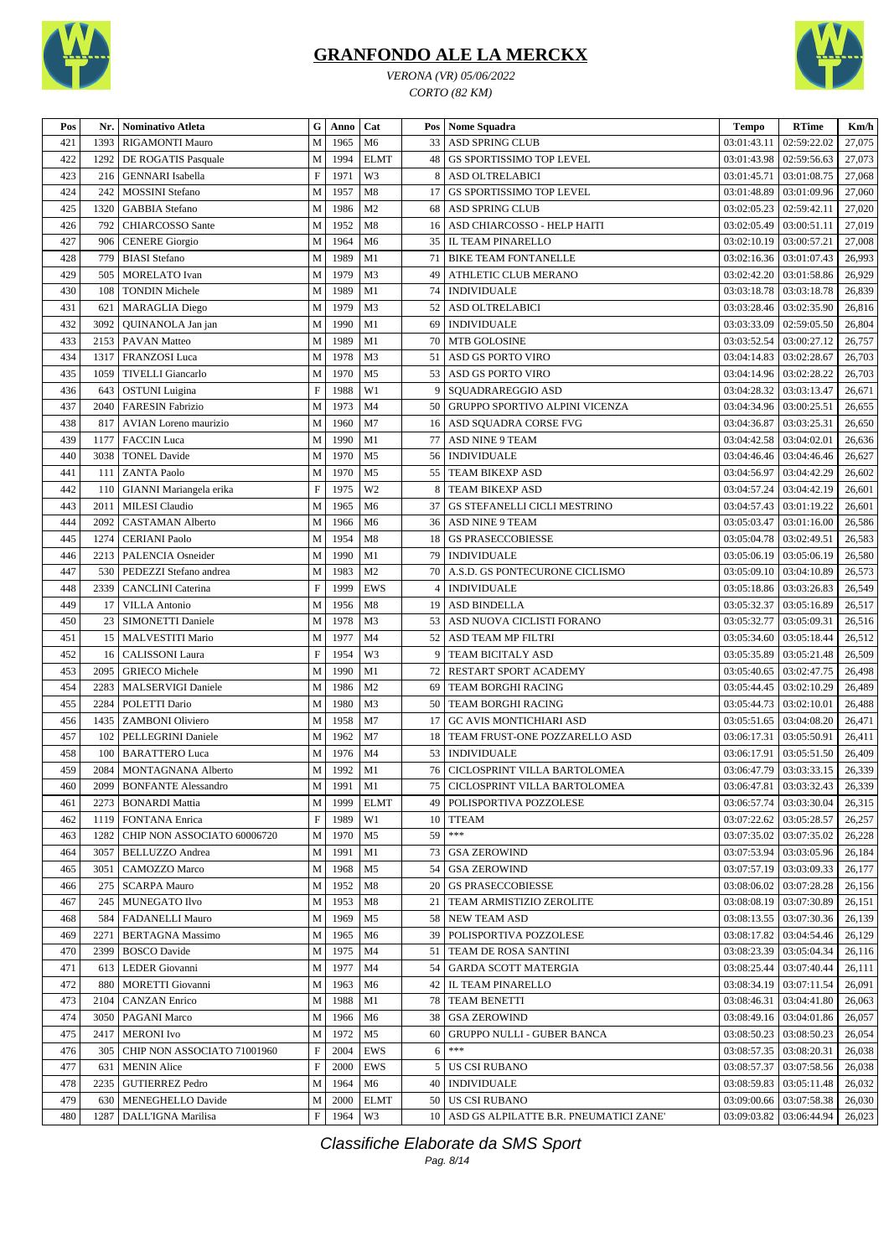

*VERONA (VR) 05/06/2022 CORTO (82 KM)*



| Pos | Nr.  | Nominativo Atleta                          | $\mathbf G$               | Anno      | Cat            | Pos | <b>Nome Squadra</b>                       | <b>Tempo</b>              | <b>RTime</b>              | Km/h   |
|-----|------|--------------------------------------------|---------------------------|-----------|----------------|-----|-------------------------------------------|---------------------------|---------------------------|--------|
| 421 | 1393 | RIGAMONTI Mauro                            | M                         | 1965      | M6             | 33  | ASD SPRING CLUB                           | 03:01:43.11               | 02:59:22.02               | 27,075 |
| 422 | 1292 | DE ROGATIS Pasquale                        | M                         | 1994      | <b>ELMT</b>    | 48  | <b>GS SPORTISSIMO TOP LEVEL</b>           | 03:01:43.98               | 02:59:56.63               | 27,073 |
| 423 | 216  | <b>GENNARI</b> Isabella                    | $\mathbf F$               | 1971      | W3             | 8   | ASD OLTRELABICI                           | 03:01:45.71               | 03:01:08.75               | 27,068 |
| 424 | 242  | <b>MOSSINI</b> Stefano                     | M                         | 1957      | M8             | 17  | <b>GS SPORTISSIMO TOP LEVEL</b>           | 03:01:48.89               | 03:01:09.96               | 27,060 |
| 425 | 1320 | <b>GABBIA</b> Stefano                      | M                         | 1986      | M <sub>2</sub> | 68  | <b>ASD SPRING CLUB</b>                    | 03:02:05.23               | 02:59:42.11               | 27,020 |
| 426 | 792  | CHIARCOSSO Sante                           | M                         | 1952      | M8             | 16  | ASD CHIARCOSSO - HELP HAITI               | 03:02:05.49               | 03:00:51.11               | 27,019 |
| 427 | 906  | <b>CENERE</b> Giorgio                      | ${\bf M}$                 | 1964      | M <sub>6</sub> | 35  | IL TEAM PINARELLO                         | 03:02:10.19               | 03:00:57.21               | 27,008 |
| 428 | 779  | <b>BIASI</b> Stefano                       | M                         | 1989      | M1             | 71  | <b>BIKE TEAM FONTANELLE</b>               |                           | 03:02:16.36   03:01:07.43 | 26,993 |
| 429 | 505  | <b>MORELATO</b> Ivan                       | M                         | 1979      | M <sub>3</sub> | 49  | ATHLETIC CLUB MERANO                      | 03:02:42.20               | 03:01:58.86               | 26,929 |
| 430 | 108  | <b>TONDIN Michele</b>                      | ${\bf M}$                 | 1989      | M1             | 74  | <b>INDIVIDUALE</b>                        | 03:03:18.78               | 03:03:18.78               | 26,839 |
| 431 | 621  |                                            | M                         | 1979      | M <sub>3</sub> | 52  | <b>ASD OLTRELABICI</b>                    | 03:03:28.46               | 03:02:35.90               | 26,816 |
| 432 | 3092 | <b>MARAGLIA</b> Diego<br>QUINANOLA Jan jan | M                         | 1990      | M1             | 69  | <b>INDIVIDUALE</b>                        | 03:03:33.09               | 02:59:05.50               | 26,804 |
|     |      |                                            | M                         | 1989      |                |     |                                           |                           |                           |        |
| 433 | 2153 | <b>PAVAN</b> Matteo                        |                           |           | M1             | 70  | <b>MTB GOLOSINE</b>                       |                           | 03:03:52.54   03:00:27.12 | 26,757 |
| 434 | 1317 | FRANZOSI Luca                              | M                         | 1978      | M <sub>3</sub> | 51  | ASD GS PORTO VIRO                         | 03:04:14.83   03:02:28.67 |                           | 26,703 |
| 435 | 1059 | <b>TIVELLI</b> Giancarlo                   | M                         | 1970      | M <sub>5</sub> | 53  | ASD GS PORTO VIRO                         | 03:04:14.96               | 03:02:28.22               | 26,703 |
| 436 | 643  | <b>OSTUNI</b> Luigina                      | $\mathbf F$               | 1988      | W1             | 9   | SQUADRAREGGIO ASD                         | 03:04:28.32               | 03:03:13.47               | 26,671 |
| 437 | 2040 | <b>FARESIN Fabrizio</b>                    | M                         | 1973      | M4             | 50  | GRUPPO SPORTIVO ALPINI VICENZA            | 03:04:34.96               | 03:00:25.51               | 26,655 |
| 438 | 817  | <b>AVIAN</b> Loreno maurizio               | M                         | 1960      | M <sub>7</sub> | 16  | ASD SOUADRA CORSE FVG                     | 03:04:36.87               | 03:03:25.31               | 26,650 |
| 439 | 1177 | <b>FACCIN</b> Luca                         | M                         | 1990      | M1             | 77  | ASD NINE 9 TEAM                           | 03:04:42.58               | 03:04:02.01               | 26,636 |
| 440 | 3038 | <b>TONEL Davide</b>                        | M                         | 1970      | M <sub>5</sub> | 56  | <b>INDIVIDUALE</b>                        | 03:04:46.46               | 03:04:46.46               | 26,627 |
| 441 | 111  | <b>ZANTA Paolo</b>                         | M                         | 1970      | M <sub>5</sub> | 55  | <b>TEAM BIKEXP ASD</b>                    | 03:04:56.97               | 03:04:42.29               | 26,602 |
| 442 | 110  | GIANNI Mariangela erika                    | $\mathbf F$               | 1975      | W <sub>2</sub> | 8   | TEAM BIKEXP ASD                           | 03:04:57.24               | 03:04:42.19               | 26,601 |
| 443 | 2011 | <b>MILESI</b> Claudio                      | M                         | 1965      | M <sub>6</sub> | 37  | GS STEFANELLI CICLI MESTRINO              | 03:04:57.43               | 03:01:19.22               | 26,601 |
| 444 | 2092 | <b>CASTAMAN Alberto</b>                    | M                         | 1966      | M <sub>6</sub> | 36  | ASD NINE 9 TEAM                           | 03:05:03.47               | 03:01:16.00               | 26,586 |
| 445 | 1274 | <b>CERIANI Paolo</b>                       | M                         | 1954      | M8             | 18  | <b>GS PRASECCOBIESSE</b>                  | 03:05:04.78               | 03:02:49.51               | 26,583 |
| 446 | 2213 | PALENCIA Osneider                          | M                         | 1990      | M1             | 79  | <b>INDIVIDUALE</b>                        | 03:05:06.19               | 03:05:06.19               | 26,580 |
| 447 | 530  | PEDEZZI Stefano andrea                     | M                         | 1983      | M <sub>2</sub> | 70  | A.S.D. GS PONTECURONE CICLISMO            |                           | 03:05:09.10   03:04:10.89 | 26,573 |
| 448 | 2339 | CANCLINI Caterina                          | $\boldsymbol{\mathrm{F}}$ | 1999      | <b>EWS</b>     | 4   | <b>INDIVIDUALE</b>                        | 03:05:18.86               | 03:03:26.83               | 26,549 |
| 449 | 17   | <b>VILLA Antonio</b>                       | ${\bf M}$                 | 1956      | M8             | 19  | <b>ASD BINDELLA</b>                       | 03:05:32.37               | 03:05:16.89               | 26,517 |
| 450 | 23   | <b>SIMONETTI Daniele</b>                   | M                         | 1978      | M <sub>3</sub> | 53  | ASD NUOVA CICLISTI FORANO                 | 03:05:32.77               | 03:05:09.31               | 26,516 |
| 451 | 15   | MALVESTITI Mario                           | M                         | 1977      | M <sub>4</sub> | 52  | ASD TEAM MP FILTRI                        | 03:05:34.60               | 03:05:18.44               | 26,512 |
| 452 | 16   | <b>CALISSONI</b> Laura                     | $\mathbf F$               | 1954      | W3             | 9   | TEAM BICITALY ASD                         | 03:05:35.89               | 03:05:21.48               | 26,509 |
| 453 | 2095 | <b>GRIECO</b> Michele                      | M                         | 1990      | M1             | 72  | RESTART SPORT ACADEMY                     | 03:05:40.65               | 03:02:47.75               | 26,498 |
| 454 | 2283 | <b>MALSERVIGI Daniele</b>                  | M                         | 1986      | M <sub>2</sub> | 69  | TEAM BORGHI RACING                        | 03:05:44.45               | 03:02:10.29               | 26,489 |
| 455 | 2284 | POLETTI Dario                              | ${\bf M}$                 | 1980      | M <sub>3</sub> | 50  | TEAM BORGHI RACING                        | 03:05:44.73               | 03:02:10.01               | 26,488 |
| 456 | 1435 | ZAMBONI Oliviero                           | M                         | 1958      | M7             | 17  | <b>GC AVIS MONTICHIARI ASD</b>            | 03:05:51.65               | 03:04:08.20               | 26,471 |
| 457 | 102  | PELLEGRINI Daniele                         | M                         | 1962      | M7             | 18  | TEAM FRUST-ONE POZZARELLO ASD             | 03:06:17.31               | 03:05:50.91               | 26,411 |
| 458 | 100  | <b>BARATTERO Luca</b>                      | M                         | 1976      | M <sub>4</sub> | 53  | <b>INDIVIDUALE</b>                        | 03:06:17.91               | 03:05:51.50               | 26,409 |
| 459 | 2084 | MONTAGNANA Alberto                         | M                         | 1992      | M1             | 76  | CICLOSPRINT VILLA BARTOLOMEA              |                           | $03:06:47.79$ 03:03:33.15 | 26,339 |
| 460 |      | 2099 BONFANTE Alessandro                   |                           | M 1991 M1 |                |     | 75 CICLOSPRINT VILLA BARTOLOMEA           |                           | 03:06:47.81 03:03:32.43   | 26,339 |
|     |      | 2273   BONARDI Mattia                      | M                         | 1999      |                |     |                                           |                           |                           |        |
| 461 |      |                                            |                           |           | <b>ELMT</b>    |     | 49   POLISPORTIVA POZZOLESE               |                           | 03:06:57.74   03:03:30.04 | 26,315 |
| 462 | 1119 | <b>FONTANA</b> Enrica                      | $\boldsymbol{\mathrm{F}}$ | 1989      | W1             |     | 10 TTEAM<br>$***$                         | 03:07:22.62               | 03:05:28.57               | 26,257 |
| 463 | 1282 | CHIP NON ASSOCIATO 60006720                | M                         | 1970      | M5             | 59  |                                           | 03:07:35.02               | 03:07:35.02               | 26,228 |
| 464 | 3057 | <b>BELLUZZO</b> Andrea                     | M                         | 1991      | M1             | 73  | <b>GSA ZEROWIND</b>                       |                           | 03:07:53.94   03:03:05.96 | 26,184 |
| 465 | 3051 | CAMOZZO Marco                              | M                         | 1968      | M <sub>5</sub> | 54  | <b>GSA ZEROWIND</b>                       |                           | 03:07:57.19   03:03:09.33 | 26,177 |
| 466 | 275  | <b>SCARPA Mauro</b>                        | M                         | 1952      | M8             | 20  | <b>GS PRASECCOBIESSE</b>                  |                           | 03:08:06.02   03:07:28.28 | 26,156 |
| 467 | 245  | MUNEGATO Ilvo                              | M                         | 1953      | M8             | 21  | TEAM ARMISTIZIO ZEROLITE                  |                           | 03:08:08.19   03:07:30.89 | 26,151 |
| 468 | 584  | <b>FADANELLI Mauro</b>                     | M                         | 1969      | M <sub>5</sub> |     | 58 NEW TEAM ASD                           |                           | 03:08:13.55   03:07:30.36 | 26,139 |
| 469 | 2271 | <b>BERTAGNA</b> Massimo                    | M                         | 1965      | M6             | 39  | POLISPORTIVA POZZOLESE                    | 03:08:17.82               | 03:04:54.46               | 26,129 |
| 470 | 2399 | <b>BOSCO</b> Davide                        | M                         | 1975      | M4             |     | 51   TEAM DE ROSA SANTINI                 | 03:08:23.39               | 03:05:04.34               | 26,116 |
| 471 | 613  | LEDER Giovanni                             | M                         | 1977      | M4             | 54  | GARDA SCOTT MATERGIA                      | 03:08:25.44               | 03:07:40.44               | 26,111 |
| 472 | 880  | MORETTI Giovanni                           | М                         | 1963      | M6             |     | 42   IL TEAM PINARELLO                    |                           | 03:08:34.19   03:07:11.54 | 26,091 |
| 473 | 2104 | <b>CANZAN</b> Enrico                       | М                         | 1988      | M1             | 78  | <b>TEAM BENETTI</b>                       |                           | 03:08:46.31   03:04:41.80 | 26,063 |
| 474 | 3050 | <b>PAGANI Marco</b>                        | M                         | 1966      | M6             | 38  | <b>GSA ZEROWIND</b>                       | 03:08:49.16               | 03:04:01.86               | 26,057 |
| 475 | 2417 | <b>MERONI</b> Ivo                          | M                         | 1972      | M5             | 60  | <b>GRUPPO NULLI - GUBER BANCA</b>         | 03:08:50.23               | 03:08:50.23               | 26,054 |
| 476 | 305  | CHIP NON ASSOCIATO 71001960                | $\mathbf F$               | 2004      | EWS            | 6   | $***$                                     | 03:08:57.35               | 03:08:20.31               | 26,038 |
| 477 | 631  | <b>MENIN</b> Alice                         | F                         | 2000      | EWS            | 5   | US CSI RUBANO                             | 03:08:57.37               | 03:07:58.56               | 26,038 |
| 478 | 2235 | <b>GUTIERREZ Pedro</b>                     | M                         | 1964      | M6             | 40  | <b>INDIVIDUALE</b>                        |                           | 03:08:59.83   03:05:11.48 | 26,032 |
| 479 | 630  | MENEGHELLO Davide                          | M                         | 2000      | <b>ELMT</b>    |     | 50 US CSI RUBANO                          | 03:09:00.66               | 03:07:58.38               | 26,030 |
| 480 | 1287 | DALL'IGNA Marilisa                         | $\boldsymbol{\mathrm{F}}$ | 1964      | W3             |     | 10 ASD GS ALPILATTE B.R. PNEUMATICI ZANE' |                           | 03:09:03.82   03:06:44.94 | 26,023 |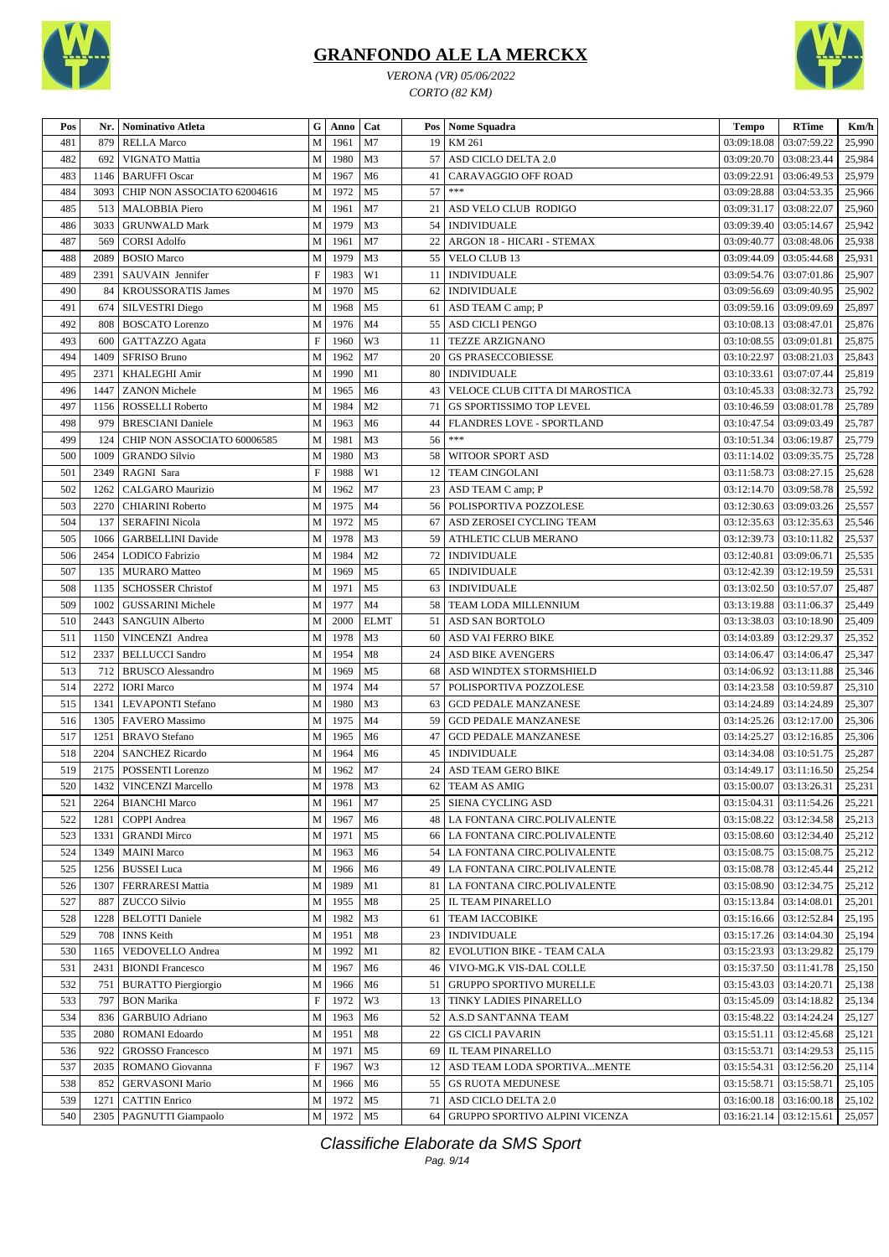



*VERONA (VR) 05/06/2022 CORTO (82 KM)*

| Pos        | Nr.          | <b>Nominativo Atleta</b>                    | G                              | Anno         | Cat                              |    | Pos   Nome Squadra                                                 | Tempo                      | <b>RTime</b>                  | Km/h             |
|------------|--------------|---------------------------------------------|--------------------------------|--------------|----------------------------------|----|--------------------------------------------------------------------|----------------------------|-------------------------------|------------------|
| 481        | 879          | <b>RELLA Marco</b>                          | $\mathbf M$                    | 1961         | M7                               | 19 | KM 261                                                             | 03:09:18.08                | 03:07:59.22                   | 25,990           |
| 482        | 692          | VIGNATO Mattia                              | M                              | 1980         | M <sub>3</sub>                   | 57 | ASD CICLO DELTA 2.0                                                | 03:09:20.70                | 03:08:23.44                   | 25,984           |
| 483        | 1146         | <b>BARUFFI Oscar</b>                        | M                              | 1967         | M6                               | 41 | <b>CARAVAGGIO OFF ROAD</b>                                         | 03:09:22.91                | 03:06:49.53                   | 25,979           |
| 484        | 3093         | CHIP NON ASSOCIATO 62004616                 | M                              | 1972         | M <sub>5</sub>                   | 57 | $***$                                                              | 03:09:28.88                | 03:04:53.35                   | 25,966           |
| 485        | 513          | <b>MALOBBIA Piero</b>                       | M                              | 1961         | M7                               | 21 | ASD VELO CLUB RODIGO                                               | 03:09:31.17                | 03:08:22.07                   | 25,960           |
| 486        | 3033         | <b>GRUNWALD Mark</b>                        | ${\bf M}$                      | 1979         | M3                               | 54 | <b>INDIVIDUALE</b>                                                 | 03:09:39.40                | 03:05:14.67                   | 25,942           |
| 487        | 569          | <b>CORSI Adolfo</b>                         | M                              | 1961         | M7                               | 22 | ARGON 18 - HICARI - STEMAX                                         | 03:09:40.77                | 03:08:48.06                   | 25,938           |
| 488        | 2089         | <b>BOSIO</b> Marco                          | ${\bf M}$                      | 1979         | M <sub>3</sub>                   | 55 | <b>VELO CLUB 13</b>                                                | 03:09:44.09                | 03:05:44.68                   | 25,931           |
| 489        | 2391         | SAUVAIN Jennifer                            | $\mathbf F$                    | 1983         | W1                               |    | 11   INDIVIDUALE                                                   | 03:09:54.76                | 03:07:01.86                   | 25,907           |
| 490        | 84           | <b>KROUSSORATIS James</b>                   | M                              | 1970         | M <sub>5</sub>                   | 62 | <b>INDIVIDUALE</b>                                                 | 03:09:56.69                | 03:09:40.95                   | 25,902           |
| 491        | 674          | <b>SILVESTRI</b> Diego                      | $\mathbf M$                    | 1968         | M <sub>5</sub>                   |    | 61   ASD TEAM C amp; P                                             | 03:09:59.16                | 03:09:09.69                   | 25,897           |
| 492        | 808          | <b>BOSCATO</b> Lorenzo                      | ${\bf M}$                      | 1976         | M <sub>4</sub>                   | 55 | <b>ASD CICLI PENGO</b>                                             | 03:10:08.13                | 03:08:47.01                   | 25,876           |
| 493        | 600          | GATTAZZO Agata                              | $\mathbf F$                    | 1960         | W3                               | 11 | <b>TEZZE ARZIGNANO</b>                                             | 03:10:08.55                | 03:09:01.81                   | 25,875           |
| 494        | 1409         | <b>SFRISO Bruno</b>                         | M                              | 1962         | M7                               | 20 | <b>GS PRASECCOBIESSE</b>                                           | 03:10:22.97                | 03:08:21.03                   | 25,843           |
| 495        | 2371         | <b>KHALEGHI Amir</b>                        | M                              | 1990         | M1                               |    | 80 INDIVIDUALE                                                     | 03:10:33.61                | 03:07:07.44                   | 25,819           |
| 496        | 1447         | <b>ZANON</b> Michele                        | M                              | 1965         | M6                               | 43 | VELOCE CLUB CITTA DI MAROSTICA                                     | 03:10:45.33                | 03:08:32.73                   | 25,792           |
| 497        | 1156         | ROSSELLI Roberto                            | M                              | 1984         | M <sub>2</sub>                   | 71 | GS SPORTISSIMO TOP LEVEL                                           | 03:10:46.59                | 03:08:01.78                   | 25,789           |
| 498        | 979          | <b>BRESCIANI</b> Daniele                    | M                              | 1963         | M <sub>6</sub>                   | 44 | FLANDRES LOVE - SPORTLAND                                          | 03:10:47.54                | 03:09:03.49                   | 25,787           |
| 499        | 124          | CHIP NON ASSOCIATO 60006585                 | M                              | 1981         | M3                               | 56 | $***$                                                              | 03:10:51.34                | 03:06:19.87                   | 25,779           |
| 500        | 1009         | <b>GRANDO Silvio</b>                        | M                              | 1980         | M <sub>3</sub>                   | 58 | WITOOR SPORT ASD                                                   | 03:11:14.02                | 03:09:35.75                   | 25,728           |
| 501        | 2349         | RAGNI Sara                                  | $\mathbf F$                    | 1988         | W1                               | 12 | <b>TEAM CINGOLANI</b>                                              | 03:11:58.73                | 03:08:27.15                   | 25,628           |
| 502        | 1262         | CALGARO Maurizio                            | $\mathbf M$                    | 1962         | M7                               | 23 | ASD TEAM C amp; P                                                  | 03:12:14.70                | 03:09:58.78                   | 25,592           |
| 503        | 2270         | <b>CHIARINI Roberto</b>                     | M                              | 1975         | M <sub>4</sub>                   | 56 | POLISPORTIVA POZZOLESE                                             | 03:12:30.63                | 03:09:03.26                   | 25,557           |
| 504        | 137          | <b>SERAFINI Nicola</b>                      | ${\bf M}$                      | 1972         | M <sub>5</sub>                   | 67 | ASD ZEROSEI CYCLING TEAM                                           | 03:12:35.63                | 03:12:35.63                   | 25,546           |
| 505        | 1066         | <b>GARBELLINI</b> Davide                    | M                              | 1978         | M3                               | 59 | <b>ATHLETIC CLUB MERANO</b>                                        | 03:12:39.73                | 03:10:11.82                   | 25,537           |
| 506        | 2454         | <b>LODICO</b> Fabrizio                      | M                              | 1984         | M <sub>2</sub>                   | 72 | <b>INDIVIDUALE</b>                                                 | 03:12:40.81                | 03:09:06.71                   | 25,535           |
| 507        | 135          | MURARO Matteo                               | ${\bf M}$                      | 1969         | M <sub>5</sub>                   | 65 | <b>INDIVIDUALE</b>                                                 | 03:12:42.39                | 03:12:19.59                   | 25,531           |
| 508        | 1135         | <b>SCHOSSER Christof</b>                    | M                              | 1971         | M <sub>5</sub>                   |    | 63   INDIVIDUALE                                                   | 03:13:02.50                | 03:10:57.07                   | 25,487           |
| 509        | 1002         | <b>GUSSARINI Michele</b>                    | M                              | 1977         | M <sub>4</sub>                   | 58 | TEAM LODA MILLENNIUM                                               | 03:13:19.88                | 03:11:06.37                   | 25,449           |
| 510        | 2443         | <b>SANGUIN Alberto</b>                      | ${\bf M}$                      | 2000         | <b>ELMT</b>                      |    | 51   ASD SAN BORTOLO                                               | 03:13:38.03                | 03:10:18.90                   | 25,409           |
| 511        | 1150         | VINCENZI Andrea                             | ${\bf M}$                      | 1978         | M <sub>3</sub>                   | 60 | ASD VAI FERRO BIKE                                                 | 03:14:03.89                | 03:12:29.37                   | 25,352           |
| 512        | 2337         | <b>BELLUCCI</b> Sandro                      | M                              | 1954         | M8                               | 24 | <b>ASD BIKE AVENGERS</b>                                           | 03:14:06.47                | 03:14:06.47                   | 25,347           |
| 513        | 712          | <b>BRUSCO</b> Alessandro                    | M                              | 1969         | M <sub>5</sub>                   | 68 | ASD WINDTEX STORMSHIELD                                            | 03:14:06.92                | 03:13:11.88                   | 25,346           |
| 514        | 2272         | <b>IORI</b> Marco                           | M                              | 1974         | M <sub>4</sub>                   | 57 | POLISPORTIVA POZZOLESE                                             | 03:14:23.58                | 03:10:59.87                   | 25,310           |
| 515        | 1341         | <b>LEVAPONTI</b> Stefano                    | M                              | 1980         | M3                               | 63 | <b>GCD PEDALE MANZANESE</b>                                        | 03:14:24.89                | 03:14:24.89                   | 25,307           |
| 516        | 1305         | <b>FAVERO</b> Massimo                       | M                              | 1975         | M <sub>4</sub>                   | 59 | <b>GCD PEDALE MANZANESE</b>                                        | 03:14:25.26                | 03:12:17.00                   | 25,306           |
| 517        | 1251         | <b>BRAVO</b> Stefano                        | M                              | 1965         | M <sub>6</sub>                   | 47 | <b>GCD PEDALE MANZANESE</b>                                        | 03:14:25.27                | 03:12:16.85                   | 25,306           |
| 518        | 2204         |                                             | ${\bf M}$                      | 1964         | M6                               | 45 | <b>INDIVIDUALE</b>                                                 |                            | 03:10:51.75                   |                  |
| 519        | 2175         | <b>SANCHEZ Ricardo</b><br>POSSENTI Lorenzo  | M                              | 1962         | M7                               | 24 | <b>ASD TEAM GERO BIKE</b>                                          | 03:14:34.08<br>03:14:49.17 | 03:11:16.50                   | 25,287<br>25,254 |
| 520        |              | 1432   VINCENZI Marcello                    | M                              | 1978         | M <sub>3</sub>                   |    | 62 TEAM AS AMIG                                                    |                            | $03:15:00.07$ 03:13:26.31     |                  |
|            |              |                                             |                                | 1961         | M7                               |    | 25 SIENA CYCLING ASD                                               |                            |                               | 25,231           |
| 521        | 2264         | <b>BIANCHI Marco</b><br><b>COPPI</b> Andrea | M                              |              |                                  |    |                                                                    | 03:15:04.31                | 03:11:54.26                   | 25,221           |
| 522        | 1281<br>1331 |                                             | M                              | 1967         | M <sub>6</sub>                   |    | 48   LA FONTANA CIRC.POLIVALENTE                                   | 03:15:08.22                | 03:12:34.58                   | 25,213           |
| 523<br>524 | 1349         | <b>GRANDI Mirco</b><br><b>MAINI</b> Marco   | M<br>M                         | 1971<br>1963 | M <sub>5</sub><br>M <sub>6</sub> |    | 66 LA FONTANA CIRC.POLIVALENTE<br>54   LA FONTANA CIRC.POLIVALENTE | 03:15:08.60<br>03:15:08.75 | 03:12:34.40<br>03:15:08.75    | 25,212<br>25,212 |
|            |              | <b>BUSSEI</b> Luca                          |                                |              |                                  |    | 49 LA FONTANA CIRC.POLIVALENTE                                     |                            |                               |                  |
| 525<br>526 | 1256<br>1307 | FERRARESI Mattia                            | M<br>${\bf M}$                 | 1966<br>1989 | M <sub>6</sub><br>M1             |    | 81   LA FONTANA CIRC.POLIVALENTE                                   | 03:15:08.78<br>03:15:08.90 | 03:12:45.44<br>03:12:34.75    | 25,212<br>25,212 |
| 527        | 887          | <b>ZUCCO Silvio</b>                         | M                              | 1955         | M8                               |    | 25   IL TEAM PINARELLO                                             | 03:15:13.84                | 03:14:08.01                   | 25,201           |
| 528        | 1228         | <b>BELOTTI Daniele</b>                      | M                              | 1982         | M <sub>3</sub>                   |    | 61 TEAM IACCOBIKE                                                  | 03:15:16.66                | 03:12:52.84                   | 25,195           |
|            |              |                                             |                                |              |                                  |    |                                                                    |                            |                               |                  |
| 529        | 708<br>1165  | <b>INNS</b> Keith                           | M                              | 1951         | M8                               |    | 23   INDIVIDUALE                                                   | 03:15:17.26<br>03:15:23.93 | 03:14:04.30                   | 25,194           |
| 530        |              | VEDOVELLO Andrea                            | M                              | 1992         | M1                               | 82 | EVOLUTION BIKE - TEAM CALA<br>46 VIVO-MG.K VIS-DAL COLLE           |                            | 03:13:29.82                   | 25,179           |
| 531        | 2431         | <b>BIONDI Francesco</b>                     | M                              | 1967         | M <sub>6</sub>                   |    | 51 GRUPPO SPORTIVO MURELLE                                         | 03:15:37.50                | 03:11:41.78                   | 25,150           |
| 532        | 751          | <b>BURATTO Piergiorgio</b>                  | M<br>$\boldsymbol{\mathrm{F}}$ | 1966<br>1972 | M <sub>6</sub><br>W3             |    |                                                                    | 03:15:43.03                | 03:14:20.71                   | 25,138           |
| 533        | 797          | <b>BON Marika</b>                           |                                |              |                                  |    | 13 TINKY LADIES PINARELLO                                          | 03:15:45.09                | 03:14:18.82                   | 25,134           |
| 534        | 836          | <b>GARBUIO</b> Adriano                      | M                              | 1963         | M <sub>6</sub>                   |    | 52   A.S.D SANT'ANNA TEAM                                          | 03:15:48.22                | 03:14:24.24                   | 25,127           |
| 535        | 2080         | <b>ROMANI</b> Edoardo                       | M                              | 1951         | M8                               |    | 22   GS CICLI PAVARIN                                              | 03:15:51.11                | 03:12:45.68                   | 25,121           |
| 536        | 922          | <b>GROSSO Francesco</b>                     | M<br>$\boldsymbol{\mathrm{F}}$ | 1971         | M <sub>5</sub><br>W3             |    | 69 IL TEAM PINARELLO                                               | 03:15:53.71                | 03:14:29.53                   | 25,115           |
| 537        | 2035         | ROMANO Giovanna                             |                                | 1967         |                                  |    | 12 ASD TEAM LODA SPORTIVA MENTE                                    | 03:15:54.31                | 03:12:56.20                   | 25,114           |
| 538        | 852          | <b>GERVASONI Mario</b>                      | M                              | 1966         | M <sub>6</sub>                   |    | 55   GS RUOTA MEDUNESE                                             | 03:15:58.71                | 03:15:58.71                   | 25,105           |
| 539        | 1271         | <b>CATTIN Enrico</b>                        | M                              | 1972         | M <sub>5</sub>                   |    | 71   ASD CICLO DELTA 2.0                                           |                            | $03:16:00.18$   $03:16:00.18$ | 25,102           |
| 540        |              | 2305   PAGNUTTI Giampaolo                   |                                | M 1972 M5    |                                  |    | 64 GRUPPO SPORTIVO ALPINI VICENZA                                  |                            | $03:16:21.14$ 03:12:15.61     | 25,057           |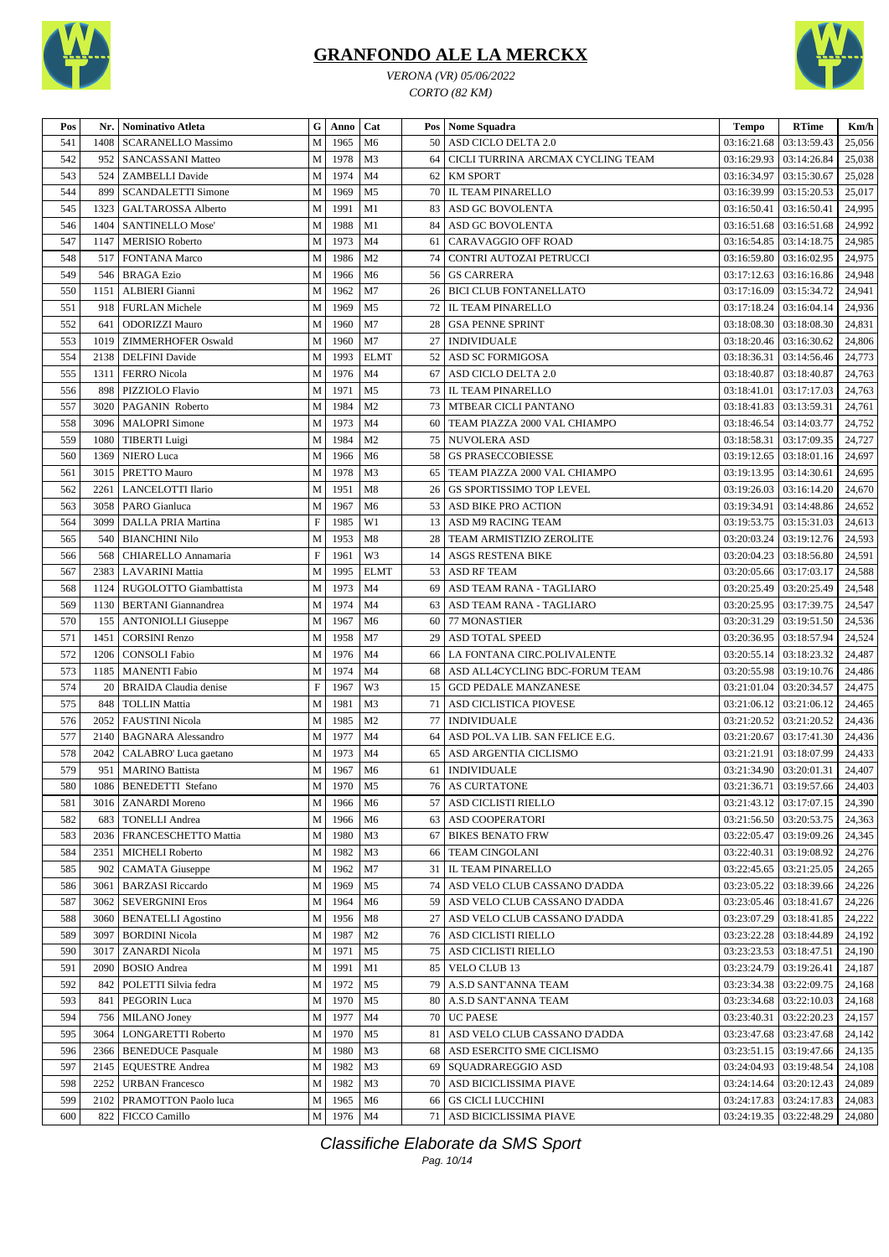



*VERONA (VR) 05/06/2022 CORTO (82 KM)*

| Pos        | Nr.  | Nominativo Atleta            | G           | Anno | Cat            |    | Pos   Nome Squadra                | <b>Tempo</b> | <b>RTime</b>                     | Km/h   |
|------------|------|------------------------------|-------------|------|----------------|----|-----------------------------------|--------------|----------------------------------|--------|
| 541        | 1408 | <b>SCARANELLO Massimo</b>    | M           | 1965 | M <sub>6</sub> | 50 | ASD CICLO DELTA 2.0               | 03:16:21.68  | 03:13:59.43                      | 25,056 |
| 542        | 952  | SANCASSANI Matteo            | M           | 1978 | M <sub>3</sub> | 64 | CICLI TURRINA ARCMAX CYCLING TEAM | 03:16:29.93  | 03:14:26.84                      | 25,038 |
| 543        | 524  | <b>ZAMBELLI</b> Davide       | $\mathbf M$ | 1974 | M <sub>4</sub> | 62 | <b>KM SPORT</b>                   | 03:16:34.97  | 03:15:30.67                      | 25,028 |
| 544        | 899  | <b>SCANDALETTI Simone</b>    | $\mathbf M$ | 1969 | M <sub>5</sub> | 70 | <b>IL TEAM PINARELLO</b>          | 03:16:39.99  | 03:15:20.53                      | 25,017 |
| 545        | 1323 | GALTAROSSA Alberto           | M           | 1991 | M1             | 83 | ASD GC BOVOLENTA                  | 03:16:50.41  | 03:16:50.41                      | 24,995 |
| 546        | 1404 | <b>SANTINELLO Mose'</b>      | M           | 1988 | M1             | 84 | ASD GC BOVOLENTA                  | 03:16:51.68  | 03:16:51.68                      | 24,992 |
| 547        | 1147 | <b>MERISIO Roberto</b>       | M           | 1973 | M <sub>4</sub> | 61 | CARAVAGGIO OFF ROAD               | 03:16:54.85  | 03:14:18.75                      | 24,985 |
| 548        | 517  | <b>FONTANA Marco</b>         | $\mathbf M$ | 1986 | M <sub>2</sub> | 74 | CONTRI AUTOZAI PETRUCCI           | 03:16:59.80  | 03:16:02.95                      | 24,975 |
| 549        | 546  | <b>BRAGA Ezio</b>            | M           | 1966 | M <sub>6</sub> | 56 | <b>GS CARRERA</b>                 | 03:17:12.63  | 03:16:16.86                      | 24,948 |
| 550        | 1151 | <b>ALBIERI</b> Gianni        | M           | 1962 | M <sub>7</sub> | 26 | <b>BICI CLUB FONTANELLATO</b>     | 03:17:16.09  | 03:15:34.72                      | 24,941 |
| 551        | 918  | <b>FURLAN Michele</b>        | M           | 1969 | M <sub>5</sub> | 72 | <b>IL TEAM PINARELLO</b>          | 03:17:18.24  | 03:16:04.14                      | 24,936 |
| 552        | 641  | <b>ODORIZZI Mauro</b>        | M           | 1960 | M <sub>7</sub> | 28 | <b>GSA PENNE SPRINT</b>           | 03:18:08.30  | 03:18:08.30                      | 24,831 |
| 553        | 1019 | <b>ZIMMERHOFER Oswald</b>    | M           | 1960 | M <sub>7</sub> | 27 | <b>INDIVIDUALE</b>                | 03:18:20.46  | 03:16:30.62                      | 24,806 |
| 554        | 2138 | <b>DELFINI</b> Davide        | M           | 1993 | <b>ELMT</b>    | 52 | ASD SC FORMIGOSA                  | 03:18:36.31  | 03:14:56.46                      | 24,773 |
|            |      | <b>FERRO</b> Nicola          | $\mathbf M$ | 1976 | M <sub>4</sub> |    |                                   |              | 03:18:40.87                      |        |
| 555        | 1311 |                              | M           | 1971 | M <sub>5</sub> | 67 | ASD CICLO DELTA 2.0               | 03:18:40.87  |                                  | 24,763 |
| 556<br>557 | 898  | PIZZIOLO Flavio              |             | 1984 | M <sub>2</sub> | 73 | <b>IL TEAM PINARELLO</b>          | 03:18:41.01  | 03:17:17.03                      | 24,763 |
|            | 3020 | PAGANIN Roberto              | $\mathbf M$ |      |                | 73 | <b>MTBEAR CICLI PANTANO</b>       | 03:18:41.83  | 03:13:59.31                      | 24,761 |
| 558        | 3096 | <b>MALOPRI</b> Simone        | М           | 1973 | M <sub>4</sub> | 60 | TEAM PIAZZA 2000 VAL CHIAMPO      | 03:18:46.54  | 03:14:03.77                      | 24,752 |
| 559        | 1080 | TIBERTI Luigi                | M           | 1984 | M <sub>2</sub> | 75 | NUVOLERA ASD                      | 03:18:58.31  | 03:17:09.35                      | 24,727 |
| 560        | 1369 | <b>NIERO Luca</b>            | $\mathbf M$ | 1966 | M <sub>6</sub> | 58 | <b>GS PRASECCOBIESSE</b>          | 03:19:12.65  | 03:18:01.16                      | 24,697 |
| 561        | 3015 | PRETTO Mauro                 | $\mathbf M$ | 1978 | M <sub>3</sub> | 65 | TEAM PIAZZA 2000 VAL CHIAMPO      | 03:19:13.95  | 03:14:30.61                      | 24,695 |
| 562        | 2261 | LANCELOTTI Ilario            | M           | 1951 | M8             | 26 | GS SPORTISSIMO TOP LEVEL          | 03:19:26.03  | 03:16:14.20                      | 24,670 |
| 563        | 3058 | <b>PARO</b> Gianluca         | $\mathbf M$ | 1967 | M <sub>6</sub> | 53 | <b>ASD BIKE PRO ACTION</b>        | 03:19:34.91  | 03:14:48.86                      | 24,652 |
| 564        | 3099 | <b>DALLA PRIA Martina</b>    | $\mathbf F$ | 1985 | W1             |    | 13 ASD M9 RACING TEAM             | 03:19:53.75  | 03:15:31.03                      | 24,613 |
| 565        | 540  | <b>BIANCHINI Nilo</b>        | M           | 1953 | M8             | 28 | TEAM ARMISTIZIO ZEROLITE          | 03:20:03.24  | 03:19:12.76                      | 24,593 |
| 566        | 568  | CHIARELLO Annamaria          | $\mathbf F$ | 1961 | W3             |    | 14 ASGS RESTENA BIKE              | 03:20:04.23  | 03:18:56.80                      | 24,591 |
| 567        | 2383 | <b>LAVARINI</b> Mattia       | $\mathbf M$ | 1995 | <b>ELMT</b>    | 53 | <b>ASD RF TEAM</b>                | 03:20:05.66  | 03:17:03.17                      | 24,588 |
| 568        | 1124 | RUGOLOTTO Giambattista       | M           | 1973 | M <sub>4</sub> | 69 | ASD TEAM RANA - TAGLIARO          | 03:20:25.49  | 03:20:25.49                      | 24,548 |
| 569        | 1130 | <b>BERTANI</b> Giannandrea   | M           | 1974 | M <sub>4</sub> | 63 | ASD TEAM RANA - TAGLIARO          | 03:20:25.95  | 03:17:39.75                      | 24,547 |
| 570        | 155  | <b>ANTONIOLLI Giuseppe</b>   | M           | 1967 | M6             | 60 | 77 MONASTIER                      | 03:20:31.29  | 03:19:51.50                      | 24,536 |
| 571        | 1451 | <b>CORSINI Renzo</b>         | M           | 1958 | M <sub>7</sub> | 29 | <b>ASD TOTAL SPEED</b>            | 03:20:36.95  | 03:18:57.94                      | 24,524 |
| 572        | 1206 | <b>CONSOLI Fabio</b>         | M           | 1976 | M <sub>4</sub> | 66 | LA FONTANA CIRC.POLIVALENTE       | 03:20:55.14  | 03:18:23.32                      | 24,487 |
| 573        | 1185 | <b>MANENTI</b> Fabio         | $\mathbf M$ | 1974 | M <sub>4</sub> | 68 | ASD ALL4CYCLING BDC-FORUM TEAM    | 03:20:55.98  | 03:19:10.76                      | 24,486 |
| 574        | 20   | <b>BRAIDA</b> Claudia denise | $\mathbf F$ | 1967 | W3             | 15 | <b>GCD PEDALE MANZANESE</b>       | 03:21:01.04  | 03:20:34.57                      | 24,475 |
| 575        | 848  | <b>TOLLIN Mattia</b>         | M           | 1981 | M <sub>3</sub> | 71 | ASD CICLISTICA PIOVESE            | 03:21:06.12  | 03:21:06.12                      | 24,465 |
| 576        | 2052 | <b>FAUSTINI Nicola</b>       | M           | 1985 | M <sub>2</sub> | 77 | <b>INDIVIDUALE</b>                | 03:21:20.52  | 03:21:20.52                      | 24,436 |
| 577        | 2140 | <b>BAGNARA Alessandro</b>    | М           | 1977 | M <sub>4</sub> | 64 | ASD POL. VA LIB. SAN FELICE E.G.  | 03:21:20.67  | 03:17:41.30                      | 24,436 |
| 578        | 2042 | CALABRO' Luca gaetano        | M           | 1973 | M <sub>4</sub> | 65 | <b>ASD ARGENTIA CICLISMO</b>      | 03:21:21.91  | 03:18:07.99                      | 24,433 |
| 579        | 951  | <b>MARINO Battista</b>       | M           | 1967 | M <sub>6</sub> | 61 | <b>INDIVIDUALE</b>                |              | 03:21:34.90   03:20:01.31        | 24,407 |
| 580        |      | 1086   BENEDETTI Stefano     | $\mathbf M$ | 1970 | M <sub>5</sub> |    | <b>76 AS CURTATONE</b>            |              | $03:21:36.71$ 03:19:57.66 24.403 |        |
| 581        | 3016 | <b>ZANARDI</b> Moreno        | M           | 1966 | M6             | 57 | ASD CICLISTI RIELLO               |              | 03:21:43.12   03:17:07.15        | 24,390 |
| 582        | 683  | <b>TONELLI Andrea</b>        | M           | 1966 | M <sub>6</sub> |    | 63 ASD COOPERATORI                | 03:21:56.50  | 03:20:53.75                      | 24,363 |
|            | 2036 | <b>FRANCESCHETTO Mattia</b>  | М           | 1980 | M3             |    | <b>BIKES BENATO FRW</b>           | 03:22:05.47  | 03:19:09.26                      | 24,345 |
| 583        |      |                              |             |      | M <sub>3</sub> | 67 |                                   |              | 03:19:08.92                      |        |
| 584        | 2351 | <b>MICHELI Roberto</b>       | M           | 1982 | M <sub>7</sub> | 66 | <b>TEAM CINGOLANI</b>             | 03:22:40.31  |                                  | 24,276 |
| 585        | 902  | <b>CAMATA</b> Giuseppe       | M           | 1962 |                |    | 31   IL TEAM PINARELLO            | 03:22:45.65  | 03:21:25.05                      | 24,265 |
| 586        | 3061 | <b>BARZASI</b> Riccardo      | M           | 1969 | M <sub>5</sub> | 74 | ASD VELO CLUB CASSANO D'ADDA      | 03:23:05.22  | 03:18:39.66                      | 24,226 |
| 587        | 3062 | <b>SEVERGNINI Eros</b>       | M           | 1964 | M <sub>6</sub> |    | 59 ASD VELO CLUB CASSANO D'ADDA   | 03:23:05.46  | 03:18:41.67                      | 24,226 |
| 588        | 3060 | <b>BENATELLI Agostino</b>    | M           | 1956 | M8             | 27 | ASD VELO CLUB CASSANO D'ADDA      | 03:23:07.29  | 03:18:41.85                      | 24,222 |
| 589        | 3097 | <b>BORDINI Nicola</b>        | М           | 1987 | M <sub>2</sub> |    | 76   ASD CICLISTI RIELLO          | 03:23:22.28  | 03:18:44.89                      | 24,192 |
| 590        | 3017 | ZANARDI Nicola               | M           | 1971 | M <sub>5</sub> |    | 75   ASD CICLISTI RIELLO          | 03:23:23.53  | 03:18:47.51                      | 24,190 |
| 591        | 2090 | <b>BOSIO</b> Andrea          | M           | 1991 | M1             |    | 85 VELO CLUB 13                   | 03:23:24.79  | 03:19:26.41                      | 24,187 |
| 592        | 842  | POLETTI Silvia fedra         | М           | 1972 | M <sub>5</sub> | 79 | A.S.D SANT'ANNA TEAM              | 03:23:34.38  | 03:22:09.75                      | 24,168 |
| 593        | 841  | PEGORIN Luca                 | M           | 1970 | M <sub>5</sub> | 80 | A.S.D SANT'ANNA TEAM              | 03:23:34.68  | 03:22:10.03                      | 24,168 |
| 594        | 756  | MILANO Joney                 | M           | 1977 | M4             |    | 70 UC PAESE                       | 03:23:40.31  | 03:22:20.23                      | 24,157 |
| 595        | 3064 | LONGARETTI Roberto           | M           | 1970 | M <sub>5</sub> | 81 | ASD VELO CLUB CASSANO D'ADDA      | 03:23:47.68  | 03:23:47.68                      | 24,142 |
| 596        | 2366 | <b>BENEDUCE Pasquale</b>     | М           | 1980 | M3             |    | 68 ASD ESERCITO SME CICLISMO      | 03:23:51.15  | 03:19:47.66                      | 24,135 |
| 597        | 2145 | <b>EQUESTRE Andrea</b>       | M           | 1982 | M3             | 69 | SQUADRAREGGIO ASD                 | 03:24:04.93  | 03:19:48.54                      | 24,108 |
| 598        | 2252 | <b>URBAN</b> Francesco       | M           | 1982 | M <sub>3</sub> |    | 70 ASD BICICLISSIMA PIAVE         | 03:24:14.64  | 03:20:12.43                      | 24,089 |
| 599        | 2102 | PRAMOTTON Paolo luca         | М           | 1965 | M6             | 66 | <b>GS CICLI LUCCHINI</b>          | 03:24:17.83  | 03:24:17.83                      | 24,083 |
| 600        | 822  | FICCO Camillo                | M           | 1976 | M <sub>4</sub> |    | 71 ASD BICICLISSIMA PIAVE         | 03:24:19.35  | 03:22:48.29                      | 24,080 |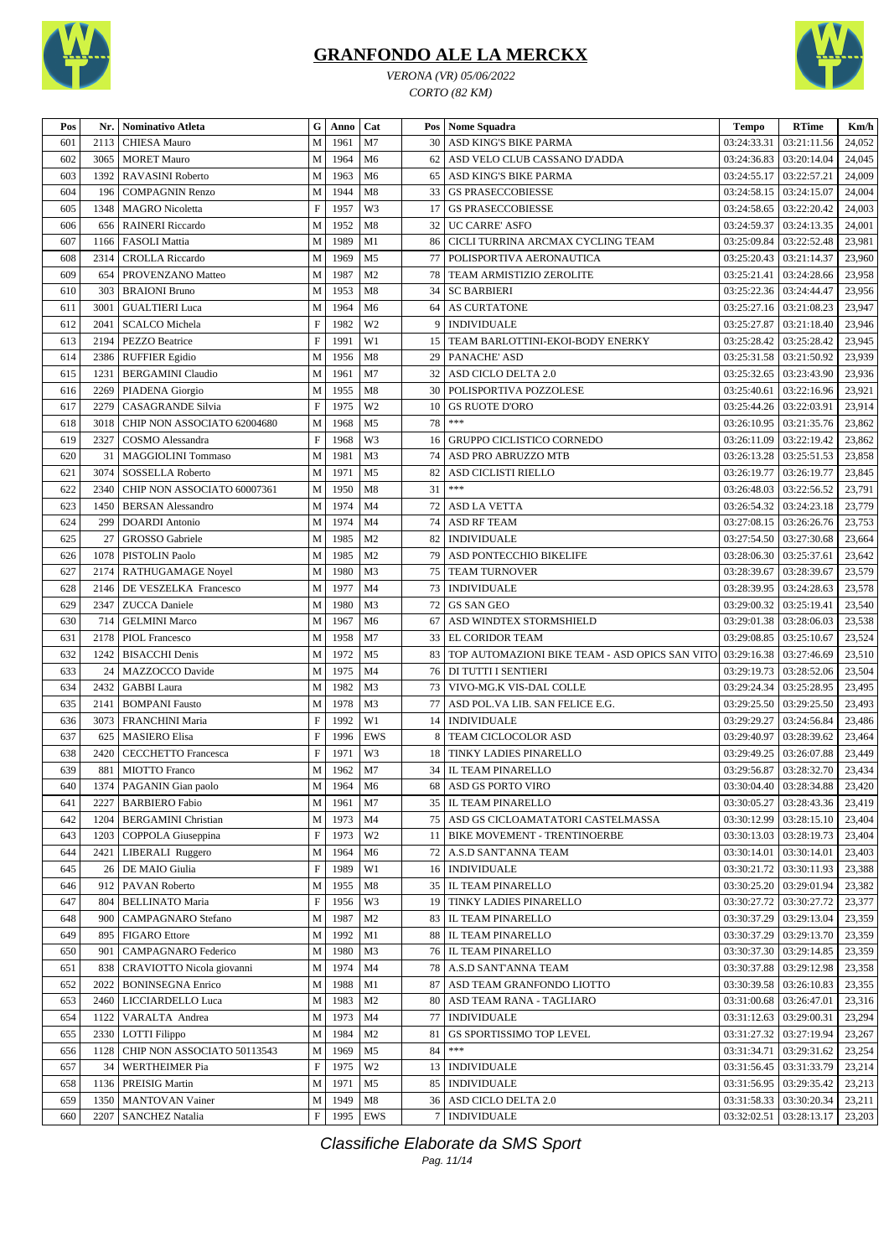

*VERONA (VR) 05/06/2022 CORTO (82 KM)*



| 601<br>2113<br>M<br>1961<br>M7<br>30<br>ASD KING'S BIKE PARMA<br>03:24:33.31<br>03:21:11.56<br>24,052<br><b>CHIESA Mauro</b><br>M<br>1964<br>602<br>3065<br>M <sub>6</sub><br>62<br>03:24:36.83<br>03:20:14.04<br>24,045<br><b>MORET Mauro</b><br>ASD VELO CLUB CASSANO D'ADDA<br>1963<br>603<br>1392<br>M<br>M <sub>6</sub><br>ASD KING'S BIKE PARMA<br>03:24:55.17<br>03:22:57.21<br>24,009<br><b>RAVASINI Roberto</b><br>65<br>1944<br>M8<br>604<br>33<br><b>GS PRASECCOBIESSE</b><br>03:24:58.15<br>03:24:15.07<br>24,004<br>196<br><b>COMPAGNIN Renzo</b><br>М<br>$\boldsymbol{\mathrm{F}}$<br>W <sub>3</sub><br>1957<br><b>GS PRASECCOBIESSE</b><br>03:24:58.65<br>03:22:20.42<br>605<br>1348<br><b>MAGRO</b> Nicoletta<br>17<br>24,003<br>M<br>1952<br>M8<br>32<br>UC CARRE' ASFO<br>03:24:59.37<br>03:24:13.35<br>24,001<br>606<br>656<br><b>RAINERI</b> Riccardo<br>M<br>1989<br>607<br>M1<br>86<br>CICLI TURRINA ARCMAX CYCLING TEAM<br>03:25:09.84<br>03:22:52.48<br>23,981<br>1166<br><b>FASOLI Mattia</b><br>M<br>M <sub>5</sub><br>608<br>2314<br>1969<br>77<br>POLISPORTIVA AERONAUTICA<br>03:21:14.37<br>23,960<br><b>CROLLA Riccardo</b><br>03:25:20.43<br>609<br>M<br>1987<br>M <sub>2</sub><br>78<br>03:24:28.66<br>23,958<br>654<br>PROVENZANO Matteo<br>TEAM ARMISTIZIO ZEROLITE<br>03:25:21.41<br>M<br>1953<br>M8<br>610<br>303<br><b>BRAIONI</b> Bruno<br>34<br><b>SC BARBIERI</b><br>03:25:22.36<br>03:24:44.47<br>23,956<br>3001<br>M<br>1964<br>M <sub>6</sub><br><b>AS CURTATONE</b><br>03:25:27.16<br>03:21:08.23<br>23,947<br>611<br><b>GUALTIERI Luca</b><br>64<br>$\boldsymbol{\mathrm{F}}$<br>W <sub>2</sub><br>612<br>2041<br><b>SCALCO</b> Michela<br>1982<br><b>INDIVIDUALE</b><br>03:25:27.87<br>03:21:18.40<br>23,946<br>9<br>$\boldsymbol{\mathrm{F}}$<br>1991<br>W1<br>613<br>2194<br>TEAM BARLOTTINI-EKOI-BODY ENERKY<br>03:25:28.42<br>03:25:28.42<br>23,945<br>PEZZO Beatrice<br>15<br>2386<br>M<br>1956<br>M8<br>PANACHE' ASD<br>03:25:31.58<br>03:21:50.92<br>23,939<br>614<br><b>RUFFIER Egidio</b><br>29<br>32<br>1231<br>M<br>1961<br>M7<br>03:25:32.65<br>03:23:43.90<br>23,936<br>615<br><b>BERGAMINI Claudio</b><br>ASD CICLO DELTA 2.0<br>M8<br>2269<br>M<br>1955<br>30<br>POLISPORTIVA POZZOLESE<br>03:25:40.61<br>03:22:16.96<br>23,921<br>616<br>PIADENA Giorgio<br>$\boldsymbol{\mathrm{F}}$<br>2279<br>1975<br>W <sub>2</sub><br><b>GS RUOTE D'ORO</b><br>03:22:03.91<br>23,914<br>617<br><b>CASAGRANDE Silvia</b><br>10<br>03:25:44.26<br>$***$<br>M<br>1968<br>M <sub>5</sub><br>78<br>618<br>3018<br>CHIP NON ASSOCIATO 62004680<br>03:21:35.76<br>23,862<br>03:26:10.95<br>$\boldsymbol{\mathrm{F}}$<br>1968<br>W3<br>03:22:19.42<br>619<br>2327<br>GRUPPO CICLISTICO CORNEDO<br>03:26:11.09<br>23,862<br>COSMO Alessandra<br>16<br>620<br><b>MAGGIOLINI Tommaso</b><br>M<br>1981<br>M <sub>3</sub><br>74<br>ASD PRO ABRUZZO MTB<br>03:25:51.53<br>23,858<br>31<br>03:26:13.28<br>M<br>1971<br>M <sub>5</sub><br>621<br>3074<br>82<br><b>SOSSELLA Roberto</b><br>ASD CICLISTI RIELLO<br>03:26:19.77<br>03:26:19.77<br>23,845<br>$***$<br>31<br>622<br>2340<br>CHIP NON ASSOCIATO 60007361<br>1950<br>M8<br>03:22:56.52<br>23,791<br>M<br>03:26:48.03<br>1974<br>23,779<br>623<br>1450<br><b>BERSAN</b> Alessandro<br>M<br>M <sub>4</sub><br>72<br><b>ASD LA VETTA</b><br>03:26:54.32<br>03:24:23.18<br>M<br>1974<br>624<br>M <sub>4</sub><br>74<br><b>ASD RF TEAM</b><br>03:27:08.15<br>03:26:26.76<br>23,753<br>299<br>DOARDI Antonio<br>625<br>GROSSO Gabriele<br>M<br>1985<br>M <sub>2</sub><br><b>INDIVIDUALE</b><br>03:27:54.50<br>03:27:30.68<br>23,664<br>27<br>82<br>M<br>1985<br>626<br>1078<br>PISTOLIN Paolo<br>M <sub>2</sub><br>79<br>ASD PONTECCHIO BIKELIFE<br>03:28:06.30<br>03:25:37.61<br>23,642<br>M<br>627<br>2174<br>1980<br>M <sub>3</sub><br>75<br><b>TEAM TURNOVER</b><br>03:28:39.67<br>23,579<br>RATHUGAMAGE Noyel<br>03:28:39.67<br>M <sub>4</sub><br>628<br>M<br>1977<br>73<br><b>INDIVIDUALE</b><br>03:28:39.95<br>03:24:28.63<br>23,578<br>2146<br>DE VESZELKA Francesco<br>629<br>1980<br>M <sub>3</sub><br>23,540<br>2347<br><b>ZUCCA</b> Daniele<br>M<br>72<br><b>GS SAN GEO</b><br>03:29:00.32<br>03:25:19.41<br>630<br>714<br>M<br>1967<br>M <sub>6</sub><br>ASD WINDTEX STORMSHIELD<br>03:29:01.38<br>03:28:06.03<br>23,538<br><b>GELMINI Marco</b><br>67<br>631<br>2178<br>M<br>1958<br>M <sub>7</sub><br>33<br><b>EL CORIDOR TEAM</b><br>03:29:08.85<br>03:25:10.67<br>23,524<br><b>PIOL Francesco</b><br>632<br>${\bf M}$<br>1972<br>1242<br>M <sub>5</sub><br>83<br>TOP AUTOMAZIONI BIKE TEAM - ASD OPICS SAN VITO<br>03:29:16.38<br>03:27:46.69<br>23,510<br><b>BISACCHI</b> Denis<br>633<br>MAZZOCCO Davide<br>M<br>1975<br><b>DI TUTTI I SENTIERI</b><br>03:28:52.06<br>23,504<br>24<br>M4<br>76<br>03:29:19.73<br>634<br>2432<br>M<br>1982<br>M <sub>3</sub><br>73<br>VIVO-MG.K VIS-DAL COLLE<br>03:25:28.95<br>23,495<br><b>GABBI</b> Laura<br>03:29:24.34<br>M <sub>3</sub><br>77<br>635<br>2141<br>M<br>1978<br>ASD POL. VA LIB. SAN FELICE E.G.<br>03:29:25.50<br>03:29:25.50<br>23,493<br><b>BOMPANI Fausto</b><br>F<br>1992<br>W1<br>23,486<br>636<br>3073<br>FRANCHINI Maria<br>14<br><b>INDIVIDUALE</b><br>03:29:29.27<br>03:24:56.84<br>$\boldsymbol{\mathrm{F}}$<br><b>EWS</b><br>637<br>1996<br>8<br>TEAM CICLOCOLOR ASD<br>03:29:40.97<br>03:28:39.62<br>23,464<br>625<br><b>MASIERO Elisa</b><br>$\boldsymbol{\mathrm{F}}$<br>1971<br>638<br>2420<br><b>CECCHETTO Francesca</b><br>W3<br>TINKY LADIES PINARELLO<br>03:29:49.25<br>03:26:07.88<br>23,449<br>18<br>639<br>M<br>1962<br>M <sub>7</sub><br>881<br><b>MIOTTO</b> Franco<br>34<br>IL TEAM PINARELLO<br>03:29:56.87<br>03:28:32.70<br>23,434<br>640<br>1374   PAGANIN Gian paolo<br>M  <br>1964   M6<br>68   ASD GS PORTO VIRO<br>03:30:04.40   03:28:34.88<br>23,420<br><b>BARBIERO Fabio</b><br>M<br>1961<br>M7<br>35<br><b>IL TEAM PINARELLO</b><br>03:28:43.36<br>23,419<br>641<br>2227<br>03:30:05.27<br><b>BERGAMINI Christian</b><br>1973<br>M <sub>4</sub><br>75<br>ASD GS CICLOAMATATORI CASTELMASSA<br>03:28:15.10<br>642<br>1204<br>М<br>03:30:12.99<br>23,404<br>$\boldsymbol{\mathrm{F}}$<br>1973<br>W <sub>2</sub><br>643<br>COPPOLA Giuseppina<br><b>BIKE MOVEMENT - TRENTINOERBE</b><br>03:30:13.03<br>03:28:19.73<br>23,404<br>1203<br>11<br>644<br>М<br>A.S.D SANT'ANNA TEAM<br>03:30:14.01<br>03:30:14.01<br>23,403<br>2421<br>LIBERALI Ruggero<br>1964<br>M6<br>72<br>$\boldsymbol{\mathrm{F}}$<br>W1<br><b>INDIVIDUALE</b><br>645<br>DE MAIO Giulia<br>1989<br>03:30:21.72<br>03:30:11.93<br>23,388<br>26<br>16<br>IL TEAM PINARELLO<br>PAVAN Roberto<br>M<br>1955<br>35<br>03:30:25.20<br>03:29:01.94<br>23,382<br>646<br>912<br>M8<br>$\boldsymbol{\mathrm{F}}$<br>23,377<br>647<br>804<br><b>BELLINATO Maria</b><br>1956<br>W3<br>19<br>TINKY LADIES PINARELLO<br>03:30:27.72<br>03:30:27.72<br>03:29:13.04<br>648<br>M<br>1987<br>M <sub>2</sub><br>83<br>IL TEAM PINARELLO<br>03:30:37.29<br>23,359<br>900<br>CAMPAGNARO Stefano<br>649<br><b>FIGARO</b> Ettore<br>M<br>1992<br>M1<br>IL TEAM PINARELLO<br>03:30:37.29<br>03:29:13.70<br>23,359<br>895<br>88<br>M<br>M <sub>3</sub><br>IL TEAM PINARELLO<br>03:29:14.85<br>650<br>CAMPAGNARO Federico<br>1980<br>76<br>03:30:37.30<br>23,359<br>901<br>M<br>78<br>A.S.D SANT'ANNA TEAM<br>03:29:12.98<br>651<br>CRAVIOTTO Nicola giovanni<br>1974<br>M <sub>4</sub><br>03:30:37.88<br>23,358<br>838<br>652<br><b>BONINSEGNA Enrico</b><br>M<br>1988<br>87<br>ASD TEAM GRANFONDO LIOTTO<br>03:30:39.58<br>03:26:10.83<br>23,355<br>2022<br>M <sub>1</sub><br>M<br>653<br>LICCIARDELLO Luca<br>1983<br>M <sub>2</sub><br>80<br>ASD TEAM RANA - TAGLIARO<br>03:26:47.01<br>23,316<br>2460<br>03:31:00.68<br>77<br>654<br>1122<br>VARALTA Andrea<br>M<br>1973<br>M <sub>4</sub><br><b>INDIVIDUALE</b><br>03:31:12.63<br>03:29:00.31<br>23,294<br>655<br>2330   LOTTI Filippo<br>M<br>1984<br>M <sub>2</sub><br>81<br>GS SPORTISSIMO TOP LEVEL<br>03:31:27.32<br>03:27:19.94<br>23,267<br>***<br>84<br>CHIP NON ASSOCIATO 50113543<br>M<br>1969<br>M <sub>5</sub><br>03:31:34.71<br>03:29:31.62<br>23,254<br>656<br>1128<br>$\boldsymbol{\mathrm{F}}$<br>657<br><b>WERTHEIMER Pia</b><br>1975<br>W <sub>2</sub><br><b>INDIVIDUALE</b><br>03:31:56.45<br>03:31:33.79<br>23,214<br>34<br>13<br>M<br><b>INDIVIDUALE</b><br>658<br>PREISIG Martin<br>1971<br>M <sub>5</sub><br>85<br>03:31:56.95<br>03:29:35.42<br>23,213<br>1136<br>M<br>659<br><b>MANTOVAN Vainer</b><br>1949<br>36<br>ASD CICLO DELTA 2.0<br>03:31:58.33   03:30:20.34<br>23,211<br>1350<br>M8<br><b>SANCHEZ Natalia</b><br>F<br>1995<br>EWS<br><b>INDIVIDUALE</b><br>03:32:02.51   03:28:13.17<br>23,203<br>660<br>2207<br>7 | Pos | Nr.   Nominativo Atleta | G | Anno | Cat | Pos   Nome Squadra | <b>Tempo</b> | <b>RTime</b> | Km/h |
|-------------------------------------------------------------------------------------------------------------------------------------------------------------------------------------------------------------------------------------------------------------------------------------------------------------------------------------------------------------------------------------------------------------------------------------------------------------------------------------------------------------------------------------------------------------------------------------------------------------------------------------------------------------------------------------------------------------------------------------------------------------------------------------------------------------------------------------------------------------------------------------------------------------------------------------------------------------------------------------------------------------------------------------------------------------------------------------------------------------------------------------------------------------------------------------------------------------------------------------------------------------------------------------------------------------------------------------------------------------------------------------------------------------------------------------------------------------------------------------------------------------------------------------------------------------------------------------------------------------------------------------------------------------------------------------------------------------------------------------------------------------------------------------------------------------------------------------------------------------------------------------------------------------------------------------------------------------------------------------------------------------------------------------------------------------------------------------------------------------------------------------------------------------------------------------------------------------------------------------------------------------------------------------------------------------------------------------------------------------------------------------------------------------------------------------------------------------------------------------------------------------------------------------------------------------------------------------------------------------------------------------------------------------------------------------------------------------------------------------------------------------------------------------------------------------------------------------------------------------------------------------------------------------------------------------------------------------------------------------------------------------------------------------------------------------------------------------------------------------------------------------------------------------------------------------------------------------------------------------------------------------------------------------------------------------------------------------------------------------------------------------------------------------------------------------------------------------------------------------------------------------------------------------------------------------------------------------------------------------------------------------------------------------------------------------------------------------------------------------------------------------------------------------------------------------------------------------------------------------------------------------------------------------------------------------------------------------------------------------------------------------------------------------------------------------------------------------------------------------------------------------------------------------------------------------------------------------------------------------------------------------------------------------------------------------------------------------------------------------------------------------------------------------------------------------------------------------------------------------------------------------------------------------------------------------------------------------------------------------------------------------------------------------------------------------------------------------------------------------------------------------------------------------------------------------------------------------------------------------------------------------------------------------------------------------------------------------------------------------------------------------------------------------------------------------------------------------------------------------------------------------------------------------------------------------------------------------------------------------------------------------------------------------------------------------------------------------------------------------------------------------------------------------------------------------------------------------------------------------------------------------------------------------------------------------------------------------------------------------------------------------------------------------------------------------------------------------------------------------------------------------------------------------------------------------------------------------------------------------------------------------------------------------------------------------------------------------------------------------------------------------------------------------------------------------------------------------------------------------------------------------------------------------------------------------------------------------------------------------------------------------------------------------------------------------------------------------------------------------------------------------------------------------------------------------------------------------------------------------------------------------------------------------------------------------------------------------------------------------------------------------------------------------------------------------------------------------------------------------------------------------------------------------------------------------------------------------------------------------------------------------------------------------------------------------------------------------------------------------------------------------------------------------------------------------------------------------------------------------------------------------------------------------------------------------------------------------------------------------------------------------------------------------------------------------------------------------------------------------------------------------------------------------------------------------------------------------------------------------------------------------------------------------------------------------------------------------------------------------------------------------------------------------------------------------------------------------------------------------------------------------------------------------------------------------------------------------------------------------------------------------------------------------------------------------------------------------------------------------------------------------------------------------------------------------------------------------------------------------------------------------------------------------------------------------------------------------------------------------------------------------------------------------------------------------------------------------------------------------------------------------------------------------------------------------------------------------------------------------------------------------------------------------------------------------------------------------------------------------------------------------------------------------------------------------------------------------------------------------------------|-----|-------------------------|---|------|-----|--------------------|--------------|--------------|------|
|                                                                                                                                                                                                                                                                                                                                                                                                                                                                                                                                                                                                                                                                                                                                                                                                                                                                                                                                                                                                                                                                                                                                                                                                                                                                                                                                                                                                                                                                                                                                                                                                                                                                                                                                                                                                                                                                                                                                                                                                                                                                                                                                                                                                                                                                                                                                                                                                                                                                                                                                                                                                                                                                                                                                                                                                                                                                                                                                                                                                                                                                                                                                                                                                                                                                                                                                                                                                                                                                                                                                                                                                                                                                                                                                                                                                                                                                                                                                                                                                                                                                                                                                                                                                                                                                                                                                                                                                                                                                                                                                                                                                                                                                                                                                                                                                                                                                                                                                                                                                                                                                                                                                                                                                                                                                                                                                                                                                                                                                                                                                                                                                                                                                                                                                                                                                                                                                                                                                                                                                                                                                                                                                                                                                                                                                                                                                                                                                                                                                                                                                                                                                                                                                                                                                                                                                                                                                                                                                                                                                                                                                                                                                                                                                                                                                                                                                                                                                                                                                                                                                                                                                                                                                                                                                                                                                                                                                                                                                                                                                                                                                                                                                                                                                                                                                                                                                                                                                                                                                                                                                                                                                                                                                                                                                                 |     |                         |   |      |     |                    |              |              |      |
|                                                                                                                                                                                                                                                                                                                                                                                                                                                                                                                                                                                                                                                                                                                                                                                                                                                                                                                                                                                                                                                                                                                                                                                                                                                                                                                                                                                                                                                                                                                                                                                                                                                                                                                                                                                                                                                                                                                                                                                                                                                                                                                                                                                                                                                                                                                                                                                                                                                                                                                                                                                                                                                                                                                                                                                                                                                                                                                                                                                                                                                                                                                                                                                                                                                                                                                                                                                                                                                                                                                                                                                                                                                                                                                                                                                                                                                                                                                                                                                                                                                                                                                                                                                                                                                                                                                                                                                                                                                                                                                                                                                                                                                                                                                                                                                                                                                                                                                                                                                                                                                                                                                                                                                                                                                                                                                                                                                                                                                                                                                                                                                                                                                                                                                                                                                                                                                                                                                                                                                                                                                                                                                                                                                                                                                                                                                                                                                                                                                                                                                                                                                                                                                                                                                                                                                                                                                                                                                                                                                                                                                                                                                                                                                                                                                                                                                                                                                                                                                                                                                                                                                                                                                                                                                                                                                                                                                                                                                                                                                                                                                                                                                                                                                                                                                                                                                                                                                                                                                                                                                                                                                                                                                                                                                                                 |     |                         |   |      |     |                    |              |              |      |
|                                                                                                                                                                                                                                                                                                                                                                                                                                                                                                                                                                                                                                                                                                                                                                                                                                                                                                                                                                                                                                                                                                                                                                                                                                                                                                                                                                                                                                                                                                                                                                                                                                                                                                                                                                                                                                                                                                                                                                                                                                                                                                                                                                                                                                                                                                                                                                                                                                                                                                                                                                                                                                                                                                                                                                                                                                                                                                                                                                                                                                                                                                                                                                                                                                                                                                                                                                                                                                                                                                                                                                                                                                                                                                                                                                                                                                                                                                                                                                                                                                                                                                                                                                                                                                                                                                                                                                                                                                                                                                                                                                                                                                                                                                                                                                                                                                                                                                                                                                                                                                                                                                                                                                                                                                                                                                                                                                                                                                                                                                                                                                                                                                                                                                                                                                                                                                                                                                                                                                                                                                                                                                                                                                                                                                                                                                                                                                                                                                                                                                                                                                                                                                                                                                                                                                                                                                                                                                                                                                                                                                                                                                                                                                                                                                                                                                                                                                                                                                                                                                                                                                                                                                                                                                                                                                                                                                                                                                                                                                                                                                                                                                                                                                                                                                                                                                                                                                                                                                                                                                                                                                                                                                                                                                                                                 |     |                         |   |      |     |                    |              |              |      |
|                                                                                                                                                                                                                                                                                                                                                                                                                                                                                                                                                                                                                                                                                                                                                                                                                                                                                                                                                                                                                                                                                                                                                                                                                                                                                                                                                                                                                                                                                                                                                                                                                                                                                                                                                                                                                                                                                                                                                                                                                                                                                                                                                                                                                                                                                                                                                                                                                                                                                                                                                                                                                                                                                                                                                                                                                                                                                                                                                                                                                                                                                                                                                                                                                                                                                                                                                                                                                                                                                                                                                                                                                                                                                                                                                                                                                                                                                                                                                                                                                                                                                                                                                                                                                                                                                                                                                                                                                                                                                                                                                                                                                                                                                                                                                                                                                                                                                                                                                                                                                                                                                                                                                                                                                                                                                                                                                                                                                                                                                                                                                                                                                                                                                                                                                                                                                                                                                                                                                                                                                                                                                                                                                                                                                                                                                                                                                                                                                                                                                                                                                                                                                                                                                                                                                                                                                                                                                                                                                                                                                                                                                                                                                                                                                                                                                                                                                                                                                                                                                                                                                                                                                                                                                                                                                                                                                                                                                                                                                                                                                                                                                                                                                                                                                                                                                                                                                                                                                                                                                                                                                                                                                                                                                                                                                 |     |                         |   |      |     |                    |              |              |      |
|                                                                                                                                                                                                                                                                                                                                                                                                                                                                                                                                                                                                                                                                                                                                                                                                                                                                                                                                                                                                                                                                                                                                                                                                                                                                                                                                                                                                                                                                                                                                                                                                                                                                                                                                                                                                                                                                                                                                                                                                                                                                                                                                                                                                                                                                                                                                                                                                                                                                                                                                                                                                                                                                                                                                                                                                                                                                                                                                                                                                                                                                                                                                                                                                                                                                                                                                                                                                                                                                                                                                                                                                                                                                                                                                                                                                                                                                                                                                                                                                                                                                                                                                                                                                                                                                                                                                                                                                                                                                                                                                                                                                                                                                                                                                                                                                                                                                                                                                                                                                                                                                                                                                                                                                                                                                                                                                                                                                                                                                                                                                                                                                                                                                                                                                                                                                                                                                                                                                                                                                                                                                                                                                                                                                                                                                                                                                                                                                                                                                                                                                                                                                                                                                                                                                                                                                                                                                                                                                                                                                                                                                                                                                                                                                                                                                                                                                                                                                                                                                                                                                                                                                                                                                                                                                                                                                                                                                                                                                                                                                                                                                                                                                                                                                                                                                                                                                                                                                                                                                                                                                                                                                                                                                                                                                                 |     |                         |   |      |     |                    |              |              |      |
|                                                                                                                                                                                                                                                                                                                                                                                                                                                                                                                                                                                                                                                                                                                                                                                                                                                                                                                                                                                                                                                                                                                                                                                                                                                                                                                                                                                                                                                                                                                                                                                                                                                                                                                                                                                                                                                                                                                                                                                                                                                                                                                                                                                                                                                                                                                                                                                                                                                                                                                                                                                                                                                                                                                                                                                                                                                                                                                                                                                                                                                                                                                                                                                                                                                                                                                                                                                                                                                                                                                                                                                                                                                                                                                                                                                                                                                                                                                                                                                                                                                                                                                                                                                                                                                                                                                                                                                                                                                                                                                                                                                                                                                                                                                                                                                                                                                                                                                                                                                                                                                                                                                                                                                                                                                                                                                                                                                                                                                                                                                                                                                                                                                                                                                                                                                                                                                                                                                                                                                                                                                                                                                                                                                                                                                                                                                                                                                                                                                                                                                                                                                                                                                                                                                                                                                                                                                                                                                                                                                                                                                                                                                                                                                                                                                                                                                                                                                                                                                                                                                                                                                                                                                                                                                                                                                                                                                                                                                                                                                                                                                                                                                                                                                                                                                                                                                                                                                                                                                                                                                                                                                                                                                                                                                                                 |     |                         |   |      |     |                    |              |              |      |
|                                                                                                                                                                                                                                                                                                                                                                                                                                                                                                                                                                                                                                                                                                                                                                                                                                                                                                                                                                                                                                                                                                                                                                                                                                                                                                                                                                                                                                                                                                                                                                                                                                                                                                                                                                                                                                                                                                                                                                                                                                                                                                                                                                                                                                                                                                                                                                                                                                                                                                                                                                                                                                                                                                                                                                                                                                                                                                                                                                                                                                                                                                                                                                                                                                                                                                                                                                                                                                                                                                                                                                                                                                                                                                                                                                                                                                                                                                                                                                                                                                                                                                                                                                                                                                                                                                                                                                                                                                                                                                                                                                                                                                                                                                                                                                                                                                                                                                                                                                                                                                                                                                                                                                                                                                                                                                                                                                                                                                                                                                                                                                                                                                                                                                                                                                                                                                                                                                                                                                                                                                                                                                                                                                                                                                                                                                                                                                                                                                                                                                                                                                                                                                                                                                                                                                                                                                                                                                                                                                                                                                                                                                                                                                                                                                                                                                                                                                                                                                                                                                                                                                                                                                                                                                                                                                                                                                                                                                                                                                                                                                                                                                                                                                                                                                                                                                                                                                                                                                                                                                                                                                                                                                                                                                                                                 |     |                         |   |      |     |                    |              |              |      |
|                                                                                                                                                                                                                                                                                                                                                                                                                                                                                                                                                                                                                                                                                                                                                                                                                                                                                                                                                                                                                                                                                                                                                                                                                                                                                                                                                                                                                                                                                                                                                                                                                                                                                                                                                                                                                                                                                                                                                                                                                                                                                                                                                                                                                                                                                                                                                                                                                                                                                                                                                                                                                                                                                                                                                                                                                                                                                                                                                                                                                                                                                                                                                                                                                                                                                                                                                                                                                                                                                                                                                                                                                                                                                                                                                                                                                                                                                                                                                                                                                                                                                                                                                                                                                                                                                                                                                                                                                                                                                                                                                                                                                                                                                                                                                                                                                                                                                                                                                                                                                                                                                                                                                                                                                                                                                                                                                                                                                                                                                                                                                                                                                                                                                                                                                                                                                                                                                                                                                                                                                                                                                                                                                                                                                                                                                                                                                                                                                                                                                                                                                                                                                                                                                                                                                                                                                                                                                                                                                                                                                                                                                                                                                                                                                                                                                                                                                                                                                                                                                                                                                                                                                                                                                                                                                                                                                                                                                                                                                                                                                                                                                                                                                                                                                                                                                                                                                                                                                                                                                                                                                                                                                                                                                                                                                 |     |                         |   |      |     |                    |              |              |      |
|                                                                                                                                                                                                                                                                                                                                                                                                                                                                                                                                                                                                                                                                                                                                                                                                                                                                                                                                                                                                                                                                                                                                                                                                                                                                                                                                                                                                                                                                                                                                                                                                                                                                                                                                                                                                                                                                                                                                                                                                                                                                                                                                                                                                                                                                                                                                                                                                                                                                                                                                                                                                                                                                                                                                                                                                                                                                                                                                                                                                                                                                                                                                                                                                                                                                                                                                                                                                                                                                                                                                                                                                                                                                                                                                                                                                                                                                                                                                                                                                                                                                                                                                                                                                                                                                                                                                                                                                                                                                                                                                                                                                                                                                                                                                                                                                                                                                                                                                                                                                                                                                                                                                                                                                                                                                                                                                                                                                                                                                                                                                                                                                                                                                                                                                                                                                                                                                                                                                                                                                                                                                                                                                                                                                                                                                                                                                                                                                                                                                                                                                                                                                                                                                                                                                                                                                                                                                                                                                                                                                                                                                                                                                                                                                                                                                                                                                                                                                                                                                                                                                                                                                                                                                                                                                                                                                                                                                                                                                                                                                                                                                                                                                                                                                                                                                                                                                                                                                                                                                                                                                                                                                                                                                                                                                                 |     |                         |   |      |     |                    |              |              |      |
|                                                                                                                                                                                                                                                                                                                                                                                                                                                                                                                                                                                                                                                                                                                                                                                                                                                                                                                                                                                                                                                                                                                                                                                                                                                                                                                                                                                                                                                                                                                                                                                                                                                                                                                                                                                                                                                                                                                                                                                                                                                                                                                                                                                                                                                                                                                                                                                                                                                                                                                                                                                                                                                                                                                                                                                                                                                                                                                                                                                                                                                                                                                                                                                                                                                                                                                                                                                                                                                                                                                                                                                                                                                                                                                                                                                                                                                                                                                                                                                                                                                                                                                                                                                                                                                                                                                                                                                                                                                                                                                                                                                                                                                                                                                                                                                                                                                                                                                                                                                                                                                                                                                                                                                                                                                                                                                                                                                                                                                                                                                                                                                                                                                                                                                                                                                                                                                                                                                                                                                                                                                                                                                                                                                                                                                                                                                                                                                                                                                                                                                                                                                                                                                                                                                                                                                                                                                                                                                                                                                                                                                                                                                                                                                                                                                                                                                                                                                                                                                                                                                                                                                                                                                                                                                                                                                                                                                                                                                                                                                                                                                                                                                                                                                                                                                                                                                                                                                                                                                                                                                                                                                                                                                                                                                                                 |     |                         |   |      |     |                    |              |              |      |
|                                                                                                                                                                                                                                                                                                                                                                                                                                                                                                                                                                                                                                                                                                                                                                                                                                                                                                                                                                                                                                                                                                                                                                                                                                                                                                                                                                                                                                                                                                                                                                                                                                                                                                                                                                                                                                                                                                                                                                                                                                                                                                                                                                                                                                                                                                                                                                                                                                                                                                                                                                                                                                                                                                                                                                                                                                                                                                                                                                                                                                                                                                                                                                                                                                                                                                                                                                                                                                                                                                                                                                                                                                                                                                                                                                                                                                                                                                                                                                                                                                                                                                                                                                                                                                                                                                                                                                                                                                                                                                                                                                                                                                                                                                                                                                                                                                                                                                                                                                                                                                                                                                                                                                                                                                                                                                                                                                                                                                                                                                                                                                                                                                                                                                                                                                                                                                                                                                                                                                                                                                                                                                                                                                                                                                                                                                                                                                                                                                                                                                                                                                                                                                                                                                                                                                                                                                                                                                                                                                                                                                                                                                                                                                                                                                                                                                                                                                                                                                                                                                                                                                                                                                                                                                                                                                                                                                                                                                                                                                                                                                                                                                                                                                                                                                                                                                                                                                                                                                                                                                                                                                                                                                                                                                                                                 |     |                         |   |      |     |                    |              |              |      |
|                                                                                                                                                                                                                                                                                                                                                                                                                                                                                                                                                                                                                                                                                                                                                                                                                                                                                                                                                                                                                                                                                                                                                                                                                                                                                                                                                                                                                                                                                                                                                                                                                                                                                                                                                                                                                                                                                                                                                                                                                                                                                                                                                                                                                                                                                                                                                                                                                                                                                                                                                                                                                                                                                                                                                                                                                                                                                                                                                                                                                                                                                                                                                                                                                                                                                                                                                                                                                                                                                                                                                                                                                                                                                                                                                                                                                                                                                                                                                                                                                                                                                                                                                                                                                                                                                                                                                                                                                                                                                                                                                                                                                                                                                                                                                                                                                                                                                                                                                                                                                                                                                                                                                                                                                                                                                                                                                                                                                                                                                                                                                                                                                                                                                                                                                                                                                                                                                                                                                                                                                                                                                                                                                                                                                                                                                                                                                                                                                                                                                                                                                                                                                                                                                                                                                                                                                                                                                                                                                                                                                                                                                                                                                                                                                                                                                                                                                                                                                                                                                                                                                                                                                                                                                                                                                                                                                                                                                                                                                                                                                                                                                                                                                                                                                                                                                                                                                                                                                                                                                                                                                                                                                                                                                                                                                 |     |                         |   |      |     |                    |              |              |      |
|                                                                                                                                                                                                                                                                                                                                                                                                                                                                                                                                                                                                                                                                                                                                                                                                                                                                                                                                                                                                                                                                                                                                                                                                                                                                                                                                                                                                                                                                                                                                                                                                                                                                                                                                                                                                                                                                                                                                                                                                                                                                                                                                                                                                                                                                                                                                                                                                                                                                                                                                                                                                                                                                                                                                                                                                                                                                                                                                                                                                                                                                                                                                                                                                                                                                                                                                                                                                                                                                                                                                                                                                                                                                                                                                                                                                                                                                                                                                                                                                                                                                                                                                                                                                                                                                                                                                                                                                                                                                                                                                                                                                                                                                                                                                                                                                                                                                                                                                                                                                                                                                                                                                                                                                                                                                                                                                                                                                                                                                                                                                                                                                                                                                                                                                                                                                                                                                                                                                                                                                                                                                                                                                                                                                                                                                                                                                                                                                                                                                                                                                                                                                                                                                                                                                                                                                                                                                                                                                                                                                                                                                                                                                                                                                                                                                                                                                                                                                                                                                                                                                                                                                                                                                                                                                                                                                                                                                                                                                                                                                                                                                                                                                                                                                                                                                                                                                                                                                                                                                                                                                                                                                                                                                                                                                                 |     |                         |   |      |     |                    |              |              |      |
|                                                                                                                                                                                                                                                                                                                                                                                                                                                                                                                                                                                                                                                                                                                                                                                                                                                                                                                                                                                                                                                                                                                                                                                                                                                                                                                                                                                                                                                                                                                                                                                                                                                                                                                                                                                                                                                                                                                                                                                                                                                                                                                                                                                                                                                                                                                                                                                                                                                                                                                                                                                                                                                                                                                                                                                                                                                                                                                                                                                                                                                                                                                                                                                                                                                                                                                                                                                                                                                                                                                                                                                                                                                                                                                                                                                                                                                                                                                                                                                                                                                                                                                                                                                                                                                                                                                                                                                                                                                                                                                                                                                                                                                                                                                                                                                                                                                                                                                                                                                                                                                                                                                                                                                                                                                                                                                                                                                                                                                                                                                                                                                                                                                                                                                                                                                                                                                                                                                                                                                                                                                                                                                                                                                                                                                                                                                                                                                                                                                                                                                                                                                                                                                                                                                                                                                                                                                                                                                                                                                                                                                                                                                                                                                                                                                                                                                                                                                                                                                                                                                                                                                                                                                                                                                                                                                                                                                                                                                                                                                                                                                                                                                                                                                                                                                                                                                                                                                                                                                                                                                                                                                                                                                                                                                                                 |     |                         |   |      |     |                    |              |              |      |
|                                                                                                                                                                                                                                                                                                                                                                                                                                                                                                                                                                                                                                                                                                                                                                                                                                                                                                                                                                                                                                                                                                                                                                                                                                                                                                                                                                                                                                                                                                                                                                                                                                                                                                                                                                                                                                                                                                                                                                                                                                                                                                                                                                                                                                                                                                                                                                                                                                                                                                                                                                                                                                                                                                                                                                                                                                                                                                                                                                                                                                                                                                                                                                                                                                                                                                                                                                                                                                                                                                                                                                                                                                                                                                                                                                                                                                                                                                                                                                                                                                                                                                                                                                                                                                                                                                                                                                                                                                                                                                                                                                                                                                                                                                                                                                                                                                                                                                                                                                                                                                                                                                                                                                                                                                                                                                                                                                                                                                                                                                                                                                                                                                                                                                                                                                                                                                                                                                                                                                                                                                                                                                                                                                                                                                                                                                                                                                                                                                                                                                                                                                                                                                                                                                                                                                                                                                                                                                                                                                                                                                                                                                                                                                                                                                                                                                                                                                                                                                                                                                                                                                                                                                                                                                                                                                                                                                                                                                                                                                                                                                                                                                                                                                                                                                                                                                                                                                                                                                                                                                                                                                                                                                                                                                                                                 |     |                         |   |      |     |                    |              |              |      |
|                                                                                                                                                                                                                                                                                                                                                                                                                                                                                                                                                                                                                                                                                                                                                                                                                                                                                                                                                                                                                                                                                                                                                                                                                                                                                                                                                                                                                                                                                                                                                                                                                                                                                                                                                                                                                                                                                                                                                                                                                                                                                                                                                                                                                                                                                                                                                                                                                                                                                                                                                                                                                                                                                                                                                                                                                                                                                                                                                                                                                                                                                                                                                                                                                                                                                                                                                                                                                                                                                                                                                                                                                                                                                                                                                                                                                                                                                                                                                                                                                                                                                                                                                                                                                                                                                                                                                                                                                                                                                                                                                                                                                                                                                                                                                                                                                                                                                                                                                                                                                                                                                                                                                                                                                                                                                                                                                                                                                                                                                                                                                                                                                                                                                                                                                                                                                                                                                                                                                                                                                                                                                                                                                                                                                                                                                                                                                                                                                                                                                                                                                                                                                                                                                                                                                                                                                                                                                                                                                                                                                                                                                                                                                                                                                                                                                                                                                                                                                                                                                                                                                                                                                                                                                                                                                                                                                                                                                                                                                                                                                                                                                                                                                                                                                                                                                                                                                                                                                                                                                                                                                                                                                                                                                                                                                 |     |                         |   |      |     |                    |              |              |      |
|                                                                                                                                                                                                                                                                                                                                                                                                                                                                                                                                                                                                                                                                                                                                                                                                                                                                                                                                                                                                                                                                                                                                                                                                                                                                                                                                                                                                                                                                                                                                                                                                                                                                                                                                                                                                                                                                                                                                                                                                                                                                                                                                                                                                                                                                                                                                                                                                                                                                                                                                                                                                                                                                                                                                                                                                                                                                                                                                                                                                                                                                                                                                                                                                                                                                                                                                                                                                                                                                                                                                                                                                                                                                                                                                                                                                                                                                                                                                                                                                                                                                                                                                                                                                                                                                                                                                                                                                                                                                                                                                                                                                                                                                                                                                                                                                                                                                                                                                                                                                                                                                                                                                                                                                                                                                                                                                                                                                                                                                                                                                                                                                                                                                                                                                                                                                                                                                                                                                                                                                                                                                                                                                                                                                                                                                                                                                                                                                                                                                                                                                                                                                                                                                                                                                                                                                                                                                                                                                                                                                                                                                                                                                                                                                                                                                                                                                                                                                                                                                                                                                                                                                                                                                                                                                                                                                                                                                                                                                                                                                                                                                                                                                                                                                                                                                                                                                                                                                                                                                                                                                                                                                                                                                                                                                                 |     |                         |   |      |     |                    |              |              |      |
|                                                                                                                                                                                                                                                                                                                                                                                                                                                                                                                                                                                                                                                                                                                                                                                                                                                                                                                                                                                                                                                                                                                                                                                                                                                                                                                                                                                                                                                                                                                                                                                                                                                                                                                                                                                                                                                                                                                                                                                                                                                                                                                                                                                                                                                                                                                                                                                                                                                                                                                                                                                                                                                                                                                                                                                                                                                                                                                                                                                                                                                                                                                                                                                                                                                                                                                                                                                                                                                                                                                                                                                                                                                                                                                                                                                                                                                                                                                                                                                                                                                                                                                                                                                                                                                                                                                                                                                                                                                                                                                                                                                                                                                                                                                                                                                                                                                                                                                                                                                                                                                                                                                                                                                                                                                                                                                                                                                                                                                                                                                                                                                                                                                                                                                                                                                                                                                                                                                                                                                                                                                                                                                                                                                                                                                                                                                                                                                                                                                                                                                                                                                                                                                                                                                                                                                                                                                                                                                                                                                                                                                                                                                                                                                                                                                                                                                                                                                                                                                                                                                                                                                                                                                                                                                                                                                                                                                                                                                                                                                                                                                                                                                                                                                                                                                                                                                                                                                                                                                                                                                                                                                                                                                                                                                                                 |     |                         |   |      |     |                    |              |              |      |
|                                                                                                                                                                                                                                                                                                                                                                                                                                                                                                                                                                                                                                                                                                                                                                                                                                                                                                                                                                                                                                                                                                                                                                                                                                                                                                                                                                                                                                                                                                                                                                                                                                                                                                                                                                                                                                                                                                                                                                                                                                                                                                                                                                                                                                                                                                                                                                                                                                                                                                                                                                                                                                                                                                                                                                                                                                                                                                                                                                                                                                                                                                                                                                                                                                                                                                                                                                                                                                                                                                                                                                                                                                                                                                                                                                                                                                                                                                                                                                                                                                                                                                                                                                                                                                                                                                                                                                                                                                                                                                                                                                                                                                                                                                                                                                                                                                                                                                                                                                                                                                                                                                                                                                                                                                                                                                                                                                                                                                                                                                                                                                                                                                                                                                                                                                                                                                                                                                                                                                                                                                                                                                                                                                                                                                                                                                                                                                                                                                                                                                                                                                                                                                                                                                                                                                                                                                                                                                                                                                                                                                                                                                                                                                                                                                                                                                                                                                                                                                                                                                                                                                                                                                                                                                                                                                                                                                                                                                                                                                                                                                                                                                                                                                                                                                                                                                                                                                                                                                                                                                                                                                                                                                                                                                                                                 |     |                         |   |      |     |                    |              |              |      |
|                                                                                                                                                                                                                                                                                                                                                                                                                                                                                                                                                                                                                                                                                                                                                                                                                                                                                                                                                                                                                                                                                                                                                                                                                                                                                                                                                                                                                                                                                                                                                                                                                                                                                                                                                                                                                                                                                                                                                                                                                                                                                                                                                                                                                                                                                                                                                                                                                                                                                                                                                                                                                                                                                                                                                                                                                                                                                                                                                                                                                                                                                                                                                                                                                                                                                                                                                                                                                                                                                                                                                                                                                                                                                                                                                                                                                                                                                                                                                                                                                                                                                                                                                                                                                                                                                                                                                                                                                                                                                                                                                                                                                                                                                                                                                                                                                                                                                                                                                                                                                                                                                                                                                                                                                                                                                                                                                                                                                                                                                                                                                                                                                                                                                                                                                                                                                                                                                                                                                                                                                                                                                                                                                                                                                                                                                                                                                                                                                                                                                                                                                                                                                                                                                                                                                                                                                                                                                                                                                                                                                                                                                                                                                                                                                                                                                                                                                                                                                                                                                                                                                                                                                                                                                                                                                                                                                                                                                                                                                                                                                                                                                                                                                                                                                                                                                                                                                                                                                                                                                                                                                                                                                                                                                                                                                 |     |                         |   |      |     |                    |              |              |      |
|                                                                                                                                                                                                                                                                                                                                                                                                                                                                                                                                                                                                                                                                                                                                                                                                                                                                                                                                                                                                                                                                                                                                                                                                                                                                                                                                                                                                                                                                                                                                                                                                                                                                                                                                                                                                                                                                                                                                                                                                                                                                                                                                                                                                                                                                                                                                                                                                                                                                                                                                                                                                                                                                                                                                                                                                                                                                                                                                                                                                                                                                                                                                                                                                                                                                                                                                                                                                                                                                                                                                                                                                                                                                                                                                                                                                                                                                                                                                                                                                                                                                                                                                                                                                                                                                                                                                                                                                                                                                                                                                                                                                                                                                                                                                                                                                                                                                                                                                                                                                                                                                                                                                                                                                                                                                                                                                                                                                                                                                                                                                                                                                                                                                                                                                                                                                                                                                                                                                                                                                                                                                                                                                                                                                                                                                                                                                                                                                                                                                                                                                                                                                                                                                                                                                                                                                                                                                                                                                                                                                                                                                                                                                                                                                                                                                                                                                                                                                                                                                                                                                                                                                                                                                                                                                                                                                                                                                                                                                                                                                                                                                                                                                                                                                                                                                                                                                                                                                                                                                                                                                                                                                                                                                                                                                                 |     |                         |   |      |     |                    |              |              |      |
|                                                                                                                                                                                                                                                                                                                                                                                                                                                                                                                                                                                                                                                                                                                                                                                                                                                                                                                                                                                                                                                                                                                                                                                                                                                                                                                                                                                                                                                                                                                                                                                                                                                                                                                                                                                                                                                                                                                                                                                                                                                                                                                                                                                                                                                                                                                                                                                                                                                                                                                                                                                                                                                                                                                                                                                                                                                                                                                                                                                                                                                                                                                                                                                                                                                                                                                                                                                                                                                                                                                                                                                                                                                                                                                                                                                                                                                                                                                                                                                                                                                                                                                                                                                                                                                                                                                                                                                                                                                                                                                                                                                                                                                                                                                                                                                                                                                                                                                                                                                                                                                                                                                                                                                                                                                                                                                                                                                                                                                                                                                                                                                                                                                                                                                                                                                                                                                                                                                                                                                                                                                                                                                                                                                                                                                                                                                                                                                                                                                                                                                                                                                                                                                                                                                                                                                                                                                                                                                                                                                                                                                                                                                                                                                                                                                                                                                                                                                                                                                                                                                                                                                                                                                                                                                                                                                                                                                                                                                                                                                                                                                                                                                                                                                                                                                                                                                                                                                                                                                                                                                                                                                                                                                                                                                                                 |     |                         |   |      |     |                    |              |              |      |
|                                                                                                                                                                                                                                                                                                                                                                                                                                                                                                                                                                                                                                                                                                                                                                                                                                                                                                                                                                                                                                                                                                                                                                                                                                                                                                                                                                                                                                                                                                                                                                                                                                                                                                                                                                                                                                                                                                                                                                                                                                                                                                                                                                                                                                                                                                                                                                                                                                                                                                                                                                                                                                                                                                                                                                                                                                                                                                                                                                                                                                                                                                                                                                                                                                                                                                                                                                                                                                                                                                                                                                                                                                                                                                                                                                                                                                                                                                                                                                                                                                                                                                                                                                                                                                                                                                                                                                                                                                                                                                                                                                                                                                                                                                                                                                                                                                                                                                                                                                                                                                                                                                                                                                                                                                                                                                                                                                                                                                                                                                                                                                                                                                                                                                                                                                                                                                                                                                                                                                                                                                                                                                                                                                                                                                                                                                                                                                                                                                                                                                                                                                                                                                                                                                                                                                                                                                                                                                                                                                                                                                                                                                                                                                                                                                                                                                                                                                                                                                                                                                                                                                                                                                                                                                                                                                                                                                                                                                                                                                                                                                                                                                                                                                                                                                                                                                                                                                                                                                                                                                                                                                                                                                                                                                                                                 |     |                         |   |      |     |                    |              |              |      |
|                                                                                                                                                                                                                                                                                                                                                                                                                                                                                                                                                                                                                                                                                                                                                                                                                                                                                                                                                                                                                                                                                                                                                                                                                                                                                                                                                                                                                                                                                                                                                                                                                                                                                                                                                                                                                                                                                                                                                                                                                                                                                                                                                                                                                                                                                                                                                                                                                                                                                                                                                                                                                                                                                                                                                                                                                                                                                                                                                                                                                                                                                                                                                                                                                                                                                                                                                                                                                                                                                                                                                                                                                                                                                                                                                                                                                                                                                                                                                                                                                                                                                                                                                                                                                                                                                                                                                                                                                                                                                                                                                                                                                                                                                                                                                                                                                                                                                                                                                                                                                                                                                                                                                                                                                                                                                                                                                                                                                                                                                                                                                                                                                                                                                                                                                                                                                                                                                                                                                                                                                                                                                                                                                                                                                                                                                                                                                                                                                                                                                                                                                                                                                                                                                                                                                                                                                                                                                                                                                                                                                                                                                                                                                                                                                                                                                                                                                                                                                                                                                                                                                                                                                                                                                                                                                                                                                                                                                                                                                                                                                                                                                                                                                                                                                                                                                                                                                                                                                                                                                                                                                                                                                                                                                                                                                 |     |                         |   |      |     |                    |              |              |      |
|                                                                                                                                                                                                                                                                                                                                                                                                                                                                                                                                                                                                                                                                                                                                                                                                                                                                                                                                                                                                                                                                                                                                                                                                                                                                                                                                                                                                                                                                                                                                                                                                                                                                                                                                                                                                                                                                                                                                                                                                                                                                                                                                                                                                                                                                                                                                                                                                                                                                                                                                                                                                                                                                                                                                                                                                                                                                                                                                                                                                                                                                                                                                                                                                                                                                                                                                                                                                                                                                                                                                                                                                                                                                                                                                                                                                                                                                                                                                                                                                                                                                                                                                                                                                                                                                                                                                                                                                                                                                                                                                                                                                                                                                                                                                                                                                                                                                                                                                                                                                                                                                                                                                                                                                                                                                                                                                                                                                                                                                                                                                                                                                                                                                                                                                                                                                                                                                                                                                                                                                                                                                                                                                                                                                                                                                                                                                                                                                                                                                                                                                                                                                                                                                                                                                                                                                                                                                                                                                                                                                                                                                                                                                                                                                                                                                                                                                                                                                                                                                                                                                                                                                                                                                                                                                                                                                                                                                                                                                                                                                                                                                                                                                                                                                                                                                                                                                                                                                                                                                                                                                                                                                                                                                                                                                                 |     |                         |   |      |     |                    |              |              |      |
|                                                                                                                                                                                                                                                                                                                                                                                                                                                                                                                                                                                                                                                                                                                                                                                                                                                                                                                                                                                                                                                                                                                                                                                                                                                                                                                                                                                                                                                                                                                                                                                                                                                                                                                                                                                                                                                                                                                                                                                                                                                                                                                                                                                                                                                                                                                                                                                                                                                                                                                                                                                                                                                                                                                                                                                                                                                                                                                                                                                                                                                                                                                                                                                                                                                                                                                                                                                                                                                                                                                                                                                                                                                                                                                                                                                                                                                                                                                                                                                                                                                                                                                                                                                                                                                                                                                                                                                                                                                                                                                                                                                                                                                                                                                                                                                                                                                                                                                                                                                                                                                                                                                                                                                                                                                                                                                                                                                                                                                                                                                                                                                                                                                                                                                                                                                                                                                                                                                                                                                                                                                                                                                                                                                                                                                                                                                                                                                                                                                                                                                                                                                                                                                                                                                                                                                                                                                                                                                                                                                                                                                                                                                                                                                                                                                                                                                                                                                                                                                                                                                                                                                                                                                                                                                                                                                                                                                                                                                                                                                                                                                                                                                                                                                                                                                                                                                                                                                                                                                                                                                                                                                                                                                                                                                                                 |     |                         |   |      |     |                    |              |              |      |
|                                                                                                                                                                                                                                                                                                                                                                                                                                                                                                                                                                                                                                                                                                                                                                                                                                                                                                                                                                                                                                                                                                                                                                                                                                                                                                                                                                                                                                                                                                                                                                                                                                                                                                                                                                                                                                                                                                                                                                                                                                                                                                                                                                                                                                                                                                                                                                                                                                                                                                                                                                                                                                                                                                                                                                                                                                                                                                                                                                                                                                                                                                                                                                                                                                                                                                                                                                                                                                                                                                                                                                                                                                                                                                                                                                                                                                                                                                                                                                                                                                                                                                                                                                                                                                                                                                                                                                                                                                                                                                                                                                                                                                                                                                                                                                                                                                                                                                                                                                                                                                                                                                                                                                                                                                                                                                                                                                                                                                                                                                                                                                                                                                                                                                                                                                                                                                                                                                                                                                                                                                                                                                                                                                                                                                                                                                                                                                                                                                                                                                                                                                                                                                                                                                                                                                                                                                                                                                                                                                                                                                                                                                                                                                                                                                                                                                                                                                                                                                                                                                                                                                                                                                                                                                                                                                                                                                                                                                                                                                                                                                                                                                                                                                                                                                                                                                                                                                                                                                                                                                                                                                                                                                                                                                                                                 |     |                         |   |      |     |                    |              |              |      |
|                                                                                                                                                                                                                                                                                                                                                                                                                                                                                                                                                                                                                                                                                                                                                                                                                                                                                                                                                                                                                                                                                                                                                                                                                                                                                                                                                                                                                                                                                                                                                                                                                                                                                                                                                                                                                                                                                                                                                                                                                                                                                                                                                                                                                                                                                                                                                                                                                                                                                                                                                                                                                                                                                                                                                                                                                                                                                                                                                                                                                                                                                                                                                                                                                                                                                                                                                                                                                                                                                                                                                                                                                                                                                                                                                                                                                                                                                                                                                                                                                                                                                                                                                                                                                                                                                                                                                                                                                                                                                                                                                                                                                                                                                                                                                                                                                                                                                                                                                                                                                                                                                                                                                                                                                                                                                                                                                                                                                                                                                                                                                                                                                                                                                                                                                                                                                                                                                                                                                                                                                                                                                                                                                                                                                                                                                                                                                                                                                                                                                                                                                                                                                                                                                                                                                                                                                                                                                                                                                                                                                                                                                                                                                                                                                                                                                                                                                                                                                                                                                                                                                                                                                                                                                                                                                                                                                                                                                                                                                                                                                                                                                                                                                                                                                                                                                                                                                                                                                                                                                                                                                                                                                                                                                                                                                 |     |                         |   |      |     |                    |              |              |      |
|                                                                                                                                                                                                                                                                                                                                                                                                                                                                                                                                                                                                                                                                                                                                                                                                                                                                                                                                                                                                                                                                                                                                                                                                                                                                                                                                                                                                                                                                                                                                                                                                                                                                                                                                                                                                                                                                                                                                                                                                                                                                                                                                                                                                                                                                                                                                                                                                                                                                                                                                                                                                                                                                                                                                                                                                                                                                                                                                                                                                                                                                                                                                                                                                                                                                                                                                                                                                                                                                                                                                                                                                                                                                                                                                                                                                                                                                                                                                                                                                                                                                                                                                                                                                                                                                                                                                                                                                                                                                                                                                                                                                                                                                                                                                                                                                                                                                                                                                                                                                                                                                                                                                                                                                                                                                                                                                                                                                                                                                                                                                                                                                                                                                                                                                                                                                                                                                                                                                                                                                                                                                                                                                                                                                                                                                                                                                                                                                                                                                                                                                                                                                                                                                                                                                                                                                                                                                                                                                                                                                                                                                                                                                                                                                                                                                                                                                                                                                                                                                                                                                                                                                                                                                                                                                                                                                                                                                                                                                                                                                                                                                                                                                                                                                                                                                                                                                                                                                                                                                                                                                                                                                                                                                                                                                                 |     |                         |   |      |     |                    |              |              |      |
|                                                                                                                                                                                                                                                                                                                                                                                                                                                                                                                                                                                                                                                                                                                                                                                                                                                                                                                                                                                                                                                                                                                                                                                                                                                                                                                                                                                                                                                                                                                                                                                                                                                                                                                                                                                                                                                                                                                                                                                                                                                                                                                                                                                                                                                                                                                                                                                                                                                                                                                                                                                                                                                                                                                                                                                                                                                                                                                                                                                                                                                                                                                                                                                                                                                                                                                                                                                                                                                                                                                                                                                                                                                                                                                                                                                                                                                                                                                                                                                                                                                                                                                                                                                                                                                                                                                                                                                                                                                                                                                                                                                                                                                                                                                                                                                                                                                                                                                                                                                                                                                                                                                                                                                                                                                                                                                                                                                                                                                                                                                                                                                                                                                                                                                                                                                                                                                                                                                                                                                                                                                                                                                                                                                                                                                                                                                                                                                                                                                                                                                                                                                                                                                                                                                                                                                                                                                                                                                                                                                                                                                                                                                                                                                                                                                                                                                                                                                                                                                                                                                                                                                                                                                                                                                                                                                                                                                                                                                                                                                                                                                                                                                                                                                                                                                                                                                                                                                                                                                                                                                                                                                                                                                                                                                                                 |     |                         |   |      |     |                    |              |              |      |
|                                                                                                                                                                                                                                                                                                                                                                                                                                                                                                                                                                                                                                                                                                                                                                                                                                                                                                                                                                                                                                                                                                                                                                                                                                                                                                                                                                                                                                                                                                                                                                                                                                                                                                                                                                                                                                                                                                                                                                                                                                                                                                                                                                                                                                                                                                                                                                                                                                                                                                                                                                                                                                                                                                                                                                                                                                                                                                                                                                                                                                                                                                                                                                                                                                                                                                                                                                                                                                                                                                                                                                                                                                                                                                                                                                                                                                                                                                                                                                                                                                                                                                                                                                                                                                                                                                                                                                                                                                                                                                                                                                                                                                                                                                                                                                                                                                                                                                                                                                                                                                                                                                                                                                                                                                                                                                                                                                                                                                                                                                                                                                                                                                                                                                                                                                                                                                                                                                                                                                                                                                                                                                                                                                                                                                                                                                                                                                                                                                                                                                                                                                                                                                                                                                                                                                                                                                                                                                                                                                                                                                                                                                                                                                                                                                                                                                                                                                                                                                                                                                                                                                                                                                                                                                                                                                                                                                                                                                                                                                                                                                                                                                                                                                                                                                                                                                                                                                                                                                                                                                                                                                                                                                                                                                                                                 |     |                         |   |      |     |                    |              |              |      |
|                                                                                                                                                                                                                                                                                                                                                                                                                                                                                                                                                                                                                                                                                                                                                                                                                                                                                                                                                                                                                                                                                                                                                                                                                                                                                                                                                                                                                                                                                                                                                                                                                                                                                                                                                                                                                                                                                                                                                                                                                                                                                                                                                                                                                                                                                                                                                                                                                                                                                                                                                                                                                                                                                                                                                                                                                                                                                                                                                                                                                                                                                                                                                                                                                                                                                                                                                                                                                                                                                                                                                                                                                                                                                                                                                                                                                                                                                                                                                                                                                                                                                                                                                                                                                                                                                                                                                                                                                                                                                                                                                                                                                                                                                                                                                                                                                                                                                                                                                                                                                                                                                                                                                                                                                                                                                                                                                                                                                                                                                                                                                                                                                                                                                                                                                                                                                                                                                                                                                                                                                                                                                                                                                                                                                                                                                                                                                                                                                                                                                                                                                                                                                                                                                                                                                                                                                                                                                                                                                                                                                                                                                                                                                                                                                                                                                                                                                                                                                                                                                                                                                                                                                                                                                                                                                                                                                                                                                                                                                                                                                                                                                                                                                                                                                                                                                                                                                                                                                                                                                                                                                                                                                                                                                                                                                 |     |                         |   |      |     |                    |              |              |      |
|                                                                                                                                                                                                                                                                                                                                                                                                                                                                                                                                                                                                                                                                                                                                                                                                                                                                                                                                                                                                                                                                                                                                                                                                                                                                                                                                                                                                                                                                                                                                                                                                                                                                                                                                                                                                                                                                                                                                                                                                                                                                                                                                                                                                                                                                                                                                                                                                                                                                                                                                                                                                                                                                                                                                                                                                                                                                                                                                                                                                                                                                                                                                                                                                                                                                                                                                                                                                                                                                                                                                                                                                                                                                                                                                                                                                                                                                                                                                                                                                                                                                                                                                                                                                                                                                                                                                                                                                                                                                                                                                                                                                                                                                                                                                                                                                                                                                                                                                                                                                                                                                                                                                                                                                                                                                                                                                                                                                                                                                                                                                                                                                                                                                                                                                                                                                                                                                                                                                                                                                                                                                                                                                                                                                                                                                                                                                                                                                                                                                                                                                                                                                                                                                                                                                                                                                                                                                                                                                                                                                                                                                                                                                                                                                                                                                                                                                                                                                                                                                                                                                                                                                                                                                                                                                                                                                                                                                                                                                                                                                                                                                                                                                                                                                                                                                                                                                                                                                                                                                                                                                                                                                                                                                                                                                                 |     |                         |   |      |     |                    |              |              |      |
|                                                                                                                                                                                                                                                                                                                                                                                                                                                                                                                                                                                                                                                                                                                                                                                                                                                                                                                                                                                                                                                                                                                                                                                                                                                                                                                                                                                                                                                                                                                                                                                                                                                                                                                                                                                                                                                                                                                                                                                                                                                                                                                                                                                                                                                                                                                                                                                                                                                                                                                                                                                                                                                                                                                                                                                                                                                                                                                                                                                                                                                                                                                                                                                                                                                                                                                                                                                                                                                                                                                                                                                                                                                                                                                                                                                                                                                                                                                                                                                                                                                                                                                                                                                                                                                                                                                                                                                                                                                                                                                                                                                                                                                                                                                                                                                                                                                                                                                                                                                                                                                                                                                                                                                                                                                                                                                                                                                                                                                                                                                                                                                                                                                                                                                                                                                                                                                                                                                                                                                                                                                                                                                                                                                                                                                                                                                                                                                                                                                                                                                                                                                                                                                                                                                                                                                                                                                                                                                                                                                                                                                                                                                                                                                                                                                                                                                                                                                                                                                                                                                                                                                                                                                                                                                                                                                                                                                                                                                                                                                                                                                                                                                                                                                                                                                                                                                                                                                                                                                                                                                                                                                                                                                                                                                                                 |     |                         |   |      |     |                    |              |              |      |
|                                                                                                                                                                                                                                                                                                                                                                                                                                                                                                                                                                                                                                                                                                                                                                                                                                                                                                                                                                                                                                                                                                                                                                                                                                                                                                                                                                                                                                                                                                                                                                                                                                                                                                                                                                                                                                                                                                                                                                                                                                                                                                                                                                                                                                                                                                                                                                                                                                                                                                                                                                                                                                                                                                                                                                                                                                                                                                                                                                                                                                                                                                                                                                                                                                                                                                                                                                                                                                                                                                                                                                                                                                                                                                                                                                                                                                                                                                                                                                                                                                                                                                                                                                                                                                                                                                                                                                                                                                                                                                                                                                                                                                                                                                                                                                                                                                                                                                                                                                                                                                                                                                                                                                                                                                                                                                                                                                                                                                                                                                                                                                                                                                                                                                                                                                                                                                                                                                                                                                                                                                                                                                                                                                                                                                                                                                                                                                                                                                                                                                                                                                                                                                                                                                                                                                                                                                                                                                                                                                                                                                                                                                                                                                                                                                                                                                                                                                                                                                                                                                                                                                                                                                                                                                                                                                                                                                                                                                                                                                                                                                                                                                                                                                                                                                                                                                                                                                                                                                                                                                                                                                                                                                                                                                                                                 |     |                         |   |      |     |                    |              |              |      |
|                                                                                                                                                                                                                                                                                                                                                                                                                                                                                                                                                                                                                                                                                                                                                                                                                                                                                                                                                                                                                                                                                                                                                                                                                                                                                                                                                                                                                                                                                                                                                                                                                                                                                                                                                                                                                                                                                                                                                                                                                                                                                                                                                                                                                                                                                                                                                                                                                                                                                                                                                                                                                                                                                                                                                                                                                                                                                                                                                                                                                                                                                                                                                                                                                                                                                                                                                                                                                                                                                                                                                                                                                                                                                                                                                                                                                                                                                                                                                                                                                                                                                                                                                                                                                                                                                                                                                                                                                                                                                                                                                                                                                                                                                                                                                                                                                                                                                                                                                                                                                                                                                                                                                                                                                                                                                                                                                                                                                                                                                                                                                                                                                                                                                                                                                                                                                                                                                                                                                                                                                                                                                                                                                                                                                                                                                                                                                                                                                                                                                                                                                                                                                                                                                                                                                                                                                                                                                                                                                                                                                                                                                                                                                                                                                                                                                                                                                                                                                                                                                                                                                                                                                                                                                                                                                                                                                                                                                                                                                                                                                                                                                                                                                                                                                                                                                                                                                                                                                                                                                                                                                                                                                                                                                                                                                 |     |                         |   |      |     |                    |              |              |      |
|                                                                                                                                                                                                                                                                                                                                                                                                                                                                                                                                                                                                                                                                                                                                                                                                                                                                                                                                                                                                                                                                                                                                                                                                                                                                                                                                                                                                                                                                                                                                                                                                                                                                                                                                                                                                                                                                                                                                                                                                                                                                                                                                                                                                                                                                                                                                                                                                                                                                                                                                                                                                                                                                                                                                                                                                                                                                                                                                                                                                                                                                                                                                                                                                                                                                                                                                                                                                                                                                                                                                                                                                                                                                                                                                                                                                                                                                                                                                                                                                                                                                                                                                                                                                                                                                                                                                                                                                                                                                                                                                                                                                                                                                                                                                                                                                                                                                                                                                                                                                                                                                                                                                                                                                                                                                                                                                                                                                                                                                                                                                                                                                                                                                                                                                                                                                                                                                                                                                                                                                                                                                                                                                                                                                                                                                                                                                                                                                                                                                                                                                                                                                                                                                                                                                                                                                                                                                                                                                                                                                                                                                                                                                                                                                                                                                                                                                                                                                                                                                                                                                                                                                                                                                                                                                                                                                                                                                                                                                                                                                                                                                                                                                                                                                                                                                                                                                                                                                                                                                                                                                                                                                                                                                                                                                                 |     |                         |   |      |     |                    |              |              |      |
|                                                                                                                                                                                                                                                                                                                                                                                                                                                                                                                                                                                                                                                                                                                                                                                                                                                                                                                                                                                                                                                                                                                                                                                                                                                                                                                                                                                                                                                                                                                                                                                                                                                                                                                                                                                                                                                                                                                                                                                                                                                                                                                                                                                                                                                                                                                                                                                                                                                                                                                                                                                                                                                                                                                                                                                                                                                                                                                                                                                                                                                                                                                                                                                                                                                                                                                                                                                                                                                                                                                                                                                                                                                                                                                                                                                                                                                                                                                                                                                                                                                                                                                                                                                                                                                                                                                                                                                                                                                                                                                                                                                                                                                                                                                                                                                                                                                                                                                                                                                                                                                                                                                                                                                                                                                                                                                                                                                                                                                                                                                                                                                                                                                                                                                                                                                                                                                                                                                                                                                                                                                                                                                                                                                                                                                                                                                                                                                                                                                                                                                                                                                                                                                                                                                                                                                                                                                                                                                                                                                                                                                                                                                                                                                                                                                                                                                                                                                                                                                                                                                                                                                                                                                                                                                                                                                                                                                                                                                                                                                                                                                                                                                                                                                                                                                                                                                                                                                                                                                                                                                                                                                                                                                                                                                                                 |     |                         |   |      |     |                    |              |              |      |
|                                                                                                                                                                                                                                                                                                                                                                                                                                                                                                                                                                                                                                                                                                                                                                                                                                                                                                                                                                                                                                                                                                                                                                                                                                                                                                                                                                                                                                                                                                                                                                                                                                                                                                                                                                                                                                                                                                                                                                                                                                                                                                                                                                                                                                                                                                                                                                                                                                                                                                                                                                                                                                                                                                                                                                                                                                                                                                                                                                                                                                                                                                                                                                                                                                                                                                                                                                                                                                                                                                                                                                                                                                                                                                                                                                                                                                                                                                                                                                                                                                                                                                                                                                                                                                                                                                                                                                                                                                                                                                                                                                                                                                                                                                                                                                                                                                                                                                                                                                                                                                                                                                                                                                                                                                                                                                                                                                                                                                                                                                                                                                                                                                                                                                                                                                                                                                                                                                                                                                                                                                                                                                                                                                                                                                                                                                                                                                                                                                                                                                                                                                                                                                                                                                                                                                                                                                                                                                                                                                                                                                                                                                                                                                                                                                                                                                                                                                                                                                                                                                                                                                                                                                                                                                                                                                                                                                                                                                                                                                                                                                                                                                                                                                                                                                                                                                                                                                                                                                                                                                                                                                                                                                                                                                                                                 |     |                         |   |      |     |                    |              |              |      |
|                                                                                                                                                                                                                                                                                                                                                                                                                                                                                                                                                                                                                                                                                                                                                                                                                                                                                                                                                                                                                                                                                                                                                                                                                                                                                                                                                                                                                                                                                                                                                                                                                                                                                                                                                                                                                                                                                                                                                                                                                                                                                                                                                                                                                                                                                                                                                                                                                                                                                                                                                                                                                                                                                                                                                                                                                                                                                                                                                                                                                                                                                                                                                                                                                                                                                                                                                                                                                                                                                                                                                                                                                                                                                                                                                                                                                                                                                                                                                                                                                                                                                                                                                                                                                                                                                                                                                                                                                                                                                                                                                                                                                                                                                                                                                                                                                                                                                                                                                                                                                                                                                                                                                                                                                                                                                                                                                                                                                                                                                                                                                                                                                                                                                                                                                                                                                                                                                                                                                                                                                                                                                                                                                                                                                                                                                                                                                                                                                                                                                                                                                                                                                                                                                                                                                                                                                                                                                                                                                                                                                                                                                                                                                                                                                                                                                                                                                                                                                                                                                                                                                                                                                                                                                                                                                                                                                                                                                                                                                                                                                                                                                                                                                                                                                                                                                                                                                                                                                                                                                                                                                                                                                                                                                                                                                 |     |                         |   |      |     |                    |              |              |      |
|                                                                                                                                                                                                                                                                                                                                                                                                                                                                                                                                                                                                                                                                                                                                                                                                                                                                                                                                                                                                                                                                                                                                                                                                                                                                                                                                                                                                                                                                                                                                                                                                                                                                                                                                                                                                                                                                                                                                                                                                                                                                                                                                                                                                                                                                                                                                                                                                                                                                                                                                                                                                                                                                                                                                                                                                                                                                                                                                                                                                                                                                                                                                                                                                                                                                                                                                                                                                                                                                                                                                                                                                                                                                                                                                                                                                                                                                                                                                                                                                                                                                                                                                                                                                                                                                                                                                                                                                                                                                                                                                                                                                                                                                                                                                                                                                                                                                                                                                                                                                                                                                                                                                                                                                                                                                                                                                                                                                                                                                                                                                                                                                                                                                                                                                                                                                                                                                                                                                                                                                                                                                                                                                                                                                                                                                                                                                                                                                                                                                                                                                                                                                                                                                                                                                                                                                                                                                                                                                                                                                                                                                                                                                                                                                                                                                                                                                                                                                                                                                                                                                                                                                                                                                                                                                                                                                                                                                                                                                                                                                                                                                                                                                                                                                                                                                                                                                                                                                                                                                                                                                                                                                                                                                                                                                                 |     |                         |   |      |     |                    |              |              |      |
|                                                                                                                                                                                                                                                                                                                                                                                                                                                                                                                                                                                                                                                                                                                                                                                                                                                                                                                                                                                                                                                                                                                                                                                                                                                                                                                                                                                                                                                                                                                                                                                                                                                                                                                                                                                                                                                                                                                                                                                                                                                                                                                                                                                                                                                                                                                                                                                                                                                                                                                                                                                                                                                                                                                                                                                                                                                                                                                                                                                                                                                                                                                                                                                                                                                                                                                                                                                                                                                                                                                                                                                                                                                                                                                                                                                                                                                                                                                                                                                                                                                                                                                                                                                                                                                                                                                                                                                                                                                                                                                                                                                                                                                                                                                                                                                                                                                                                                                                                                                                                                                                                                                                                                                                                                                                                                                                                                                                                                                                                                                                                                                                                                                                                                                                                                                                                                                                                                                                                                                                                                                                                                                                                                                                                                                                                                                                                                                                                                                                                                                                                                                                                                                                                                                                                                                                                                                                                                                                                                                                                                                                                                                                                                                                                                                                                                                                                                                                                                                                                                                                                                                                                                                                                                                                                                                                                                                                                                                                                                                                                                                                                                                                                                                                                                                                                                                                                                                                                                                                                                                                                                                                                                                                                                                                                 |     |                         |   |      |     |                    |              |              |      |
|                                                                                                                                                                                                                                                                                                                                                                                                                                                                                                                                                                                                                                                                                                                                                                                                                                                                                                                                                                                                                                                                                                                                                                                                                                                                                                                                                                                                                                                                                                                                                                                                                                                                                                                                                                                                                                                                                                                                                                                                                                                                                                                                                                                                                                                                                                                                                                                                                                                                                                                                                                                                                                                                                                                                                                                                                                                                                                                                                                                                                                                                                                                                                                                                                                                                                                                                                                                                                                                                                                                                                                                                                                                                                                                                                                                                                                                                                                                                                                                                                                                                                                                                                                                                                                                                                                                                                                                                                                                                                                                                                                                                                                                                                                                                                                                                                                                                                                                                                                                                                                                                                                                                                                                                                                                                                                                                                                                                                                                                                                                                                                                                                                                                                                                                                                                                                                                                                                                                                                                                                                                                                                                                                                                                                                                                                                                                                                                                                                                                                                                                                                                                                                                                                                                                                                                                                                                                                                                                                                                                                                                                                                                                                                                                                                                                                                                                                                                                                                                                                                                                                                                                                                                                                                                                                                                                                                                                                                                                                                                                                                                                                                                                                                                                                                                                                                                                                                                                                                                                                                                                                                                                                                                                                                                                                 |     |                         |   |      |     |                    |              |              |      |
|                                                                                                                                                                                                                                                                                                                                                                                                                                                                                                                                                                                                                                                                                                                                                                                                                                                                                                                                                                                                                                                                                                                                                                                                                                                                                                                                                                                                                                                                                                                                                                                                                                                                                                                                                                                                                                                                                                                                                                                                                                                                                                                                                                                                                                                                                                                                                                                                                                                                                                                                                                                                                                                                                                                                                                                                                                                                                                                                                                                                                                                                                                                                                                                                                                                                                                                                                                                                                                                                                                                                                                                                                                                                                                                                                                                                                                                                                                                                                                                                                                                                                                                                                                                                                                                                                                                                                                                                                                                                                                                                                                                                                                                                                                                                                                                                                                                                                                                                                                                                                                                                                                                                                                                                                                                                                                                                                                                                                                                                                                                                                                                                                                                                                                                                                                                                                                                                                                                                                                                                                                                                                                                                                                                                                                                                                                                                                                                                                                                                                                                                                                                                                                                                                                                                                                                                                                                                                                                                                                                                                                                                                                                                                                                                                                                                                                                                                                                                                                                                                                                                                                                                                                                                                                                                                                                                                                                                                                                                                                                                                                                                                                                                                                                                                                                                                                                                                                                                                                                                                                                                                                                                                                                                                                                                                 |     |                         |   |      |     |                    |              |              |      |
|                                                                                                                                                                                                                                                                                                                                                                                                                                                                                                                                                                                                                                                                                                                                                                                                                                                                                                                                                                                                                                                                                                                                                                                                                                                                                                                                                                                                                                                                                                                                                                                                                                                                                                                                                                                                                                                                                                                                                                                                                                                                                                                                                                                                                                                                                                                                                                                                                                                                                                                                                                                                                                                                                                                                                                                                                                                                                                                                                                                                                                                                                                                                                                                                                                                                                                                                                                                                                                                                                                                                                                                                                                                                                                                                                                                                                                                                                                                                                                                                                                                                                                                                                                                                                                                                                                                                                                                                                                                                                                                                                                                                                                                                                                                                                                                                                                                                                                                                                                                                                                                                                                                                                                                                                                                                                                                                                                                                                                                                                                                                                                                                                                                                                                                                                                                                                                                                                                                                                                                                                                                                                                                                                                                                                                                                                                                                                                                                                                                                                                                                                                                                                                                                                                                                                                                                                                                                                                                                                                                                                                                                                                                                                                                                                                                                                                                                                                                                                                                                                                                                                                                                                                                                                                                                                                                                                                                                                                                                                                                                                                                                                                                                                                                                                                                                                                                                                                                                                                                                                                                                                                                                                                                                                                                                                 |     |                         |   |      |     |                    |              |              |      |
|                                                                                                                                                                                                                                                                                                                                                                                                                                                                                                                                                                                                                                                                                                                                                                                                                                                                                                                                                                                                                                                                                                                                                                                                                                                                                                                                                                                                                                                                                                                                                                                                                                                                                                                                                                                                                                                                                                                                                                                                                                                                                                                                                                                                                                                                                                                                                                                                                                                                                                                                                                                                                                                                                                                                                                                                                                                                                                                                                                                                                                                                                                                                                                                                                                                                                                                                                                                                                                                                                                                                                                                                                                                                                                                                                                                                                                                                                                                                                                                                                                                                                                                                                                                                                                                                                                                                                                                                                                                                                                                                                                                                                                                                                                                                                                                                                                                                                                                                                                                                                                                                                                                                                                                                                                                                                                                                                                                                                                                                                                                                                                                                                                                                                                                                                                                                                                                                                                                                                                                                                                                                                                                                                                                                                                                                                                                                                                                                                                                                                                                                                                                                                                                                                                                                                                                                                                                                                                                                                                                                                                                                                                                                                                                                                                                                                                                                                                                                                                                                                                                                                                                                                                                                                                                                                                                                                                                                                                                                                                                                                                                                                                                                                                                                                                                                                                                                                                                                                                                                                                                                                                                                                                                                                                                                                 |     |                         |   |      |     |                    |              |              |      |
|                                                                                                                                                                                                                                                                                                                                                                                                                                                                                                                                                                                                                                                                                                                                                                                                                                                                                                                                                                                                                                                                                                                                                                                                                                                                                                                                                                                                                                                                                                                                                                                                                                                                                                                                                                                                                                                                                                                                                                                                                                                                                                                                                                                                                                                                                                                                                                                                                                                                                                                                                                                                                                                                                                                                                                                                                                                                                                                                                                                                                                                                                                                                                                                                                                                                                                                                                                                                                                                                                                                                                                                                                                                                                                                                                                                                                                                                                                                                                                                                                                                                                                                                                                                                                                                                                                                                                                                                                                                                                                                                                                                                                                                                                                                                                                                                                                                                                                                                                                                                                                                                                                                                                                                                                                                                                                                                                                                                                                                                                                                                                                                                                                                                                                                                                                                                                                                                                                                                                                                                                                                                                                                                                                                                                                                                                                                                                                                                                                                                                                                                                                                                                                                                                                                                                                                                                                                                                                                                                                                                                                                                                                                                                                                                                                                                                                                                                                                                                                                                                                                                                                                                                                                                                                                                                                                                                                                                                                                                                                                                                                                                                                                                                                                                                                                                                                                                                                                                                                                                                                                                                                                                                                                                                                                                                 |     |                         |   |      |     |                    |              |              |      |
|                                                                                                                                                                                                                                                                                                                                                                                                                                                                                                                                                                                                                                                                                                                                                                                                                                                                                                                                                                                                                                                                                                                                                                                                                                                                                                                                                                                                                                                                                                                                                                                                                                                                                                                                                                                                                                                                                                                                                                                                                                                                                                                                                                                                                                                                                                                                                                                                                                                                                                                                                                                                                                                                                                                                                                                                                                                                                                                                                                                                                                                                                                                                                                                                                                                                                                                                                                                                                                                                                                                                                                                                                                                                                                                                                                                                                                                                                                                                                                                                                                                                                                                                                                                                                                                                                                                                                                                                                                                                                                                                                                                                                                                                                                                                                                                                                                                                                                                                                                                                                                                                                                                                                                                                                                                                                                                                                                                                                                                                                                                                                                                                                                                                                                                                                                                                                                                                                                                                                                                                                                                                                                                                                                                                                                                                                                                                                                                                                                                                                                                                                                                                                                                                                                                                                                                                                                                                                                                                                                                                                                                                                                                                                                                                                                                                                                                                                                                                                                                                                                                                                                                                                                                                                                                                                                                                                                                                                                                                                                                                                                                                                                                                                                                                                                                                                                                                                                                                                                                                                                                                                                                                                                                                                                                                                 |     |                         |   |      |     |                    |              |              |      |
|                                                                                                                                                                                                                                                                                                                                                                                                                                                                                                                                                                                                                                                                                                                                                                                                                                                                                                                                                                                                                                                                                                                                                                                                                                                                                                                                                                                                                                                                                                                                                                                                                                                                                                                                                                                                                                                                                                                                                                                                                                                                                                                                                                                                                                                                                                                                                                                                                                                                                                                                                                                                                                                                                                                                                                                                                                                                                                                                                                                                                                                                                                                                                                                                                                                                                                                                                                                                                                                                                                                                                                                                                                                                                                                                                                                                                                                                                                                                                                                                                                                                                                                                                                                                                                                                                                                                                                                                                                                                                                                                                                                                                                                                                                                                                                                                                                                                                                                                                                                                                                                                                                                                                                                                                                                                                                                                                                                                                                                                                                                                                                                                                                                                                                                                                                                                                                                                                                                                                                                                                                                                                                                                                                                                                                                                                                                                                                                                                                                                                                                                                                                                                                                                                                                                                                                                                                                                                                                                                                                                                                                                                                                                                                                                                                                                                                                                                                                                                                                                                                                                                                                                                                                                                                                                                                                                                                                                                                                                                                                                                                                                                                                                                                                                                                                                                                                                                                                                                                                                                                                                                                                                                                                                                                                                                 |     |                         |   |      |     |                    |              |              |      |
|                                                                                                                                                                                                                                                                                                                                                                                                                                                                                                                                                                                                                                                                                                                                                                                                                                                                                                                                                                                                                                                                                                                                                                                                                                                                                                                                                                                                                                                                                                                                                                                                                                                                                                                                                                                                                                                                                                                                                                                                                                                                                                                                                                                                                                                                                                                                                                                                                                                                                                                                                                                                                                                                                                                                                                                                                                                                                                                                                                                                                                                                                                                                                                                                                                                                                                                                                                                                                                                                                                                                                                                                                                                                                                                                                                                                                                                                                                                                                                                                                                                                                                                                                                                                                                                                                                                                                                                                                                                                                                                                                                                                                                                                                                                                                                                                                                                                                                                                                                                                                                                                                                                                                                                                                                                                                                                                                                                                                                                                                                                                                                                                                                                                                                                                                                                                                                                                                                                                                                                                                                                                                                                                                                                                                                                                                                                                                                                                                                                                                                                                                                                                                                                                                                                                                                                                                                                                                                                                                                                                                                                                                                                                                                                                                                                                                                                                                                                                                                                                                                                                                                                                                                                                                                                                                                                                                                                                                                                                                                                                                                                                                                                                                                                                                                                                                                                                                                                                                                                                                                                                                                                                                                                                                                                                                 |     |                         |   |      |     |                    |              |              |      |
|                                                                                                                                                                                                                                                                                                                                                                                                                                                                                                                                                                                                                                                                                                                                                                                                                                                                                                                                                                                                                                                                                                                                                                                                                                                                                                                                                                                                                                                                                                                                                                                                                                                                                                                                                                                                                                                                                                                                                                                                                                                                                                                                                                                                                                                                                                                                                                                                                                                                                                                                                                                                                                                                                                                                                                                                                                                                                                                                                                                                                                                                                                                                                                                                                                                                                                                                                                                                                                                                                                                                                                                                                                                                                                                                                                                                                                                                                                                                                                                                                                                                                                                                                                                                                                                                                                                                                                                                                                                                                                                                                                                                                                                                                                                                                                                                                                                                                                                                                                                                                                                                                                                                                                                                                                                                                                                                                                                                                                                                                                                                                                                                                                                                                                                                                                                                                                                                                                                                                                                                                                                                                                                                                                                                                                                                                                                                                                                                                                                                                                                                                                                                                                                                                                                                                                                                                                                                                                                                                                                                                                                                                                                                                                                                                                                                                                                                                                                                                                                                                                                                                                                                                                                                                                                                                                                                                                                                                                                                                                                                                                                                                                                                                                                                                                                                                                                                                                                                                                                                                                                                                                                                                                                                                                                                                 |     |                         |   |      |     |                    |              |              |      |
|                                                                                                                                                                                                                                                                                                                                                                                                                                                                                                                                                                                                                                                                                                                                                                                                                                                                                                                                                                                                                                                                                                                                                                                                                                                                                                                                                                                                                                                                                                                                                                                                                                                                                                                                                                                                                                                                                                                                                                                                                                                                                                                                                                                                                                                                                                                                                                                                                                                                                                                                                                                                                                                                                                                                                                                                                                                                                                                                                                                                                                                                                                                                                                                                                                                                                                                                                                                                                                                                                                                                                                                                                                                                                                                                                                                                                                                                                                                                                                                                                                                                                                                                                                                                                                                                                                                                                                                                                                                                                                                                                                                                                                                                                                                                                                                                                                                                                                                                                                                                                                                                                                                                                                                                                                                                                                                                                                                                                                                                                                                                                                                                                                                                                                                                                                                                                                                                                                                                                                                                                                                                                                                                                                                                                                                                                                                                                                                                                                                                                                                                                                                                                                                                                                                                                                                                                                                                                                                                                                                                                                                                                                                                                                                                                                                                                                                                                                                                                                                                                                                                                                                                                                                                                                                                                                                                                                                                                                                                                                                                                                                                                                                                                                                                                                                                                                                                                                                                                                                                                                                                                                                                                                                                                                                                                 |     |                         |   |      |     |                    |              |              |      |
|                                                                                                                                                                                                                                                                                                                                                                                                                                                                                                                                                                                                                                                                                                                                                                                                                                                                                                                                                                                                                                                                                                                                                                                                                                                                                                                                                                                                                                                                                                                                                                                                                                                                                                                                                                                                                                                                                                                                                                                                                                                                                                                                                                                                                                                                                                                                                                                                                                                                                                                                                                                                                                                                                                                                                                                                                                                                                                                                                                                                                                                                                                                                                                                                                                                                                                                                                                                                                                                                                                                                                                                                                                                                                                                                                                                                                                                                                                                                                                                                                                                                                                                                                                                                                                                                                                                                                                                                                                                                                                                                                                                                                                                                                                                                                                                                                                                                                                                                                                                                                                                                                                                                                                                                                                                                                                                                                                                                                                                                                                                                                                                                                                                                                                                                                                                                                                                                                                                                                                                                                                                                                                                                                                                                                                                                                                                                                                                                                                                                                                                                                                                                                                                                                                                                                                                                                                                                                                                                                                                                                                                                                                                                                                                                                                                                                                                                                                                                                                                                                                                                                                                                                                                                                                                                                                                                                                                                                                                                                                                                                                                                                                                                                                                                                                                                                                                                                                                                                                                                                                                                                                                                                                                                                                                                                 |     |                         |   |      |     |                    |              |              |      |
|                                                                                                                                                                                                                                                                                                                                                                                                                                                                                                                                                                                                                                                                                                                                                                                                                                                                                                                                                                                                                                                                                                                                                                                                                                                                                                                                                                                                                                                                                                                                                                                                                                                                                                                                                                                                                                                                                                                                                                                                                                                                                                                                                                                                                                                                                                                                                                                                                                                                                                                                                                                                                                                                                                                                                                                                                                                                                                                                                                                                                                                                                                                                                                                                                                                                                                                                                                                                                                                                                                                                                                                                                                                                                                                                                                                                                                                                                                                                                                                                                                                                                                                                                                                                                                                                                                                                                                                                                                                                                                                                                                                                                                                                                                                                                                                                                                                                                                                                                                                                                                                                                                                                                                                                                                                                                                                                                                                                                                                                                                                                                                                                                                                                                                                                                                                                                                                                                                                                                                                                                                                                                                                                                                                                                                                                                                                                                                                                                                                                                                                                                                                                                                                                                                                                                                                                                                                                                                                                                                                                                                                                                                                                                                                                                                                                                                                                                                                                                                                                                                                                                                                                                                                                                                                                                                                                                                                                                                                                                                                                                                                                                                                                                                                                                                                                                                                                                                                                                                                                                                                                                                                                                                                                                                                                                 |     |                         |   |      |     |                    |              |              |      |
|                                                                                                                                                                                                                                                                                                                                                                                                                                                                                                                                                                                                                                                                                                                                                                                                                                                                                                                                                                                                                                                                                                                                                                                                                                                                                                                                                                                                                                                                                                                                                                                                                                                                                                                                                                                                                                                                                                                                                                                                                                                                                                                                                                                                                                                                                                                                                                                                                                                                                                                                                                                                                                                                                                                                                                                                                                                                                                                                                                                                                                                                                                                                                                                                                                                                                                                                                                                                                                                                                                                                                                                                                                                                                                                                                                                                                                                                                                                                                                                                                                                                                                                                                                                                                                                                                                                                                                                                                                                                                                                                                                                                                                                                                                                                                                                                                                                                                                                                                                                                                                                                                                                                                                                                                                                                                                                                                                                                                                                                                                                                                                                                                                                                                                                                                                                                                                                                                                                                                                                                                                                                                                                                                                                                                                                                                                                                                                                                                                                                                                                                                                                                                                                                                                                                                                                                                                                                                                                                                                                                                                                                                                                                                                                                                                                                                                                                                                                                                                                                                                                                                                                                                                                                                                                                                                                                                                                                                                                                                                                                                                                                                                                                                                                                                                                                                                                                                                                                                                                                                                                                                                                                                                                                                                                                                 |     |                         |   |      |     |                    |              |              |      |
|                                                                                                                                                                                                                                                                                                                                                                                                                                                                                                                                                                                                                                                                                                                                                                                                                                                                                                                                                                                                                                                                                                                                                                                                                                                                                                                                                                                                                                                                                                                                                                                                                                                                                                                                                                                                                                                                                                                                                                                                                                                                                                                                                                                                                                                                                                                                                                                                                                                                                                                                                                                                                                                                                                                                                                                                                                                                                                                                                                                                                                                                                                                                                                                                                                                                                                                                                                                                                                                                                                                                                                                                                                                                                                                                                                                                                                                                                                                                                                                                                                                                                                                                                                                                                                                                                                                                                                                                                                                                                                                                                                                                                                                                                                                                                                                                                                                                                                                                                                                                                                                                                                                                                                                                                                                                                                                                                                                                                                                                                                                                                                                                                                                                                                                                                                                                                                                                                                                                                                                                                                                                                                                                                                                                                                                                                                                                                                                                                                                                                                                                                                                                                                                                                                                                                                                                                                                                                                                                                                                                                                                                                                                                                                                                                                                                                                                                                                                                                                                                                                                                                                                                                                                                                                                                                                                                                                                                                                                                                                                                                                                                                                                                                                                                                                                                                                                                                                                                                                                                                                                                                                                                                                                                                                                                                 |     |                         |   |      |     |                    |              |              |      |
|                                                                                                                                                                                                                                                                                                                                                                                                                                                                                                                                                                                                                                                                                                                                                                                                                                                                                                                                                                                                                                                                                                                                                                                                                                                                                                                                                                                                                                                                                                                                                                                                                                                                                                                                                                                                                                                                                                                                                                                                                                                                                                                                                                                                                                                                                                                                                                                                                                                                                                                                                                                                                                                                                                                                                                                                                                                                                                                                                                                                                                                                                                                                                                                                                                                                                                                                                                                                                                                                                                                                                                                                                                                                                                                                                                                                                                                                                                                                                                                                                                                                                                                                                                                                                                                                                                                                                                                                                                                                                                                                                                                                                                                                                                                                                                                                                                                                                                                                                                                                                                                                                                                                                                                                                                                                                                                                                                                                                                                                                                                                                                                                                                                                                                                                                                                                                                                                                                                                                                                                                                                                                                                                                                                                                                                                                                                                                                                                                                                                                                                                                                                                                                                                                                                                                                                                                                                                                                                                                                                                                                                                                                                                                                                                                                                                                                                                                                                                                                                                                                                                                                                                                                                                                                                                                                                                                                                                                                                                                                                                                                                                                                                                                                                                                                                                                                                                                                                                                                                                                                                                                                                                                                                                                                                                                 |     |                         |   |      |     |                    |              |              |      |
|                                                                                                                                                                                                                                                                                                                                                                                                                                                                                                                                                                                                                                                                                                                                                                                                                                                                                                                                                                                                                                                                                                                                                                                                                                                                                                                                                                                                                                                                                                                                                                                                                                                                                                                                                                                                                                                                                                                                                                                                                                                                                                                                                                                                                                                                                                                                                                                                                                                                                                                                                                                                                                                                                                                                                                                                                                                                                                                                                                                                                                                                                                                                                                                                                                                                                                                                                                                                                                                                                                                                                                                                                                                                                                                                                                                                                                                                                                                                                                                                                                                                                                                                                                                                                                                                                                                                                                                                                                                                                                                                                                                                                                                                                                                                                                                                                                                                                                                                                                                                                                                                                                                                                                                                                                                                                                                                                                                                                                                                                                                                                                                                                                                                                                                                                                                                                                                                                                                                                                                                                                                                                                                                                                                                                                                                                                                                                                                                                                                                                                                                                                                                                                                                                                                                                                                                                                                                                                                                                                                                                                                                                                                                                                                                                                                                                                                                                                                                                                                                                                                                                                                                                                                                                                                                                                                                                                                                                                                                                                                                                                                                                                                                                                                                                                                                                                                                                                                                                                                                                                                                                                                                                                                                                                                                                 |     |                         |   |      |     |                    |              |              |      |
|                                                                                                                                                                                                                                                                                                                                                                                                                                                                                                                                                                                                                                                                                                                                                                                                                                                                                                                                                                                                                                                                                                                                                                                                                                                                                                                                                                                                                                                                                                                                                                                                                                                                                                                                                                                                                                                                                                                                                                                                                                                                                                                                                                                                                                                                                                                                                                                                                                                                                                                                                                                                                                                                                                                                                                                                                                                                                                                                                                                                                                                                                                                                                                                                                                                                                                                                                                                                                                                                                                                                                                                                                                                                                                                                                                                                                                                                                                                                                                                                                                                                                                                                                                                                                                                                                                                                                                                                                                                                                                                                                                                                                                                                                                                                                                                                                                                                                                                                                                                                                                                                                                                                                                                                                                                                                                                                                                                                                                                                                                                                                                                                                                                                                                                                                                                                                                                                                                                                                                                                                                                                                                                                                                                                                                                                                                                                                                                                                                                                                                                                                                                                                                                                                                                                                                                                                                                                                                                                                                                                                                                                                                                                                                                                                                                                                                                                                                                                                                                                                                                                                                                                                                                                                                                                                                                                                                                                                                                                                                                                                                                                                                                                                                                                                                                                                                                                                                                                                                                                                                                                                                                                                                                                                                                                                 |     |                         |   |      |     |                    |              |              |      |
|                                                                                                                                                                                                                                                                                                                                                                                                                                                                                                                                                                                                                                                                                                                                                                                                                                                                                                                                                                                                                                                                                                                                                                                                                                                                                                                                                                                                                                                                                                                                                                                                                                                                                                                                                                                                                                                                                                                                                                                                                                                                                                                                                                                                                                                                                                                                                                                                                                                                                                                                                                                                                                                                                                                                                                                                                                                                                                                                                                                                                                                                                                                                                                                                                                                                                                                                                                                                                                                                                                                                                                                                                                                                                                                                                                                                                                                                                                                                                                                                                                                                                                                                                                                                                                                                                                                                                                                                                                                                                                                                                                                                                                                                                                                                                                                                                                                                                                                                                                                                                                                                                                                                                                                                                                                                                                                                                                                                                                                                                                                                                                                                                                                                                                                                                                                                                                                                                                                                                                                                                                                                                                                                                                                                                                                                                                                                                                                                                                                                                                                                                                                                                                                                                                                                                                                                                                                                                                                                                                                                                                                                                                                                                                                                                                                                                                                                                                                                                                                                                                                                                                                                                                                                                                                                                                                                                                                                                                                                                                                                                                                                                                                                                                                                                                                                                                                                                                                                                                                                                                                                                                                                                                                                                                                                                 |     |                         |   |      |     |                    |              |              |      |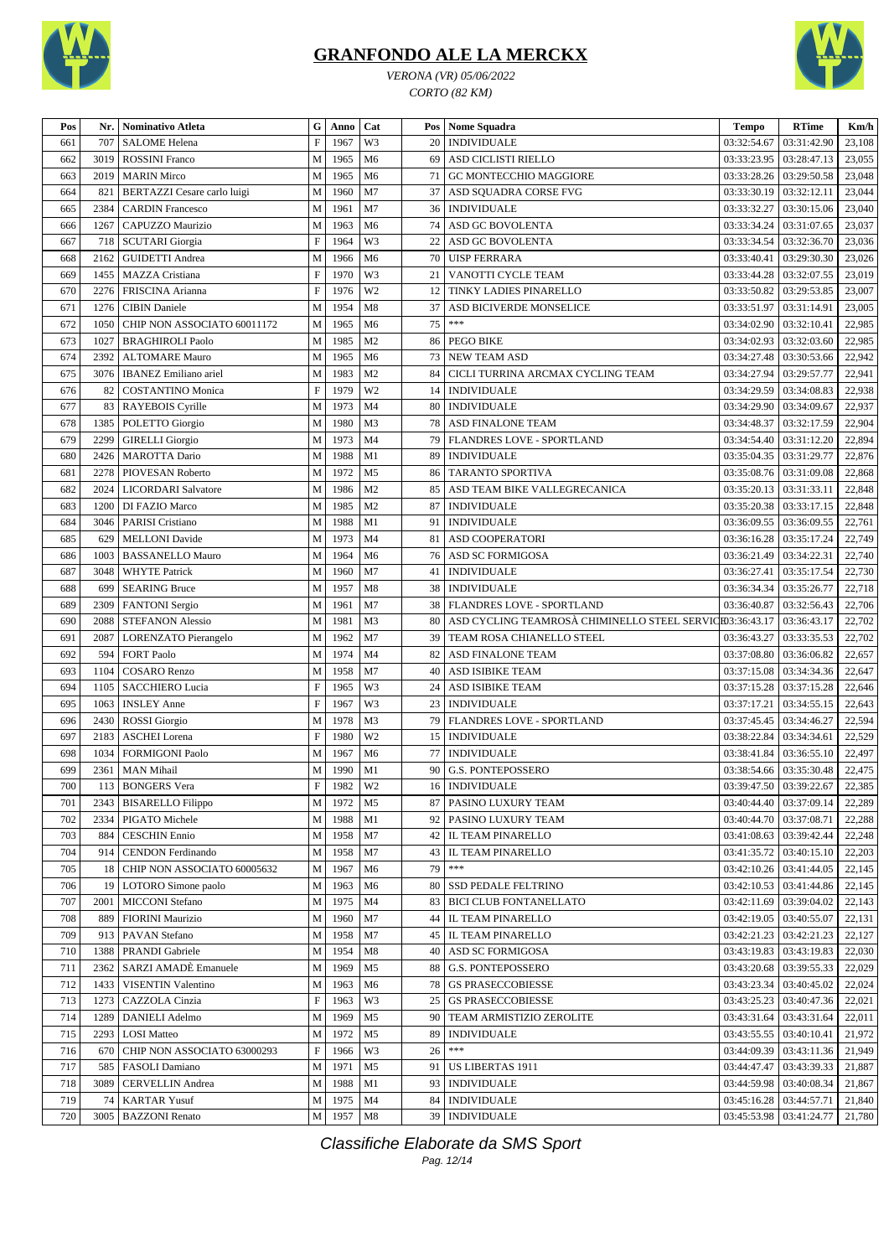

*VERONA (VR) 05/06/2022 CORTO (82 KM)*



| Pos | Nr.  | <b>Nominativo Atleta</b>     | G                         | Anno      | Cat            | Pos | <b>Nome Squadra</b>                                      | <b>Tempo</b>               | <b>RTime</b>              | Km/h   |
|-----|------|------------------------------|---------------------------|-----------|----------------|-----|----------------------------------------------------------|----------------------------|---------------------------|--------|
| 661 | 707  | <b>SALOME</b> Helena         | F                         | 1967      | W3             | 20  | <b>INDIVIDUALE</b>                                       | 03:32:54.67                | 03:31:42.90               | 23,108 |
| 662 | 3019 | <b>ROSSINI</b> Franco        | M                         | 1965      | M <sub>6</sub> | 69  | ASD CICLISTI RIELLO                                      | 03:33:23.95                | 03:28:47.13               | 23,055 |
| 663 | 2019 | <b>MARIN Mirco</b>           | M                         | 1965      | M <sub>6</sub> | 71  | GC MONTECCHIO MAGGIORE                                   | 03:33:28.26                | 03:29:50.58               | 23,048 |
| 664 | 821  | BERTAZZI Cesare carlo luigi  | M                         | 1960      | M <sub>7</sub> | 37  | ASD SQUADRA CORSE FVG                                    | 03:33:30.19                | 03:32:12.11               | 23,044 |
| 665 | 2384 | <b>CARDIN Francesco</b>      | M                         | 1961      | M <sub>7</sub> | 36  | <b>INDIVIDUALE</b>                                       | 03:33:32.27                | 03:30:15.06               | 23,040 |
| 666 | 1267 | CAPUZZO Maurizio             | M                         | 1963      | M <sub>6</sub> | 74  | ASD GC BOVOLENTA                                         | 03:33:34.24                | 03:31:07.65               | 23,037 |
| 667 | 718  | <b>SCUTARI</b> Giorgia       | $\mathbf F$               | 1964      | W3             | 22  | ASD GC BOVOLENTA                                         | 03:33:34.54   03:32:36.70  |                           | 23,036 |
| 668 | 2162 | <b>GUIDETTI Andrea</b>       | M                         | 1966      | M <sub>6</sub> | 70  | <b>UISP FERRARA</b>                                      | 03:33:40.41                | 03:29:30.30               | 23,026 |
| 669 | 1455 | <b>MAZZA</b> Cristiana       | $\boldsymbol{\mathrm{F}}$ | 1970      | W3             | 21  | VANOTTI CYCLE TEAM                                       | 03:33:44.28                | 03:32:07.55               | 23,019 |
| 670 | 2276 | FRISCINA Arianna             | $\mathbf F$               | 1976      | W <sub>2</sub> | 12  | TINKY LADIES PINARELLO                                   | 03:33:50.82                | 03:29:53.85               | 23,007 |
| 671 | 1276 | <b>CIBIN</b> Daniele         | M                         | 1954      | M8             | 37  | ASD BICIVERDE MONSELICE                                  | 03:33:51.97                | 03:31:14.91               | 23,005 |
| 672 | 1050 | CHIP NON ASSOCIATO 60011172  | M                         | 1965      | M <sub>6</sub> | 75  | $* * *$                                                  | 03:34:02.90   03:32:10.41  |                           | 22,985 |
| 673 | 1027 | <b>BRAGHIROLI Paolo</b>      | M                         | 1985      | M <sub>2</sub> | 86  | <b>PEGO BIKE</b>                                         | 03:34:02.93                | 03:32:03.60               | 22,985 |
| 674 | 2392 | <b>ALTOMARE Mauro</b>        | M                         | 1965      | M <sub>6</sub> | 73  | <b>NEW TEAM ASD</b>                                      | 03:34:27.48                | 03:30:53.66               | 22,942 |
| 675 | 3076 | <b>IBANEZ</b> Emiliano ariel | M                         | 1983      | M <sub>2</sub> | 84  | CICLI TURRINA ARCMAX CYCLING TEAM                        | 03:34:27.94                | 03:29:57.77               | 22,941 |
| 676 | 82   | <b>COSTANTINO Monica</b>     | $\mathbf F$               | 1979      | W <sub>2</sub> | 14  | <b>INDIVIDUALE</b>                                       | 03:34:29.59                | 03:34:08.83               | 22,938 |
| 677 | 83   | RAYEBOIS Cyrille             | M                         | 1973      | M <sub>4</sub> | 80  | <b>INDIVIDUALE</b>                                       | 03:34:29.90                | 03:34:09.67               | 22,937 |
| 678 | 1385 | POLETTO Giorgio              | M                         | 1980      | M <sub>3</sub> | 78  | ASD FINALONE TEAM                                        | 03:34:48.37                | 03:32:17.59               | 22,904 |
| 679 | 2299 | <b>GIRELLI</b> Giorgio       | M                         | 1973      | M <sub>4</sub> | 79  | <b>FLANDRES LOVE - SPORTLAND</b>                         | 03:34:54.40                | 03:31:12.20               | 22,894 |
| 680 | 2426 | <b>MAROTTA Dario</b>         | M                         | 1988      | M1             | 89  | <b>INDIVIDUALE</b>                                       | 03:35:04.35                | 03:31:29.77               | 22,876 |
| 681 | 2278 | PIOVESAN Roberto             | M                         | 1972      | M <sub>5</sub> | 86  | <b>TARANTO SPORTIVA</b>                                  | 03:35:08.76                | 03:31:09.08               | 22,868 |
|     | 2024 |                              | M                         | 1986      | M <sub>2</sub> | 85  | ASD TEAM BIKE VALLEGRECANICA                             |                            | 03:31:33.11               | 22,848 |
| 682 | 1200 | LICORDARI Salvatore          | M                         | 1985      | M <sub>2</sub> | 87  | <b>INDIVIDUALE</b>                                       | 03:35:20.13<br>03:35:20.38 | 03:33:17.15               | 22,848 |
| 683 |      | DI FAZIO Marco               |                           |           |                |     |                                                          |                            |                           |        |
| 684 | 3046 | <b>PARISI Cristiano</b>      | M                         | 1988      | M1             | 91  | <b>INDIVIDUALE</b>                                       | 03:36:09.55                | 03:36:09.55               | 22,761 |
| 685 | 629  | <b>MELLONI</b> Davide        | M                         | 1973      | M <sub>4</sub> | 81  | <b>ASD COOPERATORI</b>                                   | 03:36:16.28                | 03:35:17.24               | 22,749 |
| 686 | 1003 | <b>BASSANELLO Mauro</b>      | M                         | 1964      | M <sub>6</sub> | 76  | ASD SC FORMIGOSA                                         | 03:36:21.49   03:34:22.31  |                           | 22,740 |
| 687 | 3048 | <b>WHYTE Patrick</b>         | M                         | 1960      | M <sub>7</sub> | 41  | <b>INDIVIDUALE</b>                                       | 03:36:27.41                | 03:35:17.54               | 22,730 |
| 688 | 699  | <b>SEARING Bruce</b>         | M                         | 1957      | M8             | 38  | <b>INDIVIDUALE</b>                                       | 03:36:34.34                | 03:35:26.77               | 22,718 |
| 689 | 2309 | <b>FANTONI</b> Sergio        | M                         | 1961      | M7             | 38  | FLANDRES LOVE - SPORTLAND                                | 03:36:40.87                | 03:32:56.43               | 22,706 |
| 690 | 2088 | <b>STEFANON Alessio</b>      | M                         | 1981      | M <sub>3</sub> | 80  | ASD CYCLING TEAMROSA CHIMINELLO STEEL SERVICE03:36:43.17 |                            | 03:36:43.17               | 22,702 |
| 691 | 2087 | LORENZATO Pierangelo         | M                         | 1962      | M <sub>7</sub> | 39  | TEAM ROSA CHIANELLO STEEL                                | 03:36:43.27                | 03:33:35.53               | 22,702 |
| 692 | 594  | <b>FORT Paolo</b>            | M                         | 1974      | M <sub>4</sub> | 82  | ASD FINALONE TEAM                                        | 03:37:08.80                | 03:36:06.82               | 22,657 |
| 693 | 1104 | <b>COSARO</b> Renzo          | M                         | 1958      | M <sub>7</sub> | 40  | ASD ISIBIKE TEAM                                         | 03:37:15.08                | 03:34:34.36               | 22,647 |
| 694 | 1105 | <b>SACCHIERO Lucia</b>       | $\mathbf F$               | 1965      | W3             | 24  | ASD ISIBIKE TEAM                                         | 03:37:15.28                | 03:37:15.28               | 22,646 |
| 695 | 1063 | <b>INSLEY Anne</b>           | $\mathbf F$               | 1967      | W3             | 23  | <b>INDIVIDUALE</b>                                       | 03:37:17.21                | 03:34:55.15               | 22,643 |
| 696 | 2430 | <b>ROSSI</b> Giorgio         | M                         | 1978      | M <sub>3</sub> | 79  | <b>FLANDRES LOVE - SPORTLAND</b>                         | 03:37:45.45                | 03:34:46.27               | 22,594 |
| 697 | 2183 | <b>ASCHEI</b> Lorena         | $\mathbf F$               | 1980      | W <sub>2</sub> | 15  | <b>INDIVIDUALE</b>                                       | 03:38:22.84                | 03:34:34.61               | 22,529 |
| 698 | 1034 | <b>FORMIGONI Paolo</b>       | M                         | 1967      | M <sub>6</sub> | 77  | <b>INDIVIDUALE</b>                                       | 03:38:41.84                | 03:36:55.10               | 22,497 |
| 699 |      | 2361   MAN Mihail            | M                         | 1990      | M1             | 90  | <b>G.S. PONTEPOSSERO</b>                                 |                            | 03:38:54.66   03:35:30.48 | 22,475 |
| 700 |      | 113 BONGERS Vera             |                           | $F$ 1982  | W <sub>2</sub> |     | 16 INDIVIDUALE                                           |                            | 03:39:47.50   03:39:22.67 | 22,385 |
| 701 |      | 2343   BISARELLO Filippo     | M                         | 1972      | M <sub>5</sub> |     | 87   PASINO LUXURY TEAM                                  |                            | 03:40:44.40   03:37:09.14 | 22,289 |
| 702 | 2334 | PIGATO Michele               | M                         | 1988      | M1             |     | 92   PASINO LUXURY TEAM                                  | 03:40:44.70   03:37:08.71  |                           | 22,288 |
| 703 | 884  | <b>CESCHIN Ennio</b>         | M                         | 1958      | M <sub>7</sub> |     | 42   IL TEAM PINARELLO                                   |                            | 03:41:08.63   03:39:42.44 | 22,248 |
| 704 | 914  | <b>CENDON</b> Ferdinando     | $\mathbf M$               | 1958      | M <sub>7</sub> |     | 43   IL TEAM PINARELLO                                   | 03:41:35.72   03:40:15.10  |                           | 22,203 |
| 705 | 18   | CHIP NON ASSOCIATO 60005632  | M                         | 1967      | M <sub>6</sub> | 79  | $***$                                                    |                            | 03:42:10.26   03:41:44.05 | 22,145 |
| 706 |      | 19   LOTORO Simone paolo     | M                         | 1963      | M <sub>6</sub> | 80  | SSD PEDALE FELTRINO                                      |                            | 03:42:10.53   03:41:44.86 | 22,145 |
| 707 | 2001 | <b>MICCONI</b> Stefano       | $\mathbf M$               | 1975      | M <sub>4</sub> | 83  | <b>BICI CLUB FONTANELLATO</b>                            | 03:42:11.69   03:39:04.02  |                           | 22,143 |
| 708 | 889  | <b>FIORINI</b> Maurizio      | M                         | 1960      | M7             | 44  | <b>IL TEAM PINARELLO</b>                                 | 03:42:19.05   03:40:55.07  |                           | 22,131 |
| 709 | 913  | PAVAN Stefano                | M                         | 1958      | M7             | 45  | <b>IL TEAM PINARELLO</b>                                 | 03:42:21.23   03:42:21.23  |                           | 22,127 |
| 710 | 1388 | PRANDI Gabriele              | M                         | 1954      | M8             | 40  | <b>ASD SC FORMIGOSA</b>                                  |                            | 03:43:19.83   03:43:19.83 | 22,030 |
| 711 | 2362 | SARZI AMADÈ Emanuele         | M                         | 1969      | M <sub>5</sub> | 88  | <b>G.S. PONTEPOSSERO</b>                                 | 03:43:20.68   03:39:55.33  |                           | 22,029 |
| 712 | 1433 | VISENTIN Valentino           | M                         | 1963      | M <sub>6</sub> | 78  | <b>GS PRASECCOBIESSE</b>                                 |                            | 03:43:23.34   03:40:45.02 | 22,024 |
| 713 | 1273 | CAZZOLA Cinzia               | $\boldsymbol{\mathrm{F}}$ | 1963      | W <sub>3</sub> | 25  | <b>GS PRASECCOBIESSE</b>                                 |                            | 03:43:25.23   03:40:47.36 | 22,021 |
| 714 | 1289 | <b>DANIELI</b> Adelmo        | M                         | 1969      | M <sub>5</sub> | 90  | TEAM ARMISTIZIO ZEROLITE                                 |                            | 03:43:31.64   03:43:31.64 | 22,011 |
| 715 | 2293 | <b>LOSI</b> Matteo           | M                         | 1972      | M <sub>5</sub> | 89  | <b>INDIVIDUALE</b>                                       | 03:43:55.55                | 03:40:10.41               | 21,972 |
| 716 | 670  | CHIP NON ASSOCIATO 63000293  | F                         | 1966      | W3             | 26  | $***$                                                    | 03:44:09.39                | 03:43:11.36               | 21,949 |
| 717 | 585  | <b>FASOLI Damiano</b>        | M                         | 1971      | M <sub>5</sub> | 91  | US LIBERTAS 1911                                         |                            | 03:44:47.47   03:43:39.33 | 21,887 |
| 718 | 3089 | <b>CERVELLIN Andrea</b>      | M                         | 1988      | M1             | 93  | <b>INDIVIDUALE</b>                                       | 03:44:59.98   03:40:08.34  |                           | 21,867 |
| 719 | 74   | <b>KARTAR Yusuf</b>          | M                         | 1975      | M <sub>4</sub> | 84  | <b>INDIVIDUALE</b>                                       | 03:45:16.28   03:44:57.71  |                           | 21,840 |
| 720 |      | 3005   BAZZONI Renato        |                           | M 1957 M8 |                |     | 39 INDIVIDUALE                                           | 03:45:53.98   03:41:24.77  |                           | 21,780 |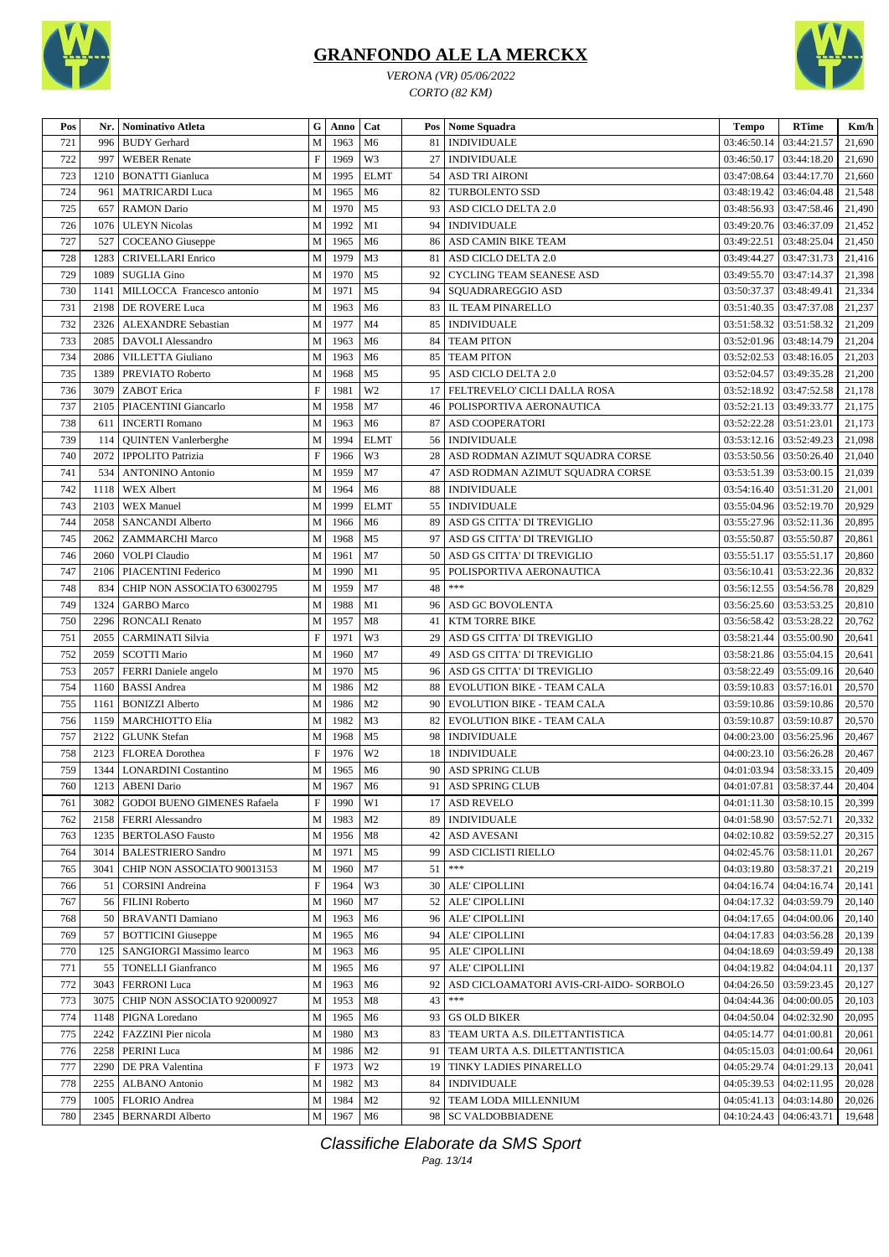

*VERONA (VR) 05/06/2022 CORTO (82 KM)*



| Pos | Nr.  | Nominativo Atleta                                   | G                         | Anno      | Cat            |          | Pos Nome Squadra                                                   | <b>Tempo</b>                             | <b>RTime</b>                  | Km/h             |
|-----|------|-----------------------------------------------------|---------------------------|-----------|----------------|----------|--------------------------------------------------------------------|------------------------------------------|-------------------------------|------------------|
| 721 | 996  | <b>BUDY</b> Gerhard                                 | M                         | 1963      | M6             | 81       | <b>INDIVIDUALE</b>                                                 | 03:46:50.14                              | 03:44:21.57                   | 21,690           |
| 722 | 997  | <b>WEBER</b> Renate                                 | $\boldsymbol{\mathrm{F}}$ | 1969      | W3             | 27       | <b>INDIVIDUALE</b>                                                 | 03:46:50.17                              | 03:44:18.20                   | 21,690           |
| 723 | 1210 | <b>BONATTI Gianluca</b>                             | M                         | 1995      | <b>ELMT</b>    |          | 54   ASD TRI AIRONI                                                | 03:47:08.64                              | 03:44:17.70                   | 21,660           |
| 724 | 961  | <b>MATRICARDI Luca</b>                              | M                         | 1965      | M <sub>6</sub> | 82       | <b>TURBOLENTO SSD</b>                                              | 03:48:19.42                              | 03:46:04.48                   | 21,548           |
| 725 | 657  | <b>RAMON Dario</b>                                  | M                         | 1970      | M <sub>5</sub> | 93       | ASD CICLO DELTA 2.0                                                | 03:48:56.93                              | 03:47:58.46                   | 21,490           |
| 726 | 1076 | <b>ULEYN Nicolas</b>                                | M                         | 1992      | M1             |          | 94   INDIVIDUALE                                                   | 03:49:20.76                              | 03:46:37.09                   | 21,452           |
| 727 | 527  | COCEANO Giuseppe                                    | M                         | 1965      | M <sub>6</sub> | 86       | ASD CAMIN BIKE TEAM                                                | 03:49:22.51                              | 03:48:25.04                   | 21,450           |
| 728 | 1283 | <b>CRIVELLARI Enrico</b>                            | M                         | 1979      | M <sub>3</sub> | 81       | ASD CICLO DELTA 2.0                                                | 03:49:44.27                              | 03:47:31.73                   | 21,416           |
| 729 | 1089 | <b>SUGLIA Gino</b>                                  | M                         | 1970      | M <sub>5</sub> | 92       | CYCLING TEAM SEANESE ASD                                           | 03:49:55.70   03:47:14.37                |                               | 21,398           |
| 730 | 1141 | MILLOCCA Francesco antonio                          | M                         | 1971      | M <sub>5</sub> | 94       | SQUADRAREGGIO ASD                                                  | 03:50:37.37                              | 03:48:49.41                   | 21,334           |
| 731 | 2198 | DE ROVERE Luca                                      | M                         | 1963      | M <sub>6</sub> |          | 83   IL TEAM PINARELLO                                             | 03:51:40.35                              | 03:47:37.08                   | 21,237           |
| 732 | 2326 | <b>ALEXANDRE</b> Sebastian                          | M                         | 1977      | M <sub>4</sub> | 85       | <b>INDIVIDUALE</b>                                                 | 03:51:58.32                              | 03:51:58.32                   | 21,209           |
| 733 | 2085 | DAVOLI Alessandro                                   | M                         | 1963      | M <sub>6</sub> | 84       | <b>TEAM PITON</b>                                                  | 03:52:01.96   03:48:14.79                |                               | 21,204           |
| 734 | 2086 | <b>VILLETTA Giuliano</b>                            | M                         | 1963      | M6             | 85       | <b>TEAM PITON</b>                                                  | 03:52:02.53   03:48:16.05                |                               | 21,203           |
| 735 | 1389 | PREVIATO Roberto                                    | M                         | 1968      | M <sub>5</sub> | 95       | ASD CICLO DELTA 2.0                                                | 03:52:04.57                              | 03:49:35.28                   | 21,200           |
| 736 | 3079 | ZABOT Erica                                         | $\mathbf F$               | 1981      | W <sub>2</sub> | 17       | FELTREVELO' CICLI DALLA ROSA                                       | 03:52:18.92                              | 03:47:52.58                   | 21,178           |
| 737 | 2105 | PIACENTINI Giancarlo                                | M                         | 1958      | M <sub>7</sub> | 46       | POLISPORTIVA AERONAUTICA                                           | 03:52:21.13                              | 03:49:33.77                   | 21,175           |
| 738 | 611  | <b>INCERTI Romano</b>                               | M                         | 1963      | M <sub>6</sub> | 87       | <b>ASD COOPERATORI</b>                                             | 03:52:22.28                              | 03:51:23.01                   | 21,173           |
| 739 | 114  | <b>QUINTEN Vanlerberghe</b>                         | M                         | 1994      | <b>ELMT</b>    |          | 56   INDIVIDUALE                                                   | 03:53:12.16   03:52:49.23                |                               | 21,098           |
| 740 | 2072 |                                                     | $\boldsymbol{\mathrm{F}}$ | 1966      | W3             |          |                                                                    |                                          |                               |                  |
| 741 | 534  | <b>IPPOLITO Patrizia</b><br><b>ANTONINO Antonio</b> | M                         | 1959      | M7             | 28<br>47 | ASD RODMAN AZIMUT SQUADRA CORSE<br>ASD RODMAN AZIMUT SQUADRA CORSE | 03:53:50.56   03:50:26.40<br>03:53:51.39 | 03:53:00.15                   | 21,040<br>21,039 |
|     |      |                                                     |                           |           |                |          |                                                                    |                                          |                               |                  |
| 742 | 1118 | <b>WEX Albert</b>                                   | M                         | 1964      | M <sub>6</sub> |          | 88   INDIVIDUALE                                                   | 03:54:16.40                              | 03:51:31.20                   | 21,001           |
| 743 | 2103 | <b>WEX Manuel</b>                                   | M                         | 1999      | <b>ELMT</b>    | 55       | <b>INDIVIDUALE</b>                                                 | 03:55:04.96                              | 03:52:19.70                   | 20,929           |
| 744 | 2058 | <b>SANCANDI Alberto</b>                             | M                         | 1966      | M <sub>6</sub> | 89       | ASD GS CITTA' DI TREVIGLIO                                         | 03:55:27.96                              | 03:52:11.36                   | 20,895           |
| 745 | 2062 | <b>ZAMMARCHI Marco</b>                              | M                         | 1968      | M <sub>5</sub> | 97       | ASD GS CITTA' DI TREVIGLIO                                         | 03:55:50.87                              | 03:55:50.87                   | 20,861           |
| 746 | 2060 | <b>VOLPI</b> Claudio                                | M                         | 1961      | M <sub>7</sub> | 50       | ASD GS CITTA' DI TREVIGLIO                                         | 03:55:51.17                              | 03:55:51.17                   | 20,860           |
| 747 |      | 2106   PIACENTINI Federico                          | M                         | 1990      | M1             | 95       | POLISPORTIVA AERONAUTICA                                           | 03:56:10.41                              | 03:53:22.36                   | 20,832           |
| 748 | 834  | CHIP NON ASSOCIATO 63002795                         | M                         | 1959      | M <sub>7</sub> | 48       | $***$                                                              | 03:56:12.55   03:54:56.78                |                               | 20,829           |
| 749 | 1324 | <b>GARBO</b> Marco                                  | M                         | 1988      | M1             | 96       | ASD GC BOVOLENTA                                                   | 03:56:25.60                              | 03:53:53.25                   | 20,810           |
| 750 | 2296 | <b>RONCALI Renato</b>                               | M                         | 1957      | M8             |          | 41   KTM TORRE BIKE                                                | 03:56:58.42                              | 03:53:28.22                   | 20,762           |
| 751 | 2055 | <b>CARMINATI Silvia</b>                             | $\mathbf F$               | 1971      | W3             | 29       | ASD GS CITTA' DI TREVIGLIO                                         | 03:58:21.44                              | 03:55:00.90                   | 20,641           |
| 752 | 2059 | <b>SCOTTI Mario</b>                                 | M                         | 1960      | M <sub>7</sub> | 49       | ASD GS CITTA' DI TREVIGLIO                                         | 03:58:21.86   03:55:04.15                |                               | 20,641           |
| 753 | 2057 | FERRI Daniele angelo                                | M                         | 1970      | M <sub>5</sub> | 96       | ASD GS CITTA' DI TREVIGLIO                                         | 03:58:22.49                              | 03:55:09.16                   | 20,640           |
| 754 | 1160 | <b>BASSI</b> Andrea                                 | M                         | 1986      | M <sub>2</sub> | 88       | EVOLUTION BIKE - TEAM CALA                                         | 03:59:10.83                              | 03:57:16.01                   | 20,570           |
| 755 | 1161 | <b>BONIZZI</b> Alberto                              | M                         | 1986      | M <sub>2</sub> | 90       | EVOLUTION BIKE - TEAM CALA                                         | 03:59:10.86                              | 03:59:10.86                   | 20,570           |
| 756 | 1159 | <b>MARCHIOTTO Elia</b>                              | M                         | 1982      | M <sub>3</sub> | 82       | <b>EVOLUTION BIKE - TEAM CALA</b>                                  | 03:59:10.87                              | 03:59:10.87                   | 20,570           |
| 757 | 2122 | <b>GLUNK</b> Stefan                                 | M                         | 1968      | M <sub>5</sub> | 98       | <b>INDIVIDUALE</b>                                                 | 04:00:23.00                              | 03:56:25.96                   | 20,467           |
| 758 | 2123 | <b>FLOREA</b> Dorothea                              | $\mathbf F$               | 1976      | W <sub>2</sub> | 18       | <b>INDIVIDUALE</b>                                                 | 04:00:23.10   03:56:26.28                |                               | 20,467           |
| 759 |      | 1344   LONARDINI Costantino                         | M                         | 1965      | M <sub>6</sub> | 90       | <b>ASD SPRING CLUB</b>                                             |                                          | $04:01:03.94$   $03:58:33.15$ | 20,409           |
| 760 |      | 1213 ABENI Dario                                    |                           | M 1967 M6 |                |          | 91 ASD SPRING CLUB                                                 | 04:01:07.81 03:58:37.44 20,404           |                               |                  |
| 761 |      | 3082   GODOI BUENO GIMENES Rafaela                  | $\boldsymbol{\mathrm{F}}$ | 1990      | W1             |          | 17 ASD REVELO                                                      | $04:01:11.30$   $03:58:10.15$            |                               | 20,399           |
| 762 | 2158 | <b>FERRI Alessandro</b>                             | $\mathbf M$               | 1983      | M <sub>2</sub> | 89       | <b>INDIVIDUALE</b>                                                 | 04:01:58.90                              | 03:57:52.71                   | 20,332           |
| 763 | 1235 | <b>BERTOLASO Fausto</b>                             | M                         | 1956      | M8             | 42       | <b>ASD AVESANI</b>                                                 | 04:02:10.82                              | 03:59:52.27                   | 20,315           |
| 764 | 3014 | <b>BALESTRIERO Sandro</b>                           | M                         | 1971      | M <sub>5</sub> | 99       | <b>ASD CICLISTI RIELLO</b>                                         | 04:02:45.76                              | 03:58:11.01                   | 20,267           |
| 765 | 3041 | CHIP NON ASSOCIATO 90013153                         | M                         | 1960      | M <sub>7</sub> | 51       | $***$                                                              | 04:03:19.80                              | 03:58:37.21                   | 20.219           |
| 766 | 51   | <b>CORSINI</b> Andreina                             | $\boldsymbol{\mathrm{F}}$ | 1964      | W3             |          | 30   ALE' CIPOLLINI                                                | 04:04:16.74   04:04:16.74                |                               | 20,141           |
| 767 | 56   | <b>FILINI</b> Roberto                               | M                         | 1960      | M <sub>7</sub> |          | 52   ALE' CIPOLLINI                                                | 04:04:17.32                              | 04:03:59.79                   | 20,140           |
| 768 | 50   | <b>BRAVANTI Damiano</b>                             | M                         | 1963      | M <sub>6</sub> |          | 96 ALE' CIPOLLINI                                                  | 04:04:17.65                              | 04:04:00.06                   | 20,140           |
| 769 | 57   | <b>BOTTICINI</b> Giuseppe                           | M                         | 1965      | M <sub>6</sub> |          | 94 ALE' CIPOLLINI                                                  | 04:04:17.83                              | 04:03:56.28                   | 20,139           |
| 770 | 125  | SANGIORGI Massimo learco                            | M                         | 1963      | M6             |          | 95   ALE' CIPOLLINI                                                | 04:04:18.69                              | 04:03:59.49                   | 20,138           |
| 771 | 55   | <b>TONELLI Gianfranco</b>                           | M                         | 1965      | M <sub>6</sub> | 97       | ALE' CIPOLLINI                                                     | 04:04:19.82                              | 04:04:04.11                   | 20,137           |
| 772 | 3043 | <b>FERRONI</b> Luca                                 | M                         | 1963      | M <sub>6</sub> | 92       | ASD CICLOAMATORI AVIS-CRI-AIDO- SORBOLO                            | 04:04:26.50                              | 03:59:23.45                   | 20,127           |
| 773 | 3075 | CHIP NON ASSOCIATO 92000927                         | M                         | 1953      | M8             | 43       | $***$                                                              | 04:04:44.36                              | 04:00:00.05                   | 20,103           |
| 774 | 1148 | PIGNA Loredano                                      | M                         | 1965      | M <sub>6</sub> |          | 93 GS OLD BIKER                                                    | 04:04:50.04                              | 04:02:32.90                   | 20,095           |
| 775 | 2242 | FAZZINI Pier nicola                                 | M                         | 1980      | M <sub>3</sub> | 83       | TEAM URTA A.S. DILETTANTISTICA                                     | 04:05:14.77                              | 04:01:00.81                   | 20,061           |
| 776 | 2258 | PERINI Luca                                         | M                         | 1986      | M <sub>2</sub> | 91       | TEAM URTA A.S. DILETTANTISTICA                                     | 04:05:15.03                              | 04:01:00.64                   | 20,061           |
| 777 | 2290 | DE PRA Valentina                                    | $\mathbf F$               | 1973      | W <sub>2</sub> |          | 19 TINKY LADIES PINARELLO                                          | 04:05:29.74                              | 04:01:29.13                   | 20,041           |
| 778 | 2255 | ALBANO Antonio                                      | M                         | 1982      | M <sub>3</sub> | 84       | <b>INDIVIDUALE</b>                                                 | 04:05:39.53   04:02:11.95                |                               | 20,028           |
| 779 | 1005 | FLORIO Andrea                                       | M                         | 1984      | M <sub>2</sub> | 92       | TEAM LODA MILLENNIUM                                               | 04:05:41.13                              | 04:03:14.80                   | 20,026           |
| 780 | 2345 | <b>BERNARDI Alberto</b>                             | M                         | 1967      | M6             |          | 98   SC VALDOBBIADENE                                              | 04:10:24.43                              | 04:06:43.71                   | 19,648           |
|     |      |                                                     |                           |           |                |          |                                                                    |                                          |                               |                  |